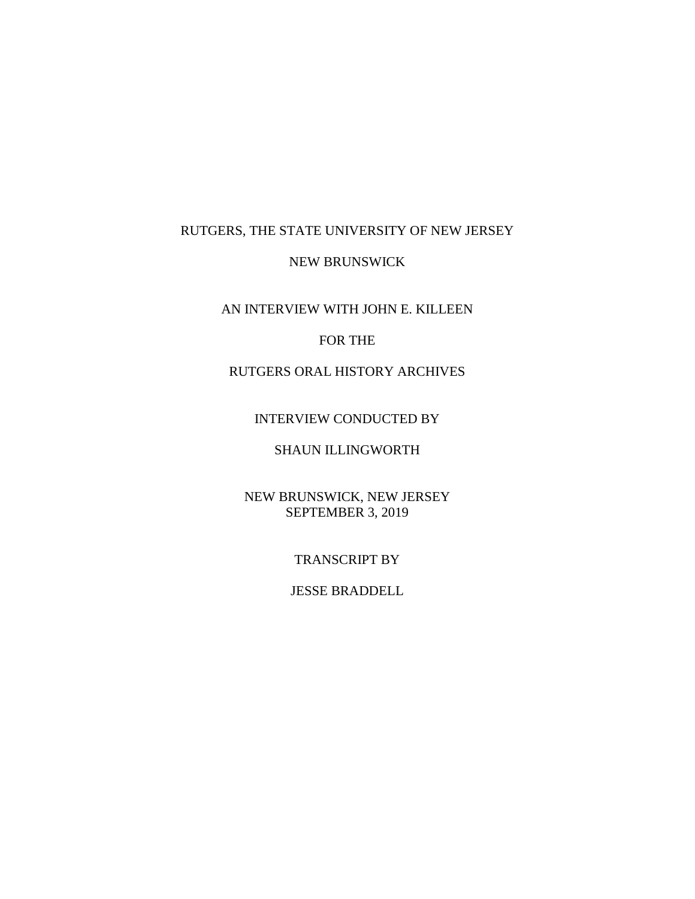## RUTGERS, THE STATE UNIVERSITY OF NEW JERSEY

#### NEW BRUNSWICK

## AN INTERVIEW WITH JOHN E. KILLEEN

### FOR THE

# RUTGERS ORAL HISTORY ARCHIVES

#### INTERVIEW CONDUCTED BY

## SHAUN ILLINGWORTH

## NEW BRUNSWICK, NEW JERSEY SEPTEMBER 3, 2019

#### TRANSCRIPT BY

#### JESSE BRADDELL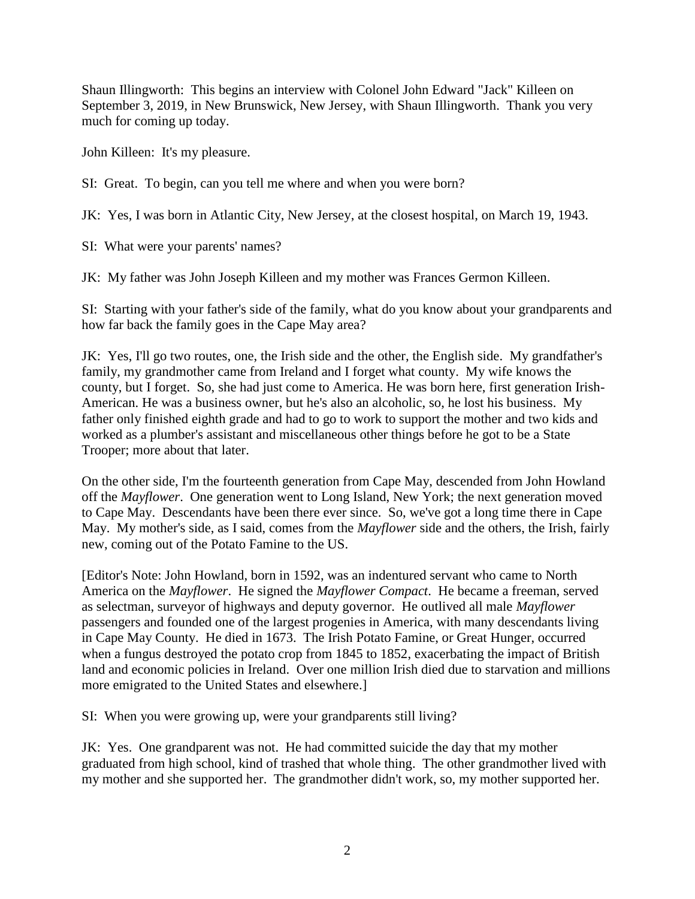Shaun Illingworth: This begins an interview with Colonel John Edward "Jack" Killeen on September 3, 2019, in New Brunswick, New Jersey, with Shaun Illingworth. Thank you very much for coming up today.

John Killeen: It's my pleasure.

SI: Great. To begin, can you tell me where and when you were born?

JK: Yes, I was born in Atlantic City, New Jersey, at the closest hospital, on March 19, 1943.

SI: What were your parents' names?

JK: My father was John Joseph Killeen and my mother was Frances Germon Killeen.

SI: Starting with your father's side of the family, what do you know about your grandparents and how far back the family goes in the Cape May area?

JK: Yes, I'll go two routes, one, the Irish side and the other, the English side. My grandfather's family, my grandmother came from Ireland and I forget what county. My wife knows the county, but I forget. So, she had just come to America. He was born here, first generation Irish-American. He was a business owner, but he's also an alcoholic, so, he lost his business. My father only finished eighth grade and had to go to work to support the mother and two kids and worked as a plumber's assistant and miscellaneous other things before he got to be a State Trooper; more about that later.

On the other side, I'm the fourteenth generation from Cape May, descended from John Howland off the *Mayflower*. One generation went to Long Island, New York; the next generation moved to Cape May. Descendants have been there ever since. So, we've got a long time there in Cape May. My mother's side, as I said, comes from the *Mayflower* side and the others, the Irish, fairly new, coming out of the Potato Famine to the US.

[Editor's Note: John Howland, born in 1592, was an indentured servant who came to North America on the *Mayflower*. He signed the *Mayflower Compact*. He became a freeman, served as selectman, surveyor of highways and deputy governor. He outlived all male *Mayflower* passengers and founded one of the largest progenies in America, with many descendants living in Cape May County. He died in 1673. The Irish Potato Famine, or Great Hunger, occurred when a fungus destroyed the potato crop from 1845 to 1852, exacerbating the impact of British land and economic policies in Ireland. Over one million Irish died due to starvation and millions more emigrated to the United States and elsewhere.]

SI: When you were growing up, were your grandparents still living?

JK: Yes. One grandparent was not. He had committed suicide the day that my mother graduated from high school, kind of trashed that whole thing. The other grandmother lived with my mother and she supported her. The grandmother didn't work, so, my mother supported her.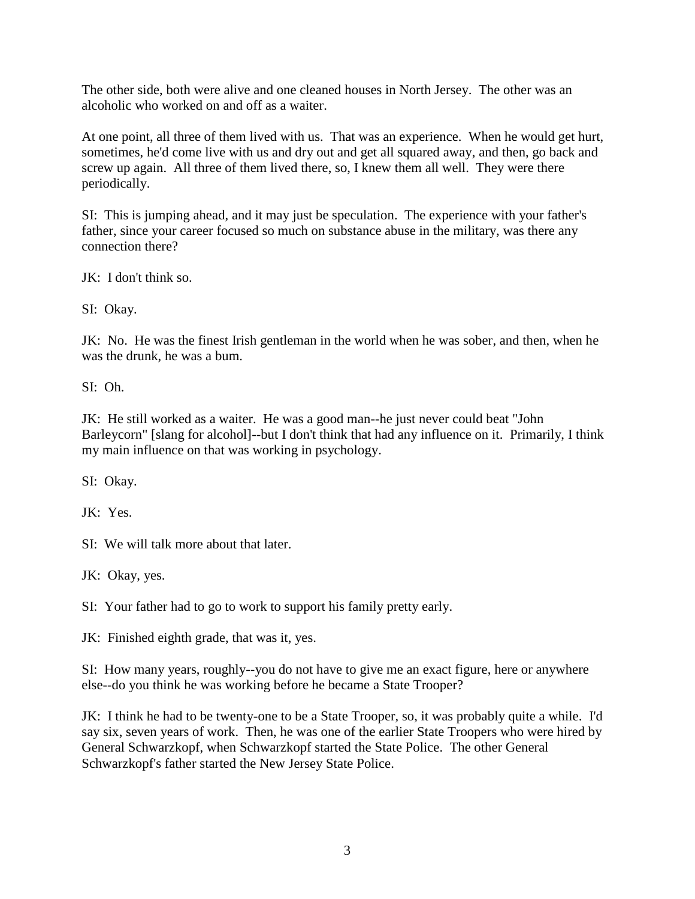The other side, both were alive and one cleaned houses in North Jersey. The other was an alcoholic who worked on and off as a waiter.

At one point, all three of them lived with us. That was an experience. When he would get hurt, sometimes, he'd come live with us and dry out and get all squared away, and then, go back and screw up again. All three of them lived there, so, I knew them all well. They were there periodically.

SI: This is jumping ahead, and it may just be speculation. The experience with your father's father, since your career focused so much on substance abuse in the military, was there any connection there?

JK: I don't think so.

SI: Okay.

JK: No. He was the finest Irish gentleman in the world when he was sober, and then, when he was the drunk, he was a bum.

SI: Oh.

JK: He still worked as a waiter. He was a good man--he just never could beat "John Barleycorn" [slang for alcohol]--but I don't think that had any influence on it. Primarily, I think my main influence on that was working in psychology.

SI: Okay.

JK: Yes.

SI: We will talk more about that later.

JK: Okay, yes.

SI: Your father had to go to work to support his family pretty early.

JK: Finished eighth grade, that was it, yes.

SI: How many years, roughly--you do not have to give me an exact figure, here or anywhere else--do you think he was working before he became a State Trooper?

JK: I think he had to be twenty-one to be a State Trooper, so, it was probably quite a while. I'd say six, seven years of work. Then, he was one of the earlier State Troopers who were hired by General Schwarzkopf, when Schwarzkopf started the State Police. The other General Schwarzkopf's father started the New Jersey State Police.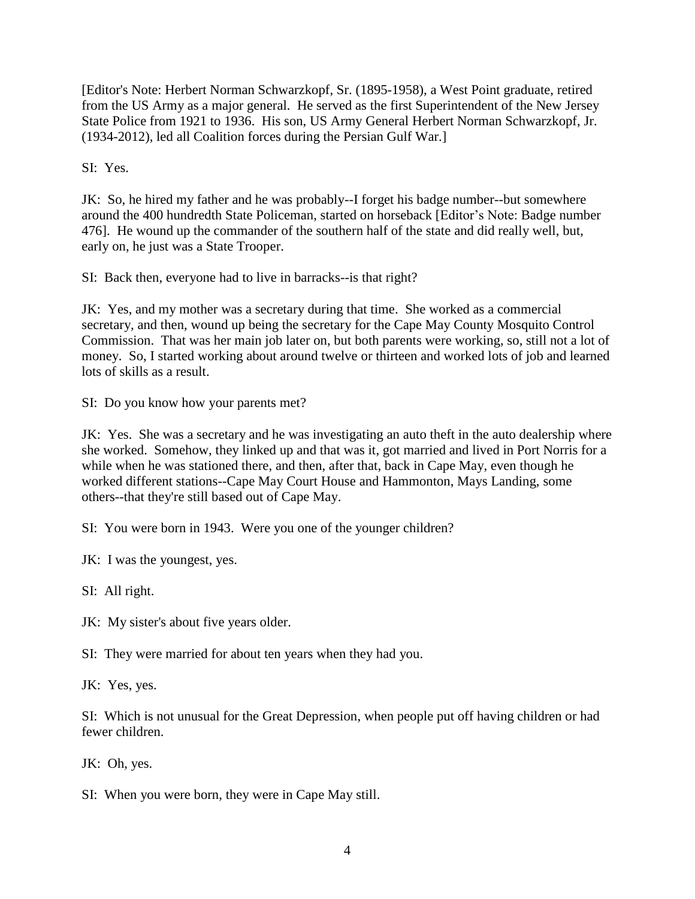[Editor's Note: Herbert Norman Schwarzkopf, Sr. (1895-1958), a West Point graduate, retired from the US Army as a major general. He served as the first Superintendent of the New Jersey State Police from 1921 to 1936. His son, US Army General Herbert Norman Schwarzkopf, Jr. (1934-2012), led all Coalition forces during the Persian Gulf War.]

SI: Yes.

JK: So, he hired my father and he was probably--I forget his badge number--but somewhere around the 400 hundredth State Policeman, started on horseback [Editor's Note: Badge number 476]. He wound up the commander of the southern half of the state and did really well, but, early on, he just was a State Trooper.

SI: Back then, everyone had to live in barracks--is that right?

JK: Yes, and my mother was a secretary during that time. She worked as a commercial secretary, and then, wound up being the secretary for the Cape May County Mosquito Control Commission. That was her main job later on, but both parents were working, so, still not a lot of money. So, I started working about around twelve or thirteen and worked lots of job and learned lots of skills as a result.

SI: Do you know how your parents met?

JK: Yes. She was a secretary and he was investigating an auto theft in the auto dealership where she worked. Somehow, they linked up and that was it, got married and lived in Port Norris for a while when he was stationed there, and then, after that, back in Cape May, even though he worked different stations--Cape May Court House and Hammonton, Mays Landing, some others--that they're still based out of Cape May.

SI: You were born in 1943. Were you one of the younger children?

JK: I was the youngest, yes.

SI: All right.

JK: My sister's about five years older.

SI: They were married for about ten years when they had you.

JK: Yes, yes.

SI: Which is not unusual for the Great Depression, when people put off having children or had fewer children.

JK: Oh, yes.

SI: When you were born, they were in Cape May still.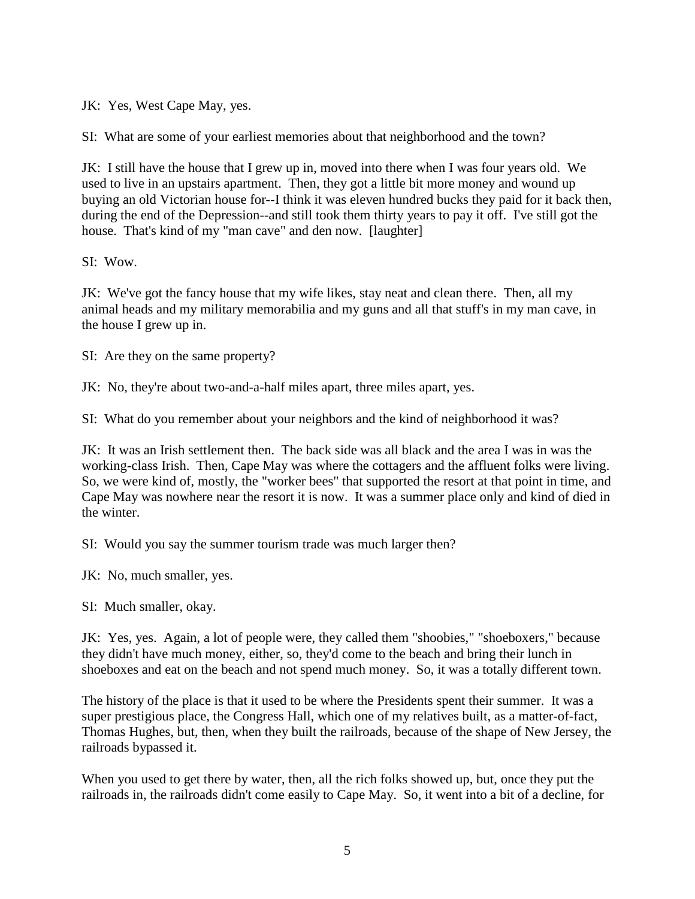JK: Yes, West Cape May, yes.

SI: What are some of your earliest memories about that neighborhood and the town?

JK: I still have the house that I grew up in, moved into there when I was four years old. We used to live in an upstairs apartment. Then, they got a little bit more money and wound up buying an old Victorian house for--I think it was eleven hundred bucks they paid for it back then, during the end of the Depression--and still took them thirty years to pay it off. I've still got the house. That's kind of my "man cave" and den now. [laughter]

SI: Wow.

JK: We've got the fancy house that my wife likes, stay neat and clean there. Then, all my animal heads and my military memorabilia and my guns and all that stuff's in my man cave, in the house I grew up in.

SI: Are they on the same property?

JK: No, they're about two-and-a-half miles apart, three miles apart, yes.

SI: What do you remember about your neighbors and the kind of neighborhood it was?

JK: It was an Irish settlement then. The back side was all black and the area I was in was the working-class Irish. Then, Cape May was where the cottagers and the affluent folks were living. So, we were kind of, mostly, the "worker bees" that supported the resort at that point in time, and Cape May was nowhere near the resort it is now. It was a summer place only and kind of died in the winter.

SI: Would you say the summer tourism trade was much larger then?

JK: No, much smaller, yes.

SI: Much smaller, okay.

JK: Yes, yes. Again, a lot of people were, they called them "shoobies," "shoeboxers," because they didn't have much money, either, so, they'd come to the beach and bring their lunch in shoeboxes and eat on the beach and not spend much money. So, it was a totally different town.

The history of the place is that it used to be where the Presidents spent their summer. It was a super prestigious place, the Congress Hall, which one of my relatives built, as a matter-of-fact, Thomas Hughes, but, then, when they built the railroads, because of the shape of New Jersey, the railroads bypassed it.

When you used to get there by water, then, all the rich folks showed up, but, once they put the railroads in, the railroads didn't come easily to Cape May. So, it went into a bit of a decline, for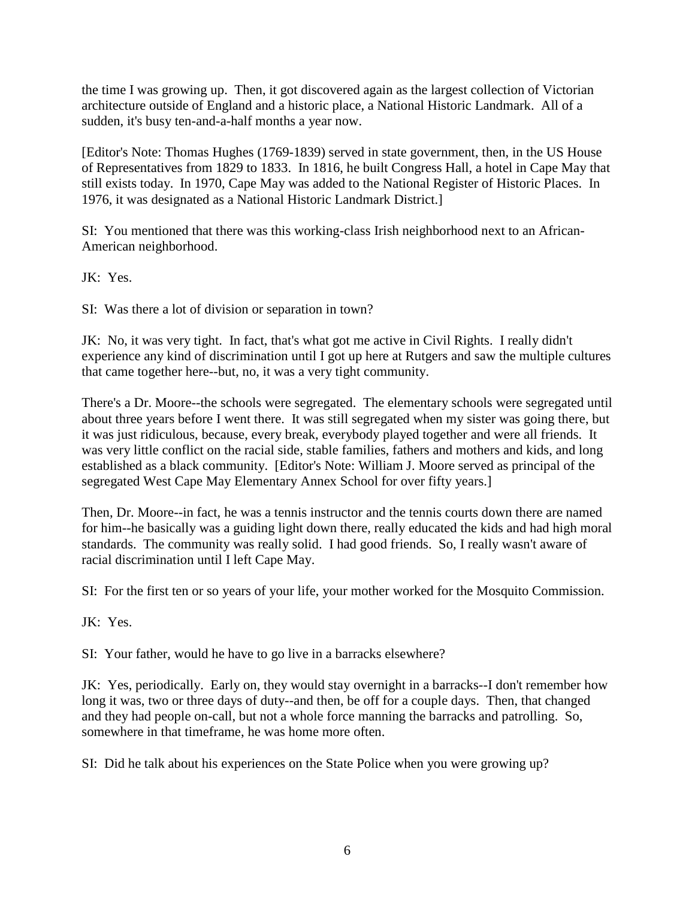the time I was growing up. Then, it got discovered again as the largest collection of Victorian architecture outside of England and a historic place, a National Historic Landmark. All of a sudden, it's busy ten-and-a-half months a year now.

[Editor's Note: Thomas Hughes (1769-1839) served in state government, then, in the US House of Representatives from 1829 to 1833. In 1816, he built Congress Hall, a hotel in Cape May that still exists today. In 1970, Cape May was added to the National Register of Historic Places. In 1976, it was designated as a National Historic Landmark District.]

SI: You mentioned that there was this working-class Irish neighborhood next to an African-American neighborhood.

JK: Yes.

SI: Was there a lot of division or separation in town?

JK: No, it was very tight. In fact, that's what got me active in Civil Rights. I really didn't experience any kind of discrimination until I got up here at Rutgers and saw the multiple cultures that came together here--but, no, it was a very tight community.

There's a Dr. Moore--the schools were segregated. The elementary schools were segregated until about three years before I went there. It was still segregated when my sister was going there, but it was just ridiculous, because, every break, everybody played together and were all friends. It was very little conflict on the racial side, stable families, fathers and mothers and kids, and long established as a black community. [Editor's Note: William J. Moore served as principal of the segregated West Cape May Elementary Annex School for over fifty years.]

Then, Dr. Moore--in fact, he was a tennis instructor and the tennis courts down there are named for him--he basically was a guiding light down there, really educated the kids and had high moral standards. The community was really solid. I had good friends. So, I really wasn't aware of racial discrimination until I left Cape May.

SI: For the first ten or so years of your life, your mother worked for the Mosquito Commission.

JK: Yes.

SI: Your father, would he have to go live in a barracks elsewhere?

JK: Yes, periodically. Early on, they would stay overnight in a barracks--I don't remember how long it was, two or three days of duty--and then, be off for a couple days. Then, that changed and they had people on-call, but not a whole force manning the barracks and patrolling. So, somewhere in that timeframe, he was home more often.

SI: Did he talk about his experiences on the State Police when you were growing up?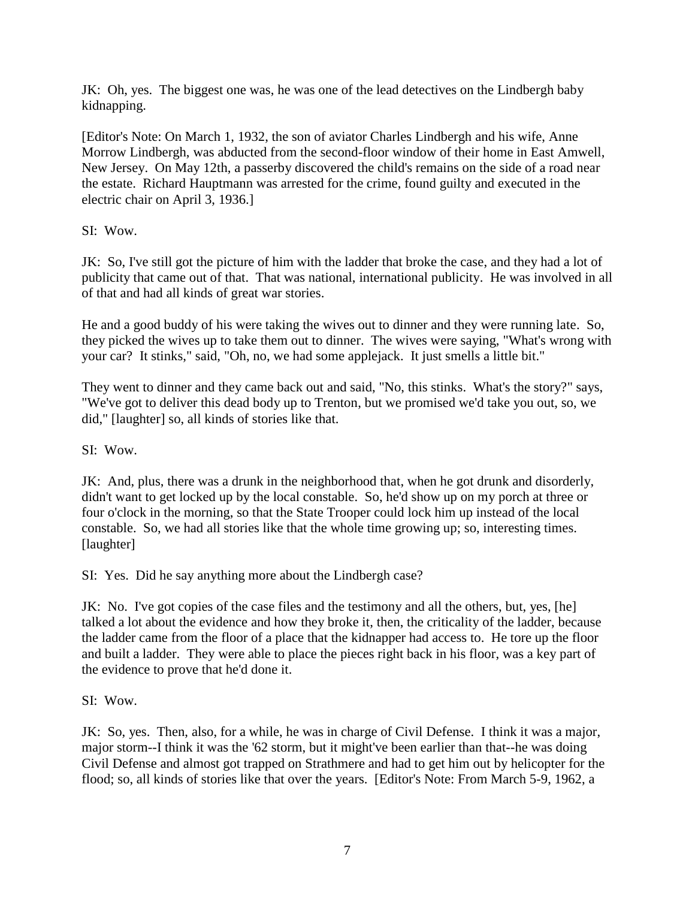JK: Oh, yes. The biggest one was, he was one of the lead detectives on the Lindbergh baby kidnapping.

[Editor's Note: On March 1, 1932, the son of aviator Charles Lindbergh and his wife, Anne Morrow Lindbergh, was abducted from the second-floor window of their home in East Amwell, New Jersey. On May 12th, a passerby discovered the child's remains on the side of a road near the estate. Richard Hauptmann was arrested for the crime, found guilty and executed in the electric chair on April 3, 1936.]

SI: Wow.

JK: So, I've still got the picture of him with the ladder that broke the case, and they had a lot of publicity that came out of that. That was national, international publicity. He was involved in all of that and had all kinds of great war stories.

He and a good buddy of his were taking the wives out to dinner and they were running late. So, they picked the wives up to take them out to dinner. The wives were saying, "What's wrong with your car? It stinks," said, "Oh, no, we had some applejack. It just smells a little bit."

They went to dinner and they came back out and said, "No, this stinks. What's the story?" says, "We've got to deliver this dead body up to Trenton, but we promised we'd take you out, so, we did," [laughter] so, all kinds of stories like that.

SI: Wow.

JK: And, plus, there was a drunk in the neighborhood that, when he got drunk and disorderly, didn't want to get locked up by the local constable. So, he'd show up on my porch at three or four o'clock in the morning, so that the State Trooper could lock him up instead of the local constable. So, we had all stories like that the whole time growing up; so, interesting times. [laughter]

SI: Yes. Did he say anything more about the Lindbergh case?

JK: No. I've got copies of the case files and the testimony and all the others, but, yes, [he] talked a lot about the evidence and how they broke it, then, the criticality of the ladder, because the ladder came from the floor of a place that the kidnapper had access to. He tore up the floor and built a ladder. They were able to place the pieces right back in his floor, was a key part of the evidence to prove that he'd done it.

SI: Wow.

JK: So, yes. Then, also, for a while, he was in charge of Civil Defense. I think it was a major, major storm--I think it was the '62 storm, but it might've been earlier than that--he was doing Civil Defense and almost got trapped on Strathmere and had to get him out by helicopter for the flood; so, all kinds of stories like that over the years. [Editor's Note: From March 5-9, 1962, a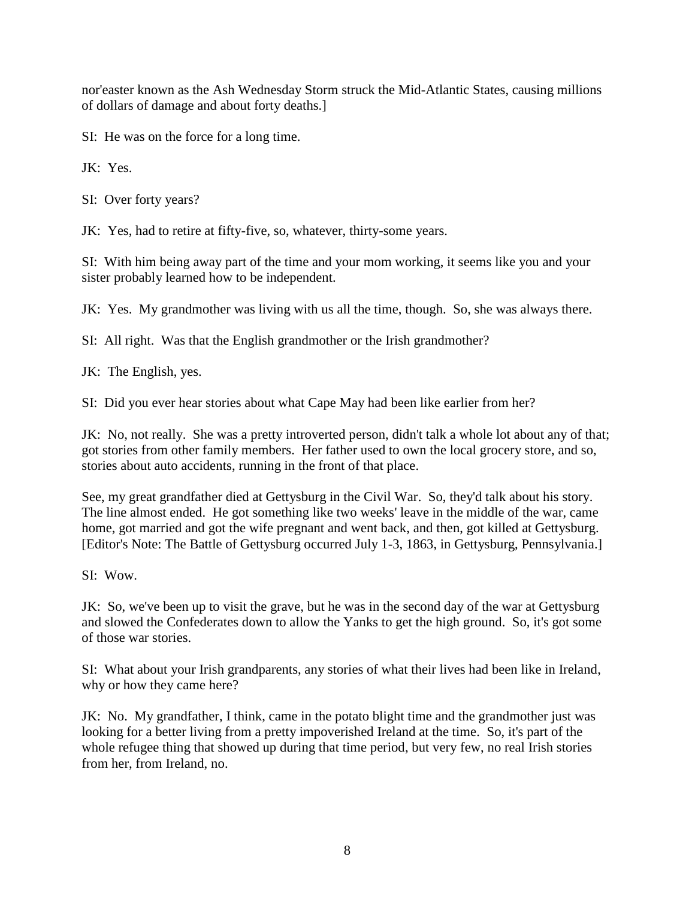nor'easter known as the Ash Wednesday Storm struck the Mid-Atlantic States, causing millions of dollars of damage and about forty deaths.]

SI: He was on the force for a long time.

JK: Yes.

SI: Over forty years?

JK: Yes, had to retire at fifty-five, so, whatever, thirty-some years.

SI: With him being away part of the time and your mom working, it seems like you and your sister probably learned how to be independent.

JK: Yes. My grandmother was living with us all the time, though. So, she was always there.

SI: All right. Was that the English grandmother or the Irish grandmother?

JK: The English, yes.

SI: Did you ever hear stories about what Cape May had been like earlier from her?

JK: No, not really. She was a pretty introverted person, didn't talk a whole lot about any of that; got stories from other family members. Her father used to own the local grocery store, and so, stories about auto accidents, running in the front of that place.

See, my great grandfather died at Gettysburg in the Civil War. So, they'd talk about his story. The line almost ended. He got something like two weeks' leave in the middle of the war, came home, got married and got the wife pregnant and went back, and then, got killed at Gettysburg. [Editor's Note: The Battle of Gettysburg occurred July 1-3, 1863, in Gettysburg, Pennsylvania.]

SI: Wow.

JK: So, we've been up to visit the grave, but he was in the second day of the war at Gettysburg and slowed the Confederates down to allow the Yanks to get the high ground. So, it's got some of those war stories.

SI: What about your Irish grandparents, any stories of what their lives had been like in Ireland, why or how they came here?

JK: No. My grandfather, I think, came in the potato blight time and the grandmother just was looking for a better living from a pretty impoverished Ireland at the time. So, it's part of the whole refugee thing that showed up during that time period, but very few, no real Irish stories from her, from Ireland, no.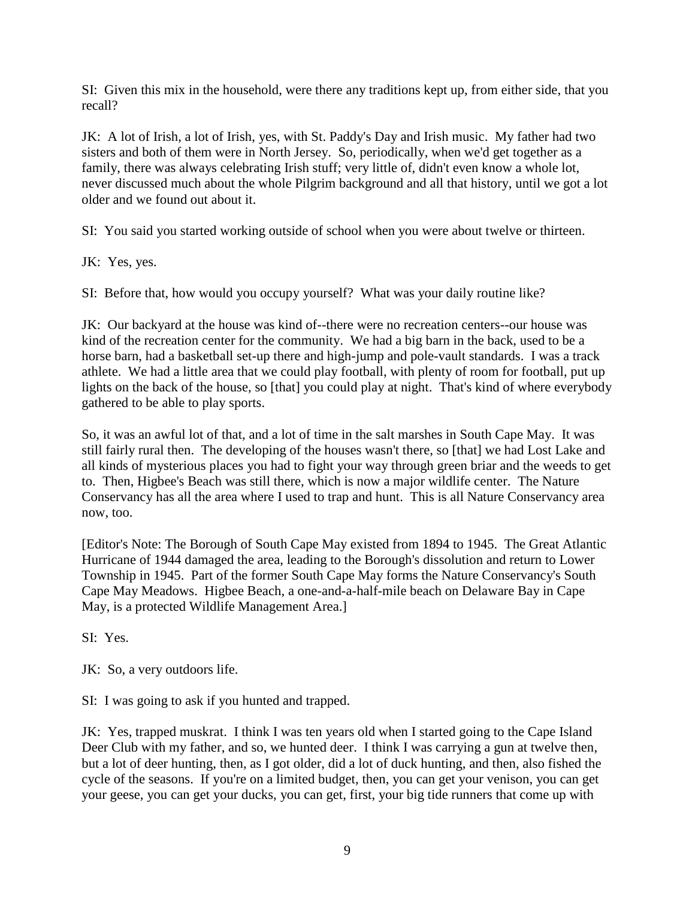SI: Given this mix in the household, were there any traditions kept up, from either side, that you recall?

JK: A lot of Irish, a lot of Irish, yes, with St. Paddy's Day and Irish music. My father had two sisters and both of them were in North Jersey. So, periodically, when we'd get together as a family, there was always celebrating Irish stuff; very little of, didn't even know a whole lot, never discussed much about the whole Pilgrim background and all that history, until we got a lot older and we found out about it.

SI: You said you started working outside of school when you were about twelve or thirteen.

JK: Yes, yes.

SI: Before that, how would you occupy yourself? What was your daily routine like?

JK: Our backyard at the house was kind of--there were no recreation centers--our house was kind of the recreation center for the community. We had a big barn in the back, used to be a horse barn, had a basketball set-up there and high-jump and pole-vault standards. I was a track athlete. We had a little area that we could play football, with plenty of room for football, put up lights on the back of the house, so [that] you could play at night. That's kind of where everybody gathered to be able to play sports.

So, it was an awful lot of that, and a lot of time in the salt marshes in South Cape May. It was still fairly rural then. The developing of the houses wasn't there, so [that] we had Lost Lake and all kinds of mysterious places you had to fight your way through green briar and the weeds to get to. Then, Higbee's Beach was still there, which is now a major wildlife center. The Nature Conservancy has all the area where I used to trap and hunt. This is all Nature Conservancy area now, too.

[Editor's Note: The Borough of South Cape May existed from 1894 to 1945. The Great Atlantic Hurricane of 1944 damaged the area, leading to the Borough's dissolution and return to Lower Township in 1945. Part of the former South Cape May forms the Nature Conservancy's South Cape May Meadows. Higbee Beach, a one-and-a-half-mile beach on Delaware Bay in Cape May, is a protected Wildlife Management Area.]

SI: Yes.

JK: So, a very outdoors life.

SI: I was going to ask if you hunted and trapped.

JK: Yes, trapped muskrat. I think I was ten years old when I started going to the Cape Island Deer Club with my father, and so, we hunted deer. I think I was carrying a gun at twelve then, but a lot of deer hunting, then, as I got older, did a lot of duck hunting, and then, also fished the cycle of the seasons. If you're on a limited budget, then, you can get your venison, you can get your geese, you can get your ducks, you can get, first, your big tide runners that come up with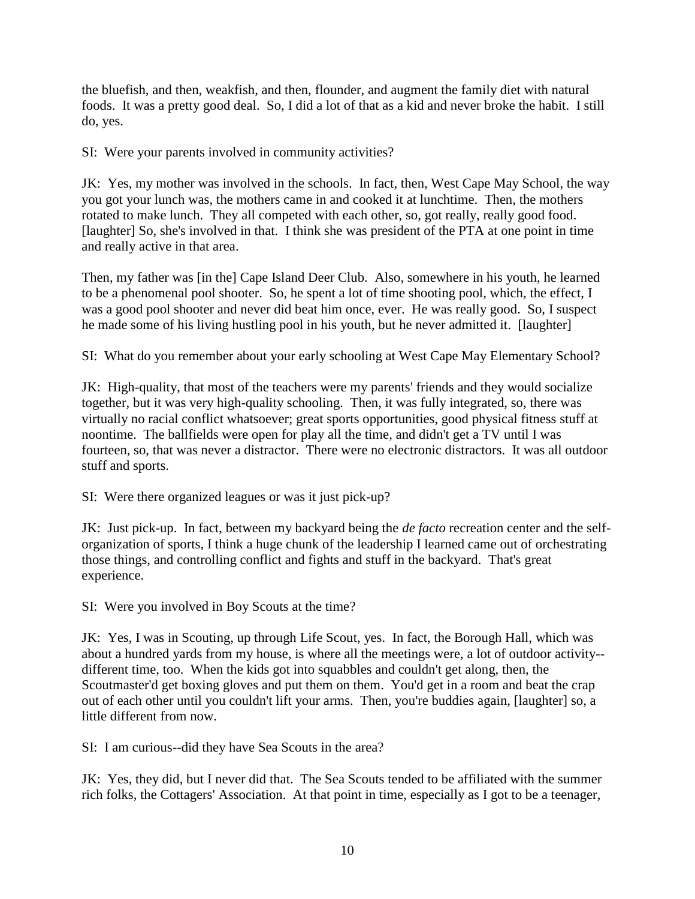the bluefish, and then, weakfish, and then, flounder, and augment the family diet with natural foods. It was a pretty good deal. So, I did a lot of that as a kid and never broke the habit. I still do, yes.

SI: Were your parents involved in community activities?

JK: Yes, my mother was involved in the schools. In fact, then, West Cape May School, the way you got your lunch was, the mothers came in and cooked it at lunchtime. Then, the mothers rotated to make lunch. They all competed with each other, so, got really, really good food. [laughter] So, she's involved in that. I think she was president of the PTA at one point in time and really active in that area.

Then, my father was [in the] Cape Island Deer Club. Also, somewhere in his youth, he learned to be a phenomenal pool shooter. So, he spent a lot of time shooting pool, which, the effect, I was a good pool shooter and never did beat him once, ever. He was really good. So, I suspect he made some of his living hustling pool in his youth, but he never admitted it. [laughter]

SI: What do you remember about your early schooling at West Cape May Elementary School?

JK: High-quality, that most of the teachers were my parents' friends and they would socialize together, but it was very high-quality schooling. Then, it was fully integrated, so, there was virtually no racial conflict whatsoever; great sports opportunities, good physical fitness stuff at noontime. The ballfields were open for play all the time, and didn't get a TV until I was fourteen, so, that was never a distractor. There were no electronic distractors. It was all outdoor stuff and sports.

SI: Were there organized leagues or was it just pick-up?

JK: Just pick-up. In fact, between my backyard being the *de facto* recreation center and the selforganization of sports, I think a huge chunk of the leadership I learned came out of orchestrating those things, and controlling conflict and fights and stuff in the backyard. That's great experience.

SI: Were you involved in Boy Scouts at the time?

JK: Yes, I was in Scouting, up through Life Scout, yes. In fact, the Borough Hall, which was about a hundred yards from my house, is where all the meetings were, a lot of outdoor activity- different time, too. When the kids got into squabbles and couldn't get along, then, the Scoutmaster'd get boxing gloves and put them on them. You'd get in a room and beat the crap out of each other until you couldn't lift your arms. Then, you're buddies again, [laughter] so, a little different from now.

SI: I am curious--did they have Sea Scouts in the area?

JK: Yes, they did, but I never did that. The Sea Scouts tended to be affiliated with the summer rich folks, the Cottagers' Association. At that point in time, especially as I got to be a teenager,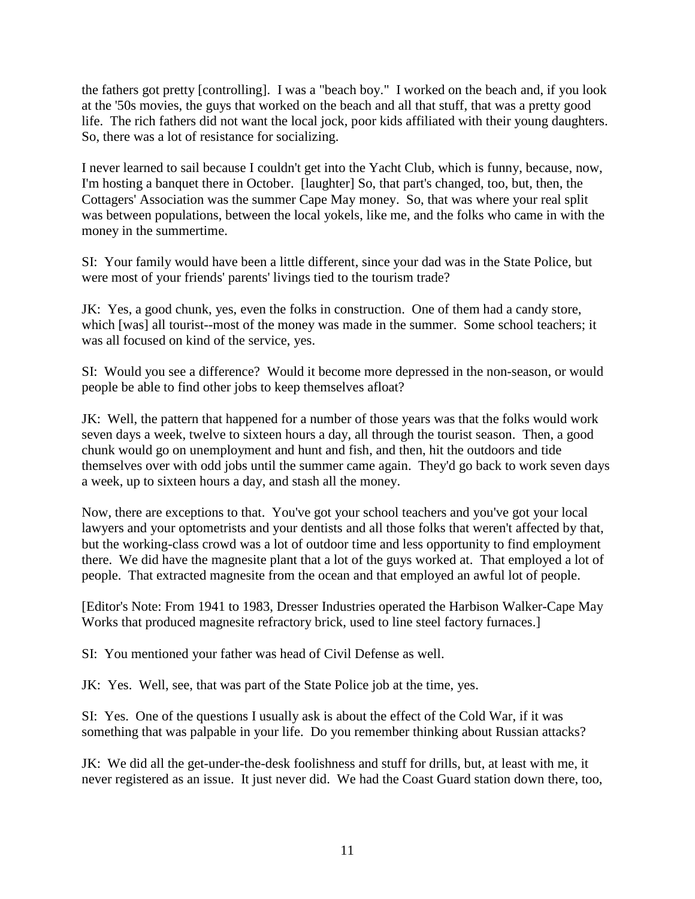the fathers got pretty [controlling]. I was a "beach boy." I worked on the beach and, if you look at the '50s movies, the guys that worked on the beach and all that stuff, that was a pretty good life. The rich fathers did not want the local jock, poor kids affiliated with their young daughters. So, there was a lot of resistance for socializing.

I never learned to sail because I couldn't get into the Yacht Club, which is funny, because, now, I'm hosting a banquet there in October. [laughter] So, that part's changed, too, but, then, the Cottagers' Association was the summer Cape May money. So, that was where your real split was between populations, between the local yokels, like me, and the folks who came in with the money in the summertime.

SI: Your family would have been a little different, since your dad was in the State Police, but were most of your friends' parents' livings tied to the tourism trade?

JK: Yes, a good chunk, yes, even the folks in construction. One of them had a candy store, which [was] all tourist--most of the money was made in the summer. Some school teachers; it was all focused on kind of the service, yes.

SI: Would you see a difference? Would it become more depressed in the non-season, or would people be able to find other jobs to keep themselves afloat?

JK: Well, the pattern that happened for a number of those years was that the folks would work seven days a week, twelve to sixteen hours a day, all through the tourist season. Then, a good chunk would go on unemployment and hunt and fish, and then, hit the outdoors and tide themselves over with odd jobs until the summer came again. They'd go back to work seven days a week, up to sixteen hours a day, and stash all the money.

Now, there are exceptions to that. You've got your school teachers and you've got your local lawyers and your optometrists and your dentists and all those folks that weren't affected by that, but the working-class crowd was a lot of outdoor time and less opportunity to find employment there. We did have the magnesite plant that a lot of the guys worked at. That employed a lot of people. That extracted magnesite from the ocean and that employed an awful lot of people.

[Editor's Note: From 1941 to 1983, Dresser Industries operated the Harbison Walker-Cape May Works that produced magnesite refractory brick, used to line steel factory furnaces.]

SI: You mentioned your father was head of Civil Defense as well.

JK: Yes. Well, see, that was part of the State Police job at the time, yes.

SI: Yes. One of the questions I usually ask is about the effect of the Cold War, if it was something that was palpable in your life. Do you remember thinking about Russian attacks?

JK: We did all the get-under-the-desk foolishness and stuff for drills, but, at least with me, it never registered as an issue. It just never did. We had the Coast Guard station down there, too,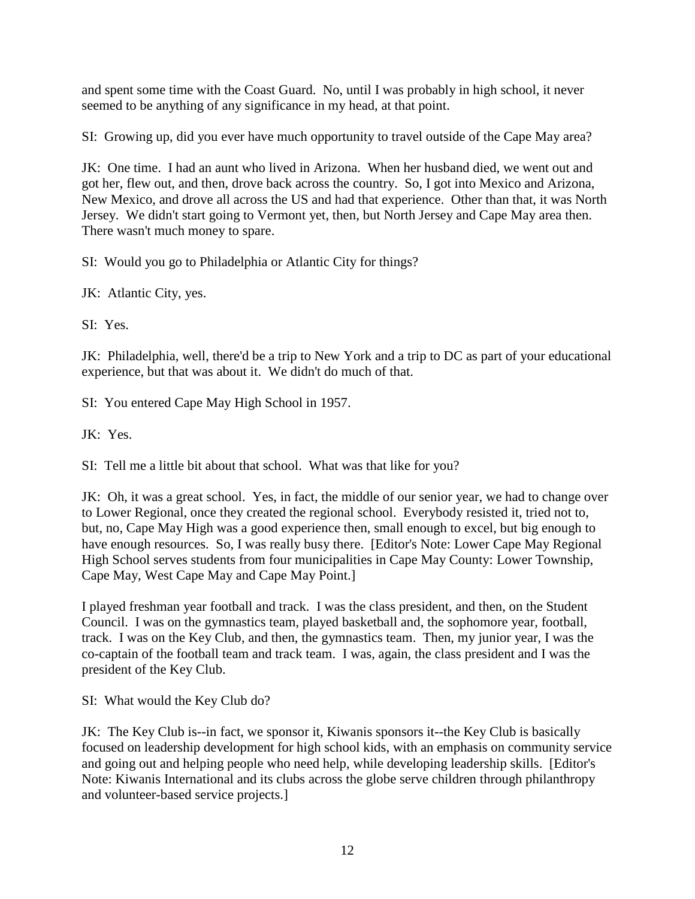and spent some time with the Coast Guard. No, until I was probably in high school, it never seemed to be anything of any significance in my head, at that point.

SI: Growing up, did you ever have much opportunity to travel outside of the Cape May area?

JK: One time. I had an aunt who lived in Arizona. When her husband died, we went out and got her, flew out, and then, drove back across the country. So, I got into Mexico and Arizona, New Mexico, and drove all across the US and had that experience. Other than that, it was North Jersey. We didn't start going to Vermont yet, then, but North Jersey and Cape May area then. There wasn't much money to spare.

SI: Would you go to Philadelphia or Atlantic City for things?

JK: Atlantic City, yes.

SI: Yes.

JK: Philadelphia, well, there'd be a trip to New York and a trip to DC as part of your educational experience, but that was about it. We didn't do much of that.

SI: You entered Cape May High School in 1957.

JK: Yes.

SI: Tell me a little bit about that school. What was that like for you?

JK: Oh, it was a great school. Yes, in fact, the middle of our senior year, we had to change over to Lower Regional, once they created the regional school. Everybody resisted it, tried not to, but, no, Cape May High was a good experience then, small enough to excel, but big enough to have enough resources. So, I was really busy there. [Editor's Note: Lower Cape May Regional High School serves students from four municipalities in Cape May County: Lower Township, Cape May, West Cape May and Cape May Point.]

I played freshman year football and track. I was the class president, and then, on the Student Council. I was on the gymnastics team, played basketball and, the sophomore year, football, track. I was on the Key Club, and then, the gymnastics team. Then, my junior year, I was the co-captain of the football team and track team. I was, again, the class president and I was the president of the Key Club.

SI: What would the Key Club do?

JK: The Key Club is--in fact, we sponsor it, Kiwanis sponsors it--the Key Club is basically focused on leadership development for high school kids, with an emphasis on community service and going out and helping people who need help, while developing leadership skills. [Editor's Note: Kiwanis International and its clubs across the globe serve children through philanthropy and volunteer-based service projects.]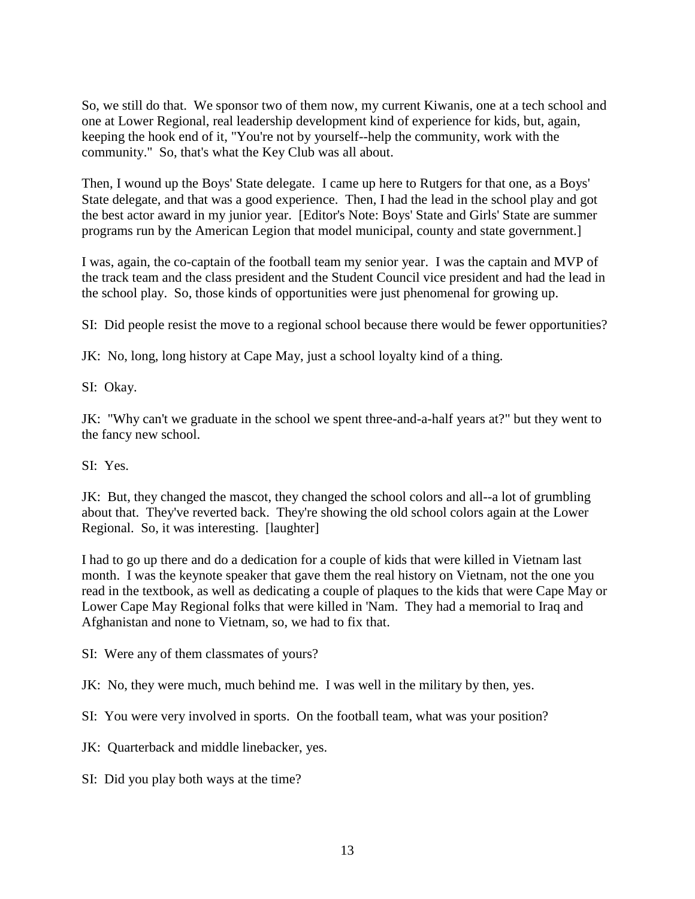So, we still do that. We sponsor two of them now, my current Kiwanis, one at a tech school and one at Lower Regional, real leadership development kind of experience for kids, but, again, keeping the hook end of it, "You're not by yourself--help the community, work with the community." So, that's what the Key Club was all about.

Then, I wound up the Boys' State delegate. I came up here to Rutgers for that one, as a Boys' State delegate, and that was a good experience. Then, I had the lead in the school play and got the best actor award in my junior year. [Editor's Note: Boys' State and Girls' State are summer programs run by the American Legion that model municipal, county and state government.]

I was, again, the co-captain of the football team my senior year. I was the captain and MVP of the track team and the class president and the Student Council vice president and had the lead in the school play. So, those kinds of opportunities were just phenomenal for growing up.

SI: Did people resist the move to a regional school because there would be fewer opportunities?

JK: No, long, long history at Cape May, just a school loyalty kind of a thing.

SI: Okay.

JK: "Why can't we graduate in the school we spent three-and-a-half years at?" but they went to the fancy new school.

SI: Yes.

JK: But, they changed the mascot, they changed the school colors and all--a lot of grumbling about that. They've reverted back. They're showing the old school colors again at the Lower Regional. So, it was interesting. [laughter]

I had to go up there and do a dedication for a couple of kids that were killed in Vietnam last month. I was the keynote speaker that gave them the real history on Vietnam, not the one you read in the textbook, as well as dedicating a couple of plaques to the kids that were Cape May or Lower Cape May Regional folks that were killed in 'Nam. They had a memorial to Iraq and Afghanistan and none to Vietnam, so, we had to fix that.

SI: Were any of them classmates of yours?

JK: No, they were much, much behind me. I was well in the military by then, yes.

SI: You were very involved in sports. On the football team, what was your position?

JK: Quarterback and middle linebacker, yes.

SI: Did you play both ways at the time?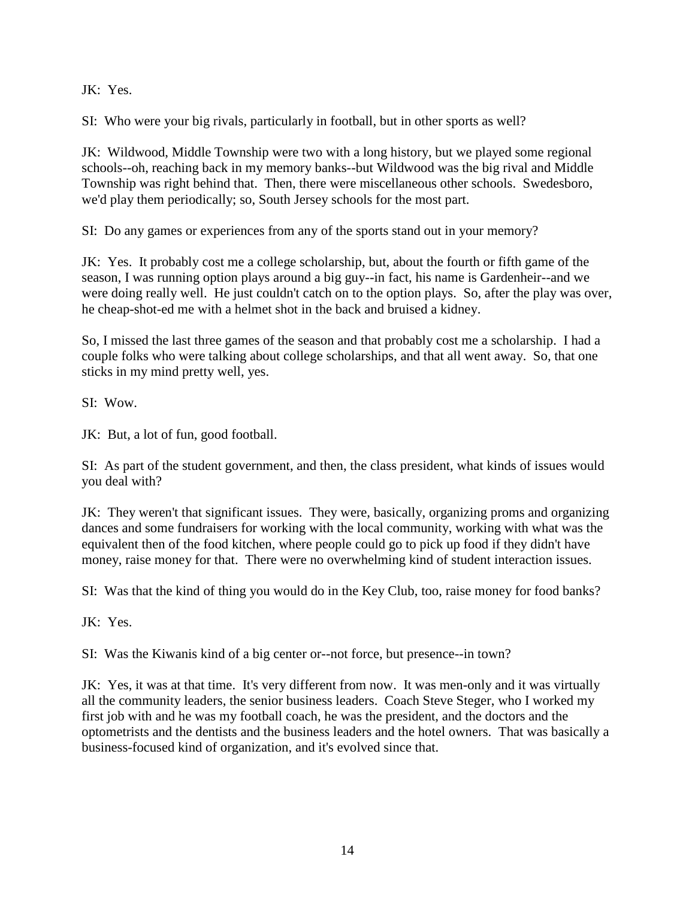JK: Yes.

SI: Who were your big rivals, particularly in football, but in other sports as well?

JK: Wildwood, Middle Township were two with a long history, but we played some regional schools--oh, reaching back in my memory banks--but Wildwood was the big rival and Middle Township was right behind that. Then, there were miscellaneous other schools. Swedesboro, we'd play them periodically; so, South Jersey schools for the most part.

SI: Do any games or experiences from any of the sports stand out in your memory?

JK: Yes. It probably cost me a college scholarship, but, about the fourth or fifth game of the season, I was running option plays around a big guy--in fact, his name is Gardenheir--and we were doing really well. He just couldn't catch on to the option plays. So, after the play was over, he cheap-shot-ed me with a helmet shot in the back and bruised a kidney.

So, I missed the last three games of the season and that probably cost me a scholarship. I had a couple folks who were talking about college scholarships, and that all went away. So, that one sticks in my mind pretty well, yes.

SI: Wow.

JK: But, a lot of fun, good football.

SI: As part of the student government, and then, the class president, what kinds of issues would you deal with?

JK: They weren't that significant issues. They were, basically, organizing proms and organizing dances and some fundraisers for working with the local community, working with what was the equivalent then of the food kitchen, where people could go to pick up food if they didn't have money, raise money for that. There were no overwhelming kind of student interaction issues.

SI: Was that the kind of thing you would do in the Key Club, too, raise money for food banks?

JK: Yes.

SI: Was the Kiwanis kind of a big center or--not force, but presence--in town?

JK: Yes, it was at that time. It's very different from now. It was men-only and it was virtually all the community leaders, the senior business leaders. Coach Steve Steger, who I worked my first job with and he was my football coach, he was the president, and the doctors and the optometrists and the dentists and the business leaders and the hotel owners. That was basically a business-focused kind of organization, and it's evolved since that.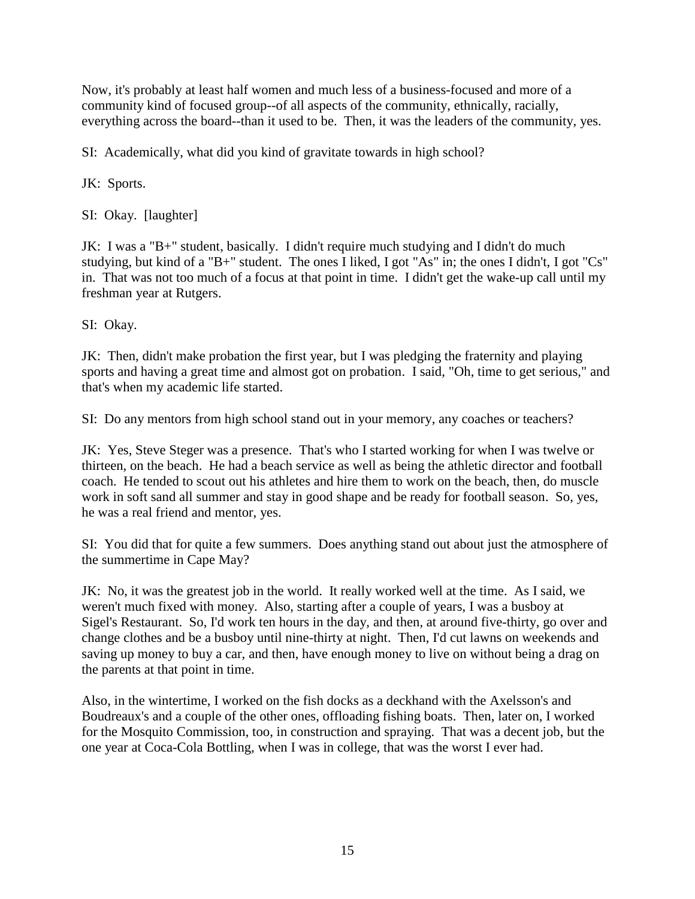Now, it's probably at least half women and much less of a business-focused and more of a community kind of focused group--of all aspects of the community, ethnically, racially, everything across the board--than it used to be. Then, it was the leaders of the community, yes.

SI: Academically, what did you kind of gravitate towards in high school?

JK: Sports.

SI: Okay. [laughter]

JK: I was a "B+" student, basically. I didn't require much studying and I didn't do much studying, but kind of a "B+" student. The ones I liked, I got "As" in; the ones I didn't, I got "Cs" in. That was not too much of a focus at that point in time. I didn't get the wake-up call until my freshman year at Rutgers.

SI: Okay.

JK: Then, didn't make probation the first year, but I was pledging the fraternity and playing sports and having a great time and almost got on probation. I said, "Oh, time to get serious," and that's when my academic life started.

SI: Do any mentors from high school stand out in your memory, any coaches or teachers?

JK: Yes, Steve Steger was a presence. That's who I started working for when I was twelve or thirteen, on the beach. He had a beach service as well as being the athletic director and football coach. He tended to scout out his athletes and hire them to work on the beach, then, do muscle work in soft sand all summer and stay in good shape and be ready for football season. So, yes, he was a real friend and mentor, yes.

SI: You did that for quite a few summers. Does anything stand out about just the atmosphere of the summertime in Cape May?

JK: No, it was the greatest job in the world. It really worked well at the time. As I said, we weren't much fixed with money. Also, starting after a couple of years, I was a busboy at Sigel's Restaurant. So, I'd work ten hours in the day, and then, at around five-thirty, go over and change clothes and be a busboy until nine-thirty at night. Then, I'd cut lawns on weekends and saving up money to buy a car, and then, have enough money to live on without being a drag on the parents at that point in time.

Also, in the wintertime, I worked on the fish docks as a deckhand with the Axelsson's and Boudreaux's and a couple of the other ones, offloading fishing boats. Then, later on, I worked for the Mosquito Commission, too, in construction and spraying. That was a decent job, but the one year at Coca-Cola Bottling, when I was in college, that was the worst I ever had.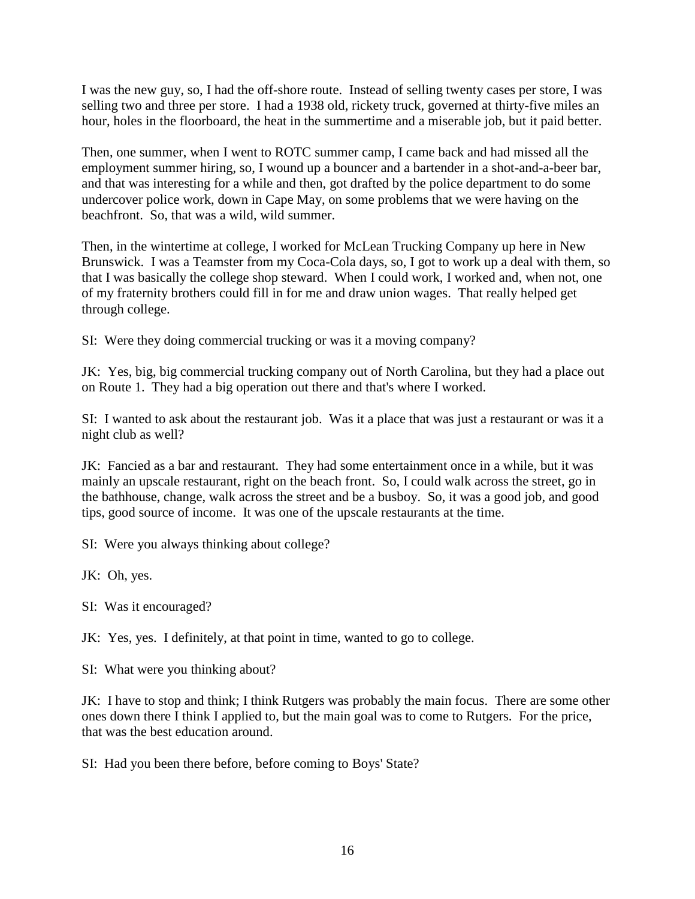I was the new guy, so, I had the off-shore route. Instead of selling twenty cases per store, I was selling two and three per store. I had a 1938 old, rickety truck, governed at thirty-five miles an hour, holes in the floorboard, the heat in the summertime and a miserable job, but it paid better.

Then, one summer, when I went to ROTC summer camp, I came back and had missed all the employment summer hiring, so, I wound up a bouncer and a bartender in a shot-and-a-beer bar, and that was interesting for a while and then, got drafted by the police department to do some undercover police work, down in Cape May, on some problems that we were having on the beachfront. So, that was a wild, wild summer.

Then, in the wintertime at college, I worked for McLean Trucking Company up here in New Brunswick. I was a Teamster from my Coca-Cola days, so, I got to work up a deal with them, so that I was basically the college shop steward. When I could work, I worked and, when not, one of my fraternity brothers could fill in for me and draw union wages. That really helped get through college.

SI: Were they doing commercial trucking or was it a moving company?

JK: Yes, big, big commercial trucking company out of North Carolina, but they had a place out on Route 1. They had a big operation out there and that's where I worked.

SI: I wanted to ask about the restaurant job. Was it a place that was just a restaurant or was it a night club as well?

JK: Fancied as a bar and restaurant. They had some entertainment once in a while, but it was mainly an upscale restaurant, right on the beach front. So, I could walk across the street, go in the bathhouse, change, walk across the street and be a busboy. So, it was a good job, and good tips, good source of income. It was one of the upscale restaurants at the time.

SI: Were you always thinking about college?

JK: Oh, yes.

SI: Was it encouraged?

JK: Yes, yes. I definitely, at that point in time, wanted to go to college.

SI: What were you thinking about?

JK: I have to stop and think; I think Rutgers was probably the main focus. There are some other ones down there I think I applied to, but the main goal was to come to Rutgers. For the price, that was the best education around.

SI: Had you been there before, before coming to Boys' State?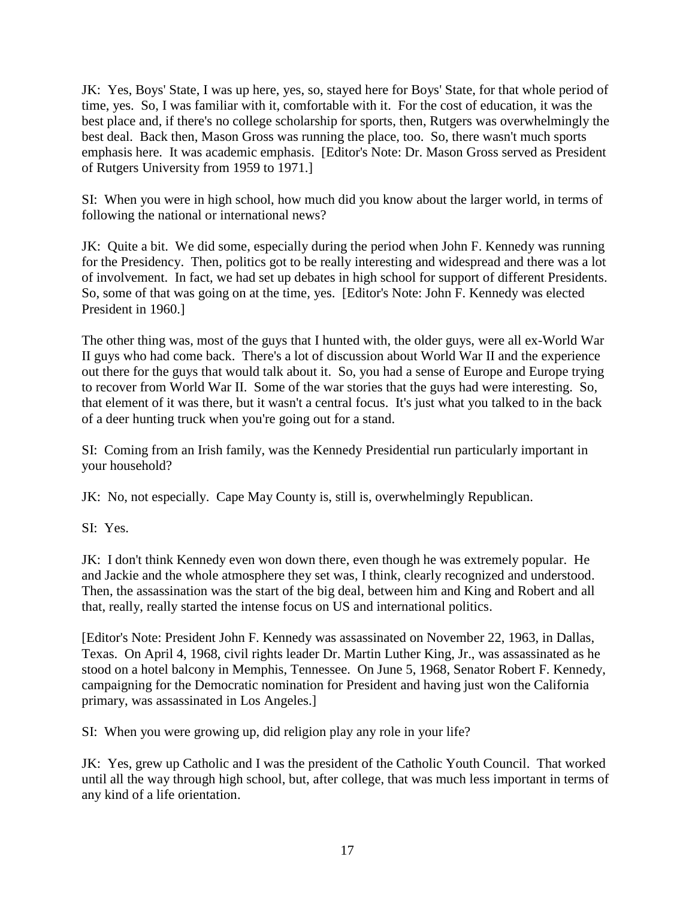JK: Yes, Boys' State, I was up here, yes, so, stayed here for Boys' State, for that whole period of time, yes. So, I was familiar with it, comfortable with it. For the cost of education, it was the best place and, if there's no college scholarship for sports, then, Rutgers was overwhelmingly the best deal. Back then, Mason Gross was running the place, too. So, there wasn't much sports emphasis here. It was academic emphasis. [Editor's Note: Dr. Mason Gross served as President of Rutgers University from 1959 to 1971.]

SI: When you were in high school, how much did you know about the larger world, in terms of following the national or international news?

JK: Quite a bit. We did some, especially during the period when John F. Kennedy was running for the Presidency. Then, politics got to be really interesting and widespread and there was a lot of involvement. In fact, we had set up debates in high school for support of different Presidents. So, some of that was going on at the time, yes. [Editor's Note: John F. Kennedy was elected President in 1960.]

The other thing was, most of the guys that I hunted with, the older guys, were all ex-World War II guys who had come back. There's a lot of discussion about World War II and the experience out there for the guys that would talk about it. So, you had a sense of Europe and Europe trying to recover from World War II. Some of the war stories that the guys had were interesting. So, that element of it was there, but it wasn't a central focus. It's just what you talked to in the back of a deer hunting truck when you're going out for a stand.

SI: Coming from an Irish family, was the Kennedy Presidential run particularly important in your household?

JK: No, not especially. Cape May County is, still is, overwhelmingly Republican.

SI: Yes.

JK: I don't think Kennedy even won down there, even though he was extremely popular. He and Jackie and the whole atmosphere they set was, I think, clearly recognized and understood. Then, the assassination was the start of the big deal, between him and King and Robert and all that, really, really started the intense focus on US and international politics.

[Editor's Note: President John F. Kennedy was assassinated on November 22, 1963, in Dallas, Texas. On April 4, 1968, civil rights leader Dr. Martin Luther King, Jr., was assassinated as he stood on a hotel balcony in Memphis, Tennessee. On June 5, 1968, Senator Robert F. Kennedy, campaigning for the Democratic nomination for President and having just won the California primary, was assassinated in Los Angeles.]

SI: When you were growing up, did religion play any role in your life?

JK: Yes, grew up Catholic and I was the president of the Catholic Youth Council. That worked until all the way through high school, but, after college, that was much less important in terms of any kind of a life orientation.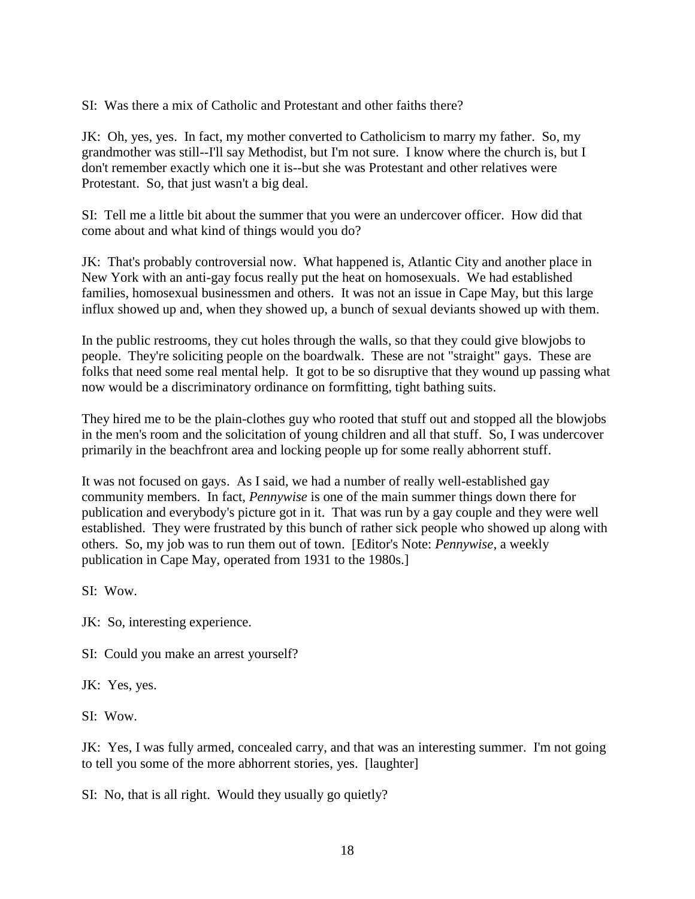SI: Was there a mix of Catholic and Protestant and other faiths there?

JK: Oh, yes, yes. In fact, my mother converted to Catholicism to marry my father. So, my grandmother was still--I'll say Methodist, but I'm not sure. I know where the church is, but I don't remember exactly which one it is--but she was Protestant and other relatives were Protestant. So, that just wasn't a big deal.

SI: Tell me a little bit about the summer that you were an undercover officer. How did that come about and what kind of things would you do?

JK: That's probably controversial now. What happened is, Atlantic City and another place in New York with an anti-gay focus really put the heat on homosexuals. We had established families, homosexual businessmen and others. It was not an issue in Cape May, but this large influx showed up and, when they showed up, a bunch of sexual deviants showed up with them.

In the public restrooms, they cut holes through the walls, so that they could give blowjobs to people. They're soliciting people on the boardwalk. These are not "straight" gays. These are folks that need some real mental help. It got to be so disruptive that they wound up passing what now would be a discriminatory ordinance on formfitting, tight bathing suits.

They hired me to be the plain-clothes guy who rooted that stuff out and stopped all the blowjobs in the men's room and the solicitation of young children and all that stuff. So, I was undercover primarily in the beachfront area and locking people up for some really abhorrent stuff.

It was not focused on gays. As I said, we had a number of really well-established gay community members. In fact, *Pennywise* is one of the main summer things down there for publication and everybody's picture got in it. That was run by a gay couple and they were well established. They were frustrated by this bunch of rather sick people who showed up along with others. So, my job was to run them out of town. [Editor's Note: *Pennywise,* a weekly publication in Cape May, operated from 1931 to the 1980s.]

 $SI:$  Wow.

JK: So, interesting experience.

SI: Could you make an arrest yourself?

JK: Yes, yes.

SI: Wow.

JK: Yes, I was fully armed, concealed carry, and that was an interesting summer. I'm not going to tell you some of the more abhorrent stories, yes. [laughter]

SI: No, that is all right. Would they usually go quietly?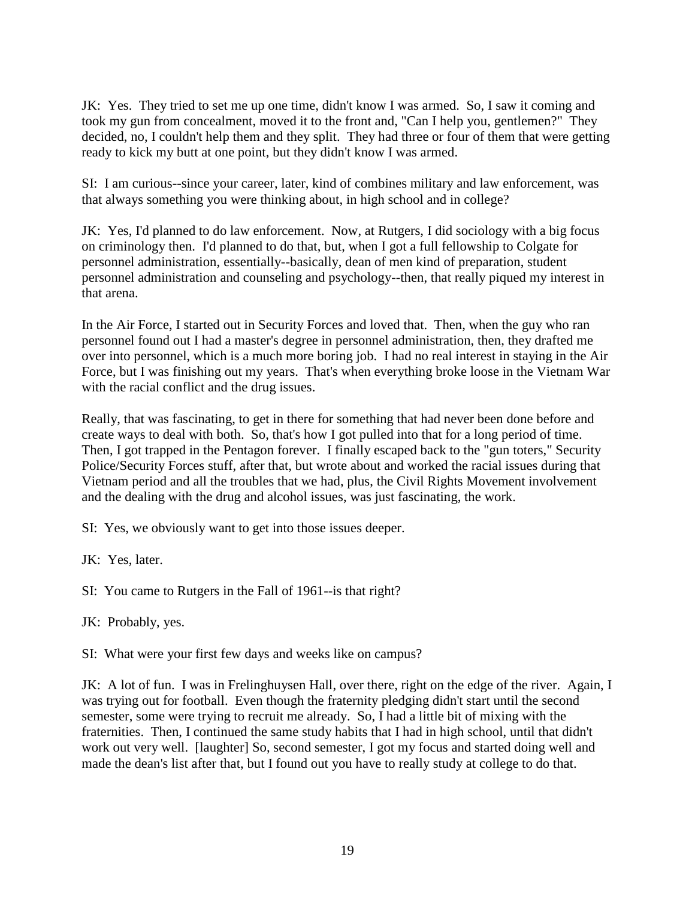JK: Yes. They tried to set me up one time, didn't know I was armed. So, I saw it coming and took my gun from concealment, moved it to the front and, "Can I help you, gentlemen?" They decided, no, I couldn't help them and they split. They had three or four of them that were getting ready to kick my butt at one point, but they didn't know I was armed.

SI: I am curious--since your career, later, kind of combines military and law enforcement, was that always something you were thinking about, in high school and in college?

JK: Yes, I'd planned to do law enforcement. Now, at Rutgers, I did sociology with a big focus on criminology then. I'd planned to do that, but, when I got a full fellowship to Colgate for personnel administration, essentially--basically, dean of men kind of preparation, student personnel administration and counseling and psychology--then, that really piqued my interest in that arena.

In the Air Force, I started out in Security Forces and loved that. Then, when the guy who ran personnel found out I had a master's degree in personnel administration, then, they drafted me over into personnel, which is a much more boring job. I had no real interest in staying in the Air Force, but I was finishing out my years. That's when everything broke loose in the Vietnam War with the racial conflict and the drug issues.

Really, that was fascinating, to get in there for something that had never been done before and create ways to deal with both. So, that's how I got pulled into that for a long period of time. Then, I got trapped in the Pentagon forever. I finally escaped back to the "gun toters," Security Police/Security Forces stuff, after that, but wrote about and worked the racial issues during that Vietnam period and all the troubles that we had, plus, the Civil Rights Movement involvement and the dealing with the drug and alcohol issues, was just fascinating, the work.

SI: Yes, we obviously want to get into those issues deeper.

JK: Yes, later.

SI: You came to Rutgers in the Fall of 1961--is that right?

JK: Probably, yes.

SI: What were your first few days and weeks like on campus?

JK: A lot of fun. I was in Frelinghuysen Hall, over there, right on the edge of the river. Again, I was trying out for football. Even though the fraternity pledging didn't start until the second semester, some were trying to recruit me already. So, I had a little bit of mixing with the fraternities. Then, I continued the same study habits that I had in high school, until that didn't work out very well. [laughter] So, second semester, I got my focus and started doing well and made the dean's list after that, but I found out you have to really study at college to do that.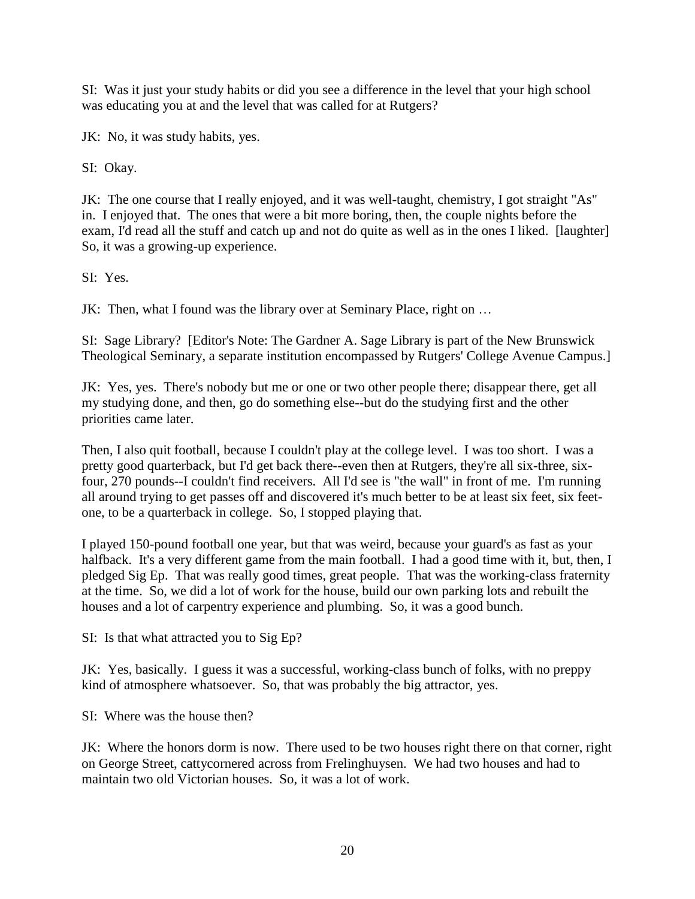SI: Was it just your study habits or did you see a difference in the level that your high school was educating you at and the level that was called for at Rutgers?

JK: No, it was study habits, yes.

SI: Okay.

JK: The one course that I really enjoyed, and it was well-taught, chemistry, I got straight "As" in. I enjoyed that. The ones that were a bit more boring, then, the couple nights before the exam, I'd read all the stuff and catch up and not do quite as well as in the ones I liked. [laughter] So, it was a growing-up experience.

SI: Yes.

JK: Then, what I found was the library over at Seminary Place, right on …

SI: Sage Library? [Editor's Note: The Gardner A. Sage Library is part of the New Brunswick Theological Seminary, a separate institution encompassed by Rutgers' College Avenue Campus.]

JK: Yes, yes. There's nobody but me or one or two other people there; disappear there, get all my studying done, and then, go do something else--but do the studying first and the other priorities came later.

Then, I also quit football, because I couldn't play at the college level. I was too short. I was a pretty good quarterback, but I'd get back there--even then at Rutgers, they're all six-three, sixfour, 270 pounds--I couldn't find receivers. All I'd see is "the wall" in front of me. I'm running all around trying to get passes off and discovered it's much better to be at least six feet, six feetone, to be a quarterback in college. So, I stopped playing that.

I played 150-pound football one year, but that was weird, because your guard's as fast as your halfback. It's a very different game from the main football. I had a good time with it, but, then, I pledged Sig Ep. That was really good times, great people. That was the working-class fraternity at the time. So, we did a lot of work for the house, build our own parking lots and rebuilt the houses and a lot of carpentry experience and plumbing. So, it was a good bunch.

SI: Is that what attracted you to Sig Ep?

JK: Yes, basically. I guess it was a successful, working-class bunch of folks, with no preppy kind of atmosphere whatsoever. So, that was probably the big attractor, yes.

SI: Where was the house then?

JK: Where the honors dorm is now. There used to be two houses right there on that corner, right on George Street, cattycornered across from Frelinghuysen. We had two houses and had to maintain two old Victorian houses. So, it was a lot of work.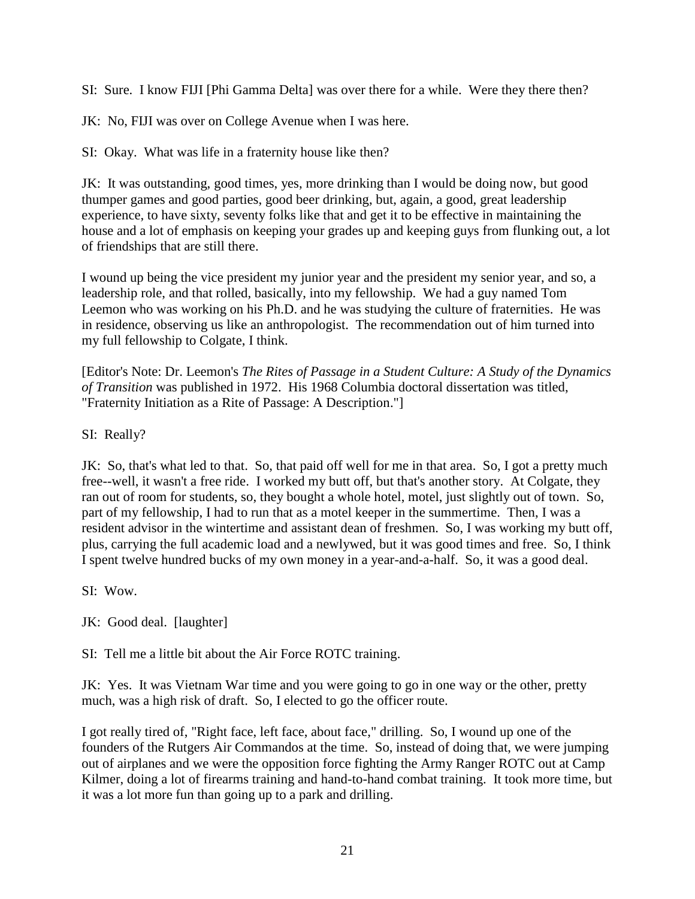SI: Sure. I know FIJI [Phi Gamma Delta] was over there for a while. Were they there then?

JK: No, FIJI was over on College Avenue when I was here.

SI: Okay. What was life in a fraternity house like then?

JK: It was outstanding, good times, yes, more drinking than I would be doing now, but good thumper games and good parties, good beer drinking, but, again, a good, great leadership experience, to have sixty, seventy folks like that and get it to be effective in maintaining the house and a lot of emphasis on keeping your grades up and keeping guys from flunking out, a lot of friendships that are still there.

I wound up being the vice president my junior year and the president my senior year, and so, a leadership role, and that rolled, basically, into my fellowship. We had a guy named Tom Leemon who was working on his Ph.D. and he was studying the culture of fraternities. He was in residence, observing us like an anthropologist. The recommendation out of him turned into my full fellowship to Colgate, I think.

[Editor's Note: Dr. Leemon's *The Rites of Passage in a Student Culture: A Study of the Dynamics of Transition* was published in 1972. His 1968 Columbia doctoral dissertation was titled, "Fraternity Initiation as a Rite of Passage: A Description."]

SI: Really?

JK: So, that's what led to that. So, that paid off well for me in that area. So, I got a pretty much free--well, it wasn't a free ride. I worked my butt off, but that's another story. At Colgate, they ran out of room for students, so, they bought a whole hotel, motel, just slightly out of town. So, part of my fellowship, I had to run that as a motel keeper in the summertime. Then, I was a resident advisor in the wintertime and assistant dean of freshmen. So, I was working my butt off, plus, carrying the full academic load and a newlywed, but it was good times and free. So, I think I spent twelve hundred bucks of my own money in a year-and-a-half. So, it was a good deal.

SI: Wow.

JK: Good deal. [laughter]

SI: Tell me a little bit about the Air Force ROTC training.

JK: Yes. It was Vietnam War time and you were going to go in one way or the other, pretty much, was a high risk of draft. So, I elected to go the officer route.

I got really tired of, "Right face, left face, about face," drilling. So, I wound up one of the founders of the Rutgers Air Commandos at the time. So, instead of doing that, we were jumping out of airplanes and we were the opposition force fighting the Army Ranger ROTC out at Camp Kilmer, doing a lot of firearms training and hand-to-hand combat training. It took more time, but it was a lot more fun than going up to a park and drilling.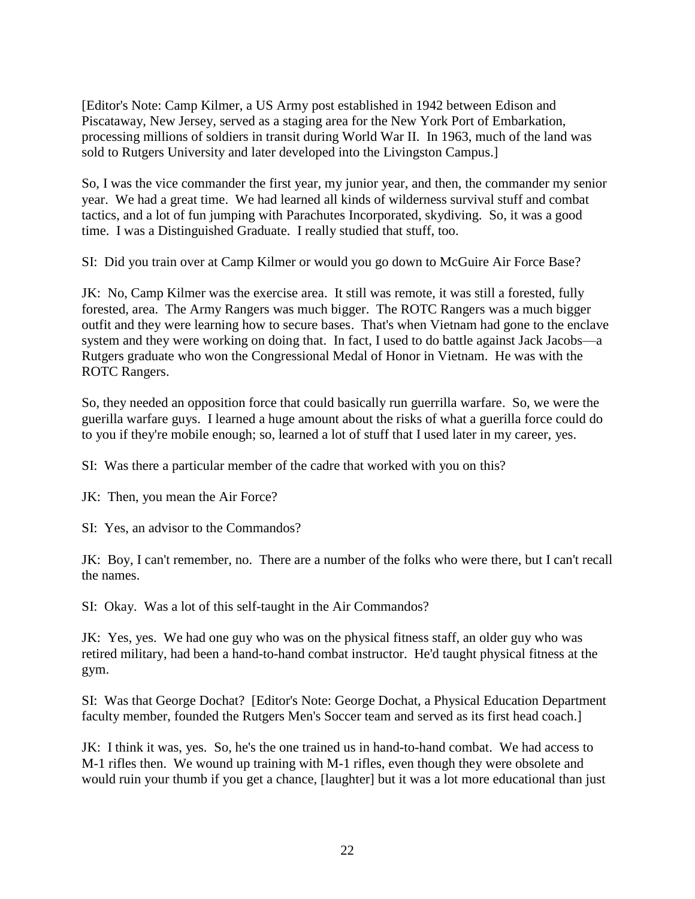[Editor's Note: Camp Kilmer, a US Army post established in 1942 between Edison and Piscataway, New Jersey, served as a staging area for the New York Port of Embarkation, processing millions of soldiers in transit during World War II. In 1963, much of the land was sold to Rutgers University and later developed into the Livingston Campus.]

So, I was the vice commander the first year, my junior year, and then, the commander my senior year. We had a great time. We had learned all kinds of wilderness survival stuff and combat tactics, and a lot of fun jumping with Parachutes Incorporated, skydiving. So, it was a good time. I was a Distinguished Graduate. I really studied that stuff, too.

SI: Did you train over at Camp Kilmer or would you go down to McGuire Air Force Base?

JK: No, Camp Kilmer was the exercise area. It still was remote, it was still a forested, fully forested, area. The Army Rangers was much bigger. The ROTC Rangers was a much bigger outfit and they were learning how to secure bases. That's when Vietnam had gone to the enclave system and they were working on doing that. In fact, I used to do battle against Jack Jacobs—a Rutgers graduate who won the Congressional Medal of Honor in Vietnam. He was with the ROTC Rangers.

So, they needed an opposition force that could basically run guerrilla warfare. So, we were the guerilla warfare guys. I learned a huge amount about the risks of what a guerilla force could do to you if they're mobile enough; so, learned a lot of stuff that I used later in my career, yes.

SI: Was there a particular member of the cadre that worked with you on this?

JK: Then, you mean the Air Force?

SI: Yes, an advisor to the Commandos?

JK: Boy, I can't remember, no. There are a number of the folks who were there, but I can't recall the names.

SI: Okay. Was a lot of this self-taught in the Air Commandos?

JK: Yes, yes. We had one guy who was on the physical fitness staff, an older guy who was retired military, had been a hand-to-hand combat instructor. He'd taught physical fitness at the gym.

SI: Was that George Dochat? [Editor's Note: George Dochat, a Physical Education Department faculty member, founded the Rutgers Men's Soccer team and served as its first head coach.]

JK: I think it was, yes. So, he's the one trained us in hand-to-hand combat. We had access to M-1 rifles then. We wound up training with M-1 rifles, even though they were obsolete and would ruin your thumb if you get a chance, [laughter] but it was a lot more educational than just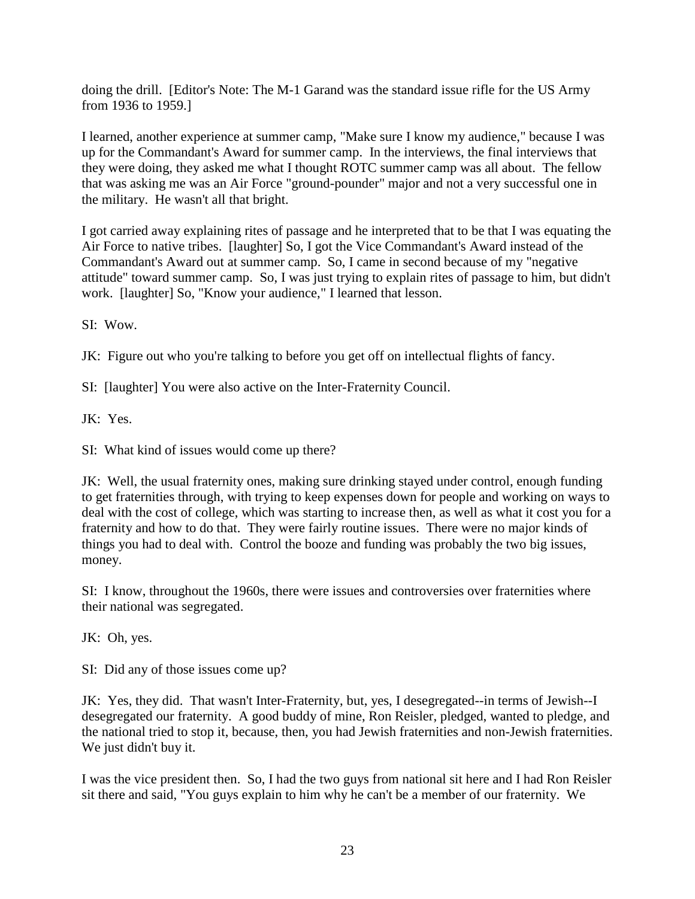doing the drill. [Editor's Note: The M-1 Garand was the standard issue rifle for the US Army from 1936 to 1959.]

I learned, another experience at summer camp, "Make sure I know my audience," because I was up for the Commandant's Award for summer camp. In the interviews, the final interviews that they were doing, they asked me what I thought ROTC summer camp was all about. The fellow that was asking me was an Air Force "ground-pounder" major and not a very successful one in the military. He wasn't all that bright.

I got carried away explaining rites of passage and he interpreted that to be that I was equating the Air Force to native tribes. [laughter] So, I got the Vice Commandant's Award instead of the Commandant's Award out at summer camp. So, I came in second because of my "negative attitude" toward summer camp. So, I was just trying to explain rites of passage to him, but didn't work. [laughter] So, "Know your audience," I learned that lesson.

SI: Wow.

JK: Figure out who you're talking to before you get off on intellectual flights of fancy.

SI: [laughter] You were also active on the Inter-Fraternity Council.

JK: Yes.

SI: What kind of issues would come up there?

JK: Well, the usual fraternity ones, making sure drinking stayed under control, enough funding to get fraternities through, with trying to keep expenses down for people and working on ways to deal with the cost of college, which was starting to increase then, as well as what it cost you for a fraternity and how to do that. They were fairly routine issues. There were no major kinds of things you had to deal with. Control the booze and funding was probably the two big issues, money.

SI: I know, throughout the 1960s, there were issues and controversies over fraternities where their national was segregated.

JK: Oh, yes.

SI: Did any of those issues come up?

JK: Yes, they did. That wasn't Inter-Fraternity, but, yes, I desegregated--in terms of Jewish--I desegregated our fraternity. A good buddy of mine, Ron Reisler, pledged, wanted to pledge, and the national tried to stop it, because, then, you had Jewish fraternities and non-Jewish fraternities. We just didn't buy it.

I was the vice president then. So, I had the two guys from national sit here and I had Ron Reisler sit there and said, "You guys explain to him why he can't be a member of our fraternity. We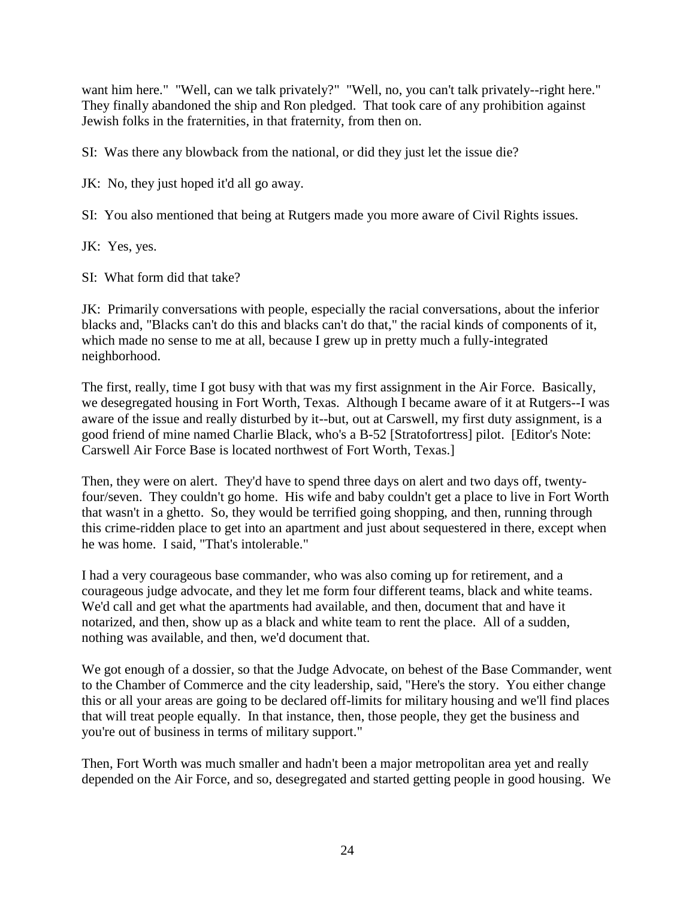want him here." "Well, can we talk privately?" "Well, no, you can't talk privately--right here." They finally abandoned the ship and Ron pledged. That took care of any prohibition against Jewish folks in the fraternities, in that fraternity, from then on.

SI: Was there any blowback from the national, or did they just let the issue die?

JK: No, they just hoped it'd all go away.

SI: You also mentioned that being at Rutgers made you more aware of Civil Rights issues.

JK: Yes, yes.

SI: What form did that take?

JK: Primarily conversations with people, especially the racial conversations, about the inferior blacks and, "Blacks can't do this and blacks can't do that," the racial kinds of components of it, which made no sense to me at all, because I grew up in pretty much a fully-integrated neighborhood.

The first, really, time I got busy with that was my first assignment in the Air Force. Basically, we desegregated housing in Fort Worth, Texas. Although I became aware of it at Rutgers--I was aware of the issue and really disturbed by it--but, out at Carswell, my first duty assignment, is a good friend of mine named Charlie Black, who's a B-52 [Stratofortress] pilot. [Editor's Note: Carswell Air Force Base is located northwest of Fort Worth, Texas.]

Then, they were on alert. They'd have to spend three days on alert and two days off, twentyfour/seven. They couldn't go home. His wife and baby couldn't get a place to live in Fort Worth that wasn't in a ghetto. So, they would be terrified going shopping, and then, running through this crime-ridden place to get into an apartment and just about sequestered in there, except when he was home. I said, "That's intolerable."

I had a very courageous base commander, who was also coming up for retirement, and a courageous judge advocate, and they let me form four different teams, black and white teams. We'd call and get what the apartments had available, and then, document that and have it notarized, and then, show up as a black and white team to rent the place. All of a sudden, nothing was available, and then, we'd document that.

We got enough of a dossier, so that the Judge Advocate, on behest of the Base Commander, went to the Chamber of Commerce and the city leadership, said, "Here's the story. You either change this or all your areas are going to be declared off-limits for military housing and we'll find places that will treat people equally. In that instance, then, those people, they get the business and you're out of business in terms of military support."

Then, Fort Worth was much smaller and hadn't been a major metropolitan area yet and really depended on the Air Force, and so, desegregated and started getting people in good housing. We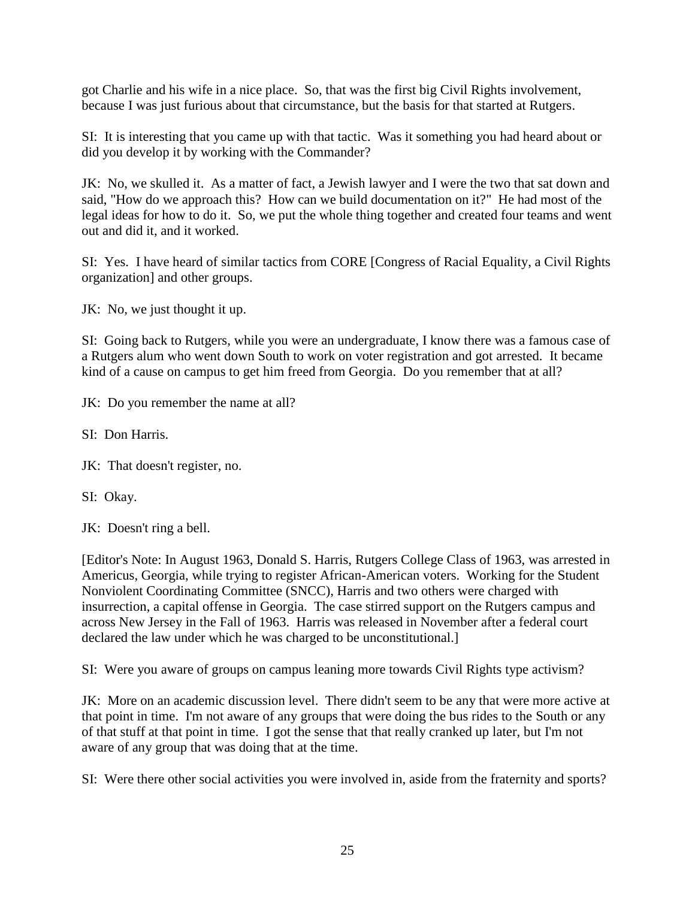got Charlie and his wife in a nice place. So, that was the first big Civil Rights involvement, because I was just furious about that circumstance, but the basis for that started at Rutgers.

SI: It is interesting that you came up with that tactic. Was it something you had heard about or did you develop it by working with the Commander?

JK: No, we skulled it. As a matter of fact, a Jewish lawyer and I were the two that sat down and said, "How do we approach this? How can we build documentation on it?" He had most of the legal ideas for how to do it. So, we put the whole thing together and created four teams and went out and did it, and it worked.

SI: Yes. I have heard of similar tactics from CORE [Congress of Racial Equality, a Civil Rights organization] and other groups.

JK: No, we just thought it up.

SI: Going back to Rutgers, while you were an undergraduate, I know there was a famous case of a Rutgers alum who went down South to work on voter registration and got arrested. It became kind of a cause on campus to get him freed from Georgia. Do you remember that at all?

JK: Do you remember the name at all?

SI: Don Harris.

JK: That doesn't register, no.

SI: Okay.

JK: Doesn't ring a bell.

[Editor's Note: In August 1963, Donald S. Harris, Rutgers College Class of 1963, was arrested in Americus, Georgia, while trying to register African-American voters. Working for the Student Nonviolent Coordinating Committee (SNCC), Harris and two others were charged with insurrection, a capital offense in Georgia. The case stirred support on the Rutgers campus and across New Jersey in the Fall of 1963. Harris was released in November after a federal court declared the law under which he was charged to be unconstitutional.]

SI: Were you aware of groups on campus leaning more towards Civil Rights type activism?

JK: More on an academic discussion level. There didn't seem to be any that were more active at that point in time. I'm not aware of any groups that were doing the bus rides to the South or any of that stuff at that point in time. I got the sense that that really cranked up later, but I'm not aware of any group that was doing that at the time.

SI: Were there other social activities you were involved in, aside from the fraternity and sports?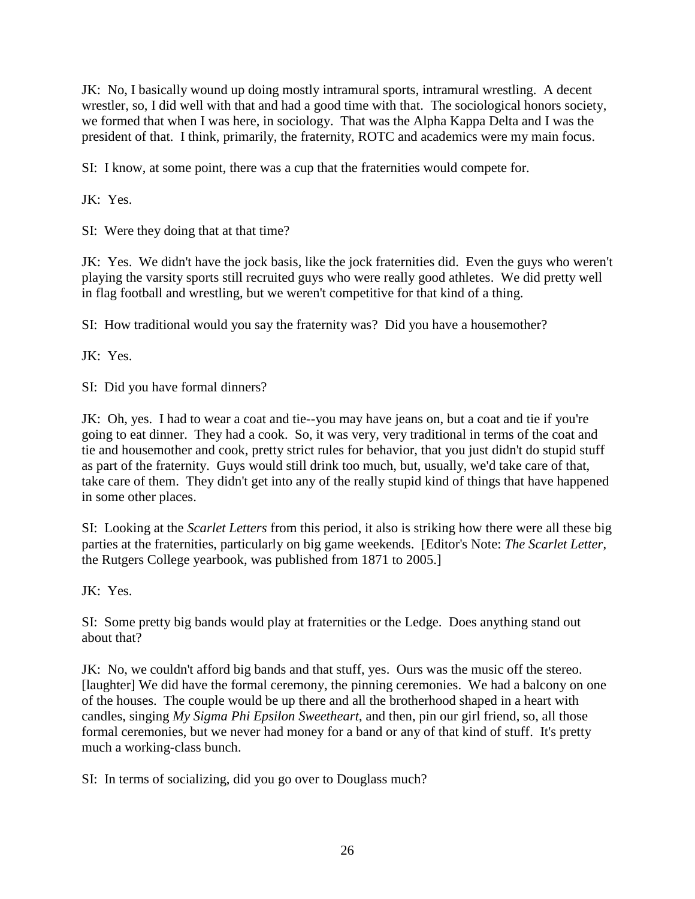JK: No, I basically wound up doing mostly intramural sports, intramural wrestling. A decent wrestler, so, I did well with that and had a good time with that. The sociological honors society, we formed that when I was here, in sociology. That was the Alpha Kappa Delta and I was the president of that. I think, primarily, the fraternity, ROTC and academics were my main focus.

SI: I know, at some point, there was a cup that the fraternities would compete for.

JK: Yes.

SI: Were they doing that at that time?

JK: Yes. We didn't have the jock basis, like the jock fraternities did. Even the guys who weren't playing the varsity sports still recruited guys who were really good athletes. We did pretty well in flag football and wrestling, but we weren't competitive for that kind of a thing.

SI: How traditional would you say the fraternity was? Did you have a housemother?

JK: Yes.

SI: Did you have formal dinners?

JK: Oh, yes. I had to wear a coat and tie--you may have jeans on, but a coat and tie if you're going to eat dinner. They had a cook. So, it was very, very traditional in terms of the coat and tie and housemother and cook, pretty strict rules for behavior, that you just didn't do stupid stuff as part of the fraternity. Guys would still drink too much, but, usually, we'd take care of that, take care of them. They didn't get into any of the really stupid kind of things that have happened in some other places.

SI: Looking at the *Scarlet Letters* from this period, it also is striking how there were all these big parties at the fraternities, particularly on big game weekends. [Editor's Note: *The Scarlet Letter*, the Rutgers College yearbook, was published from 1871 to 2005.]

JK: Yes.

SI: Some pretty big bands would play at fraternities or the Ledge. Does anything stand out about that?

JK: No, we couldn't afford big bands and that stuff, yes. Ours was the music off the stereo. [laughter] We did have the formal ceremony, the pinning ceremonies. We had a balcony on one of the houses. The couple would be up there and all the brotherhood shaped in a heart with candles, singing *My Sigma Phi Epsilon Sweetheart*, and then, pin our girl friend, so, all those formal ceremonies, but we never had money for a band or any of that kind of stuff. It's pretty much a working-class bunch.

SI: In terms of socializing, did you go over to Douglass much?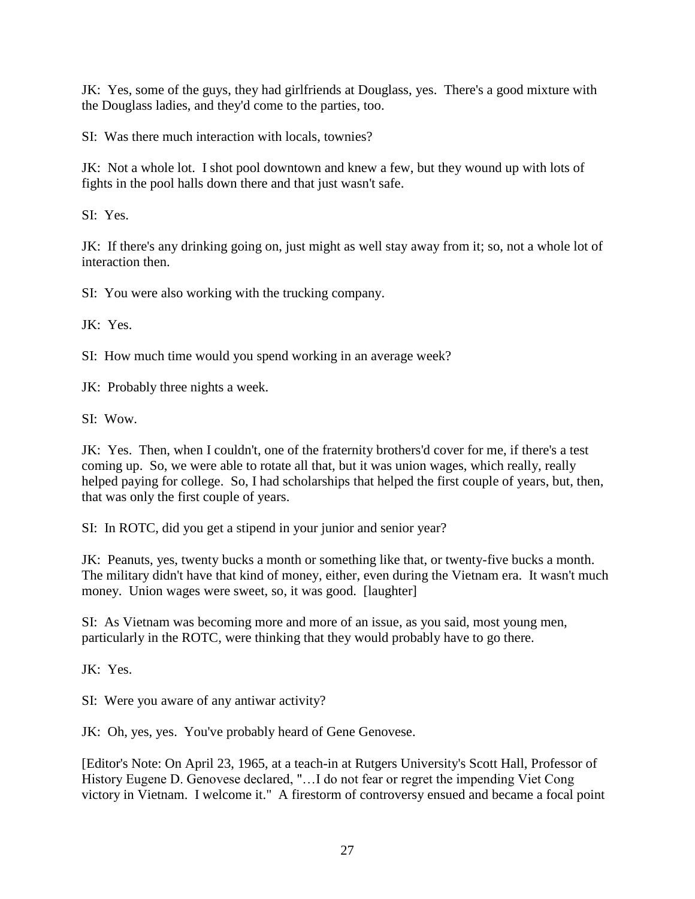JK: Yes, some of the guys, they had girlfriends at Douglass, yes. There's a good mixture with the Douglass ladies, and they'd come to the parties, too.

SI: Was there much interaction with locals, townies?

JK: Not a whole lot. I shot pool downtown and knew a few, but they wound up with lots of fights in the pool halls down there and that just wasn't safe.

SI: Yes.

JK: If there's any drinking going on, just might as well stay away from it; so, not a whole lot of interaction then.

SI: You were also working with the trucking company.

JK: Yes.

SI: How much time would you spend working in an average week?

JK: Probably three nights a week.

SI: Wow.

JK: Yes. Then, when I couldn't, one of the fraternity brothers'd cover for me, if there's a test coming up. So, we were able to rotate all that, but it was union wages, which really, really helped paying for college. So, I had scholarships that helped the first couple of years, but, then, that was only the first couple of years.

SI: In ROTC, did you get a stipend in your junior and senior year?

JK: Peanuts, yes, twenty bucks a month or something like that, or twenty-five bucks a month. The military didn't have that kind of money, either, even during the Vietnam era. It wasn't much money. Union wages were sweet, so, it was good. [laughter]

SI: As Vietnam was becoming more and more of an issue, as you said, most young men, particularly in the ROTC, were thinking that they would probably have to go there.

JK: Yes.

SI: Were you aware of any antiwar activity?

JK: Oh, yes, yes. You've probably heard of Gene Genovese.

[Editor's Note: On April 23, 1965, at a teach-in at Rutgers University's Scott Hall, Professor of History Eugene D. Genovese declared, "…I do not fear or regret the impending Viet Cong victory in Vietnam. I welcome it." A firestorm of controversy ensued and became a focal point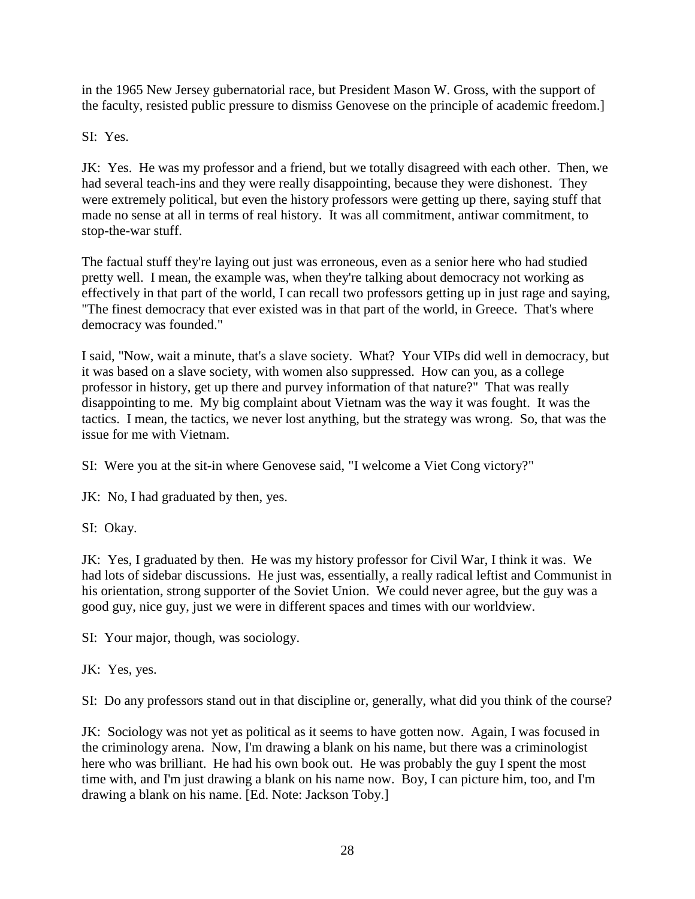in the 1965 New Jersey gubernatorial race, but President Mason W. Gross, with the support of the faculty, resisted public pressure to dismiss Genovese on the principle of academic freedom.]

SI: Yes.

JK: Yes. He was my professor and a friend, but we totally disagreed with each other. Then, we had several teach-ins and they were really disappointing, because they were dishonest. They were extremely political, but even the history professors were getting up there, saying stuff that made no sense at all in terms of real history. It was all commitment, antiwar commitment, to stop-the-war stuff.

The factual stuff they're laying out just was erroneous, even as a senior here who had studied pretty well. I mean, the example was, when they're talking about democracy not working as effectively in that part of the world, I can recall two professors getting up in just rage and saying, "The finest democracy that ever existed was in that part of the world, in Greece. That's where democracy was founded."

I said, "Now, wait a minute, that's a slave society. What? Your VIPs did well in democracy, but it was based on a slave society, with women also suppressed. How can you, as a college professor in history, get up there and purvey information of that nature?" That was really disappointing to me. My big complaint about Vietnam was the way it was fought. It was the tactics. I mean, the tactics, we never lost anything, but the strategy was wrong. So, that was the issue for me with Vietnam.

SI: Were you at the sit-in where Genovese said, "I welcome a Viet Cong victory?"

JK: No, I had graduated by then, yes.

SI: Okay.

JK: Yes, I graduated by then. He was my history professor for Civil War, I think it was. We had lots of sidebar discussions. He just was, essentially, a really radical leftist and Communist in his orientation, strong supporter of the Soviet Union. We could never agree, but the guy was a good guy, nice guy, just we were in different spaces and times with our worldview.

SI: Your major, though, was sociology.

JK: Yes, yes.

SI: Do any professors stand out in that discipline or, generally, what did you think of the course?

JK: Sociology was not yet as political as it seems to have gotten now. Again, I was focused in the criminology arena. Now, I'm drawing a blank on his name, but there was a criminologist here who was brilliant. He had his own book out. He was probably the guy I spent the most time with, and I'm just drawing a blank on his name now. Boy, I can picture him, too, and I'm drawing a blank on his name. [Ed. Note: Jackson Toby.]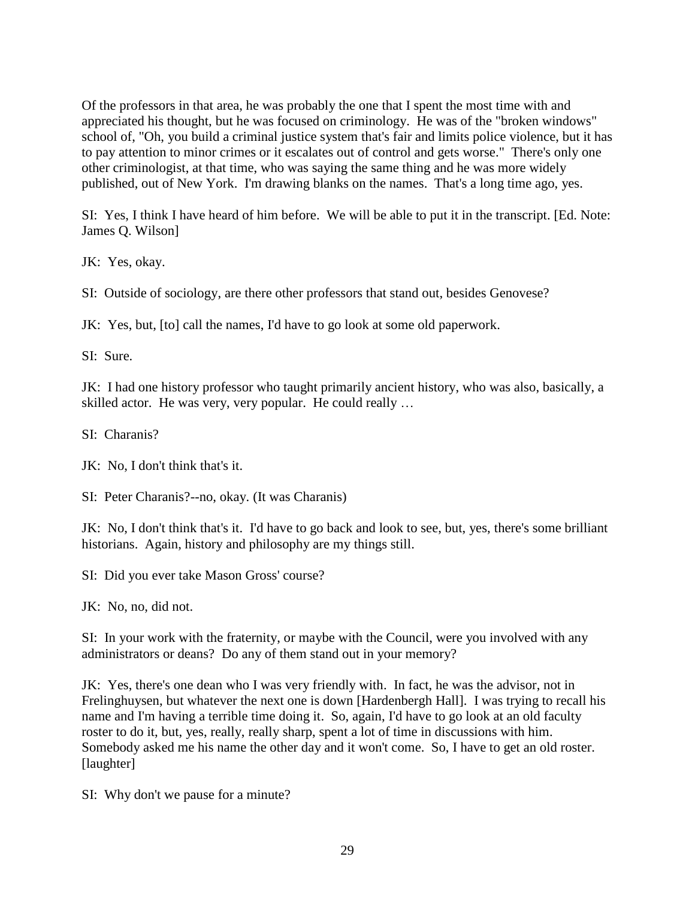Of the professors in that area, he was probably the one that I spent the most time with and appreciated his thought, but he was focused on criminology. He was of the "broken windows" school of, "Oh, you build a criminal justice system that's fair and limits police violence, but it has to pay attention to minor crimes or it escalates out of control and gets worse." There's only one other criminologist, at that time, who was saying the same thing and he was more widely published, out of New York. I'm drawing blanks on the names. That's a long time ago, yes.

SI: Yes, I think I have heard of him before. We will be able to put it in the transcript. [Ed. Note: James Q. Wilson]

JK: Yes, okay.

SI: Outside of sociology, are there other professors that stand out, besides Genovese?

JK: Yes, but, [to] call the names, I'd have to go look at some old paperwork.

SI: Sure.

JK: I had one history professor who taught primarily ancient history, who was also, basically, a skilled actor. He was very, very popular. He could really …

SI: Charanis?

JK: No, I don't think that's it.

SI: Peter Charanis?--no, okay. (It was Charanis)

JK: No, I don't think that's it. I'd have to go back and look to see, but, yes, there's some brilliant historians. Again, history and philosophy are my things still.

SI: Did you ever take Mason Gross' course?

JK: No, no, did not.

SI: In your work with the fraternity, or maybe with the Council, were you involved with any administrators or deans? Do any of them stand out in your memory?

JK: Yes, there's one dean who I was very friendly with. In fact, he was the advisor, not in Frelinghuysen, but whatever the next one is down [Hardenbergh Hall]. I was trying to recall his name and I'm having a terrible time doing it. So, again, I'd have to go look at an old faculty roster to do it, but, yes, really, really sharp, spent a lot of time in discussions with him. Somebody asked me his name the other day and it won't come. So, I have to get an old roster. [laughter]

SI: Why don't we pause for a minute?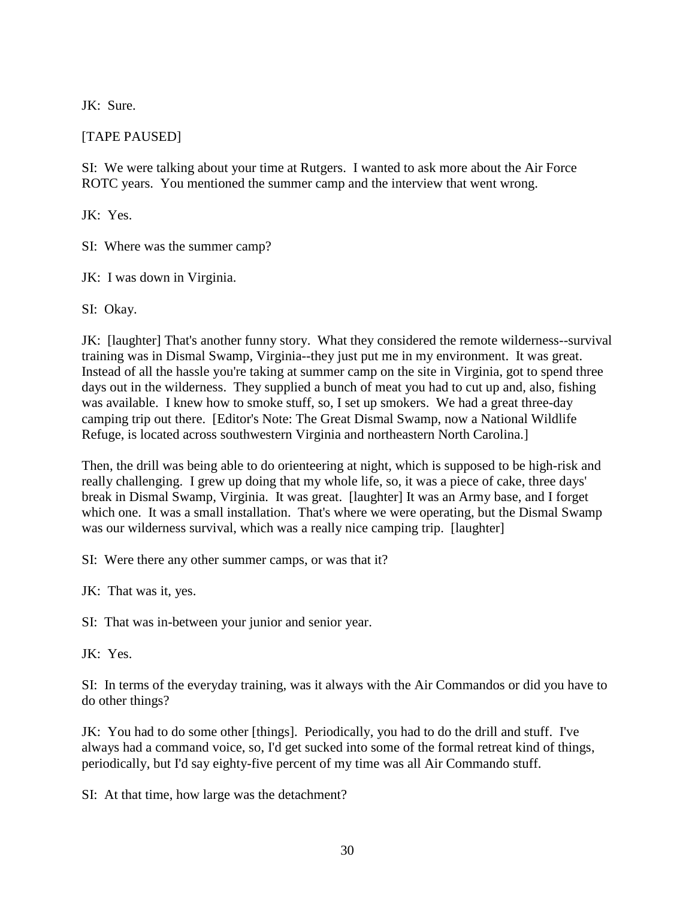JK: Sure.

# [TAPE PAUSED]

SI: We were talking about your time at Rutgers. I wanted to ask more about the Air Force ROTC years. You mentioned the summer camp and the interview that went wrong.

JK: Yes.

SI: Where was the summer camp?

JK: I was down in Virginia.

SI: Okay.

JK: [laughter] That's another funny story. What they considered the remote wilderness--survival training was in Dismal Swamp, Virginia--they just put me in my environment. It was great. Instead of all the hassle you're taking at summer camp on the site in Virginia, got to spend three days out in the wilderness. They supplied a bunch of meat you had to cut up and, also, fishing was available. I knew how to smoke stuff, so, I set up smokers. We had a great three-day camping trip out there. [Editor's Note: The Great Dismal Swamp, now a National Wildlife Refuge, is located across southwestern Virginia and northeastern North Carolina.]

Then, the drill was being able to do orienteering at night, which is supposed to be high-risk and really challenging. I grew up doing that my whole life, so, it was a piece of cake, three days' break in Dismal Swamp, Virginia. It was great. [laughter] It was an Army base, and I forget which one. It was a small installation. That's where we were operating, but the Dismal Swamp was our wilderness survival, which was a really nice camping trip. [laughter]

SI: Were there any other summer camps, or was that it?

JK: That was it, yes.

SI: That was in-between your junior and senior year.

JK: Yes.

SI: In terms of the everyday training, was it always with the Air Commandos or did you have to do other things?

JK: You had to do some other [things]. Periodically, you had to do the drill and stuff. I've always had a command voice, so, I'd get sucked into some of the formal retreat kind of things, periodically, but I'd say eighty-five percent of my time was all Air Commando stuff.

SI: At that time, how large was the detachment?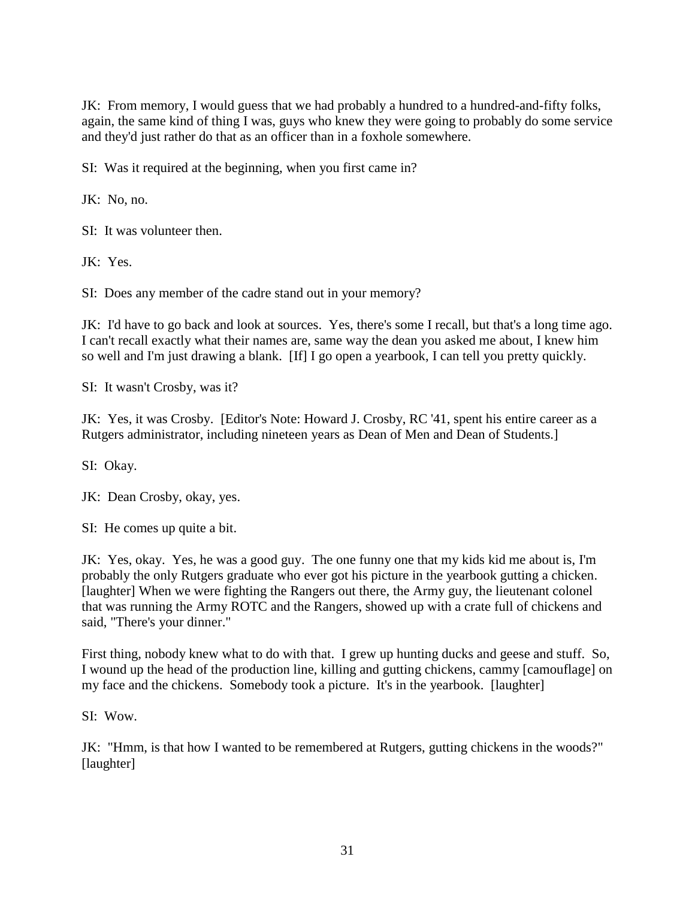JK: From memory, I would guess that we had probably a hundred to a hundred-and-fifty folks, again, the same kind of thing I was, guys who knew they were going to probably do some service and they'd just rather do that as an officer than in a foxhole somewhere.

SI: Was it required at the beginning, when you first came in?

JK: No, no.

SI: It was volunteer then.

JK: Yes.

SI: Does any member of the cadre stand out in your memory?

JK: I'd have to go back and look at sources. Yes, there's some I recall, but that's a long time ago. I can't recall exactly what their names are, same way the dean you asked me about, I knew him so well and I'm just drawing a blank. [If] I go open a yearbook, I can tell you pretty quickly.

SI: It wasn't Crosby, was it?

JK: Yes, it was Crosby. [Editor's Note: Howard J. Crosby, RC '41, spent his entire career as a Rutgers administrator, including nineteen years as Dean of Men and Dean of Students.]

SI: Okay.

JK: Dean Crosby, okay, yes.

SI: He comes up quite a bit.

JK: Yes, okay. Yes, he was a good guy. The one funny one that my kids kid me about is, I'm probably the only Rutgers graduate who ever got his picture in the yearbook gutting a chicken. [laughter] When we were fighting the Rangers out there, the Army guy, the lieutenant colonel that was running the Army ROTC and the Rangers, showed up with a crate full of chickens and said, "There's your dinner."

First thing, nobody knew what to do with that. I grew up hunting ducks and geese and stuff. So, I wound up the head of the production line, killing and gutting chickens, cammy [camouflage] on my face and the chickens. Somebody took a picture. It's in the yearbook. [laughter]

SI: Wow.

JK: "Hmm, is that how I wanted to be remembered at Rutgers, gutting chickens in the woods?" [laughter]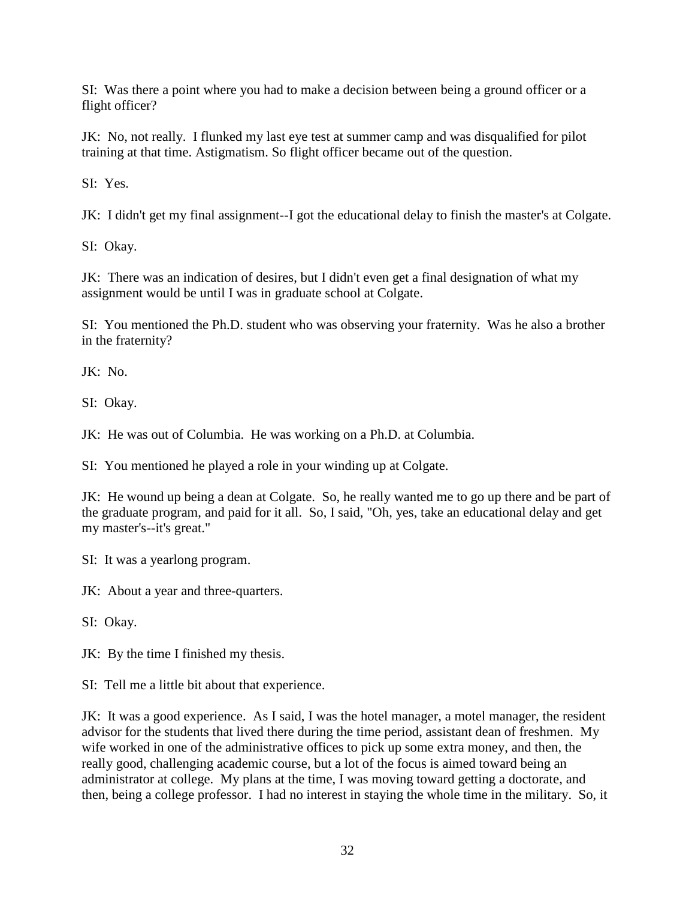SI: Was there a point where you had to make a decision between being a ground officer or a flight officer?

JK: No, not really. I flunked my last eye test at summer camp and was disqualified for pilot training at that time. Astigmatism. So flight officer became out of the question.

SI: Yes.

JK: I didn't get my final assignment--I got the educational delay to finish the master's at Colgate.

SI: Okay.

JK: There was an indication of desires, but I didn't even get a final designation of what my assignment would be until I was in graduate school at Colgate.

SI: You mentioned the Ph.D. student who was observing your fraternity. Was he also a brother in the fraternity?

JK: No.

SI: Okay.

JK: He was out of Columbia. He was working on a Ph.D. at Columbia.

SI: You mentioned he played a role in your winding up at Colgate.

JK: He wound up being a dean at Colgate. So, he really wanted me to go up there and be part of the graduate program, and paid for it all. So, I said, "Oh, yes, take an educational delay and get my master's--it's great."

SI: It was a yearlong program.

JK: About a year and three-quarters.

SI: Okay.

JK: By the time I finished my thesis.

SI: Tell me a little bit about that experience.

JK: It was a good experience. As I said, I was the hotel manager, a motel manager, the resident advisor for the students that lived there during the time period, assistant dean of freshmen. My wife worked in one of the administrative offices to pick up some extra money, and then, the really good, challenging academic course, but a lot of the focus is aimed toward being an administrator at college. My plans at the time, I was moving toward getting a doctorate, and then, being a college professor. I had no interest in staying the whole time in the military. So, it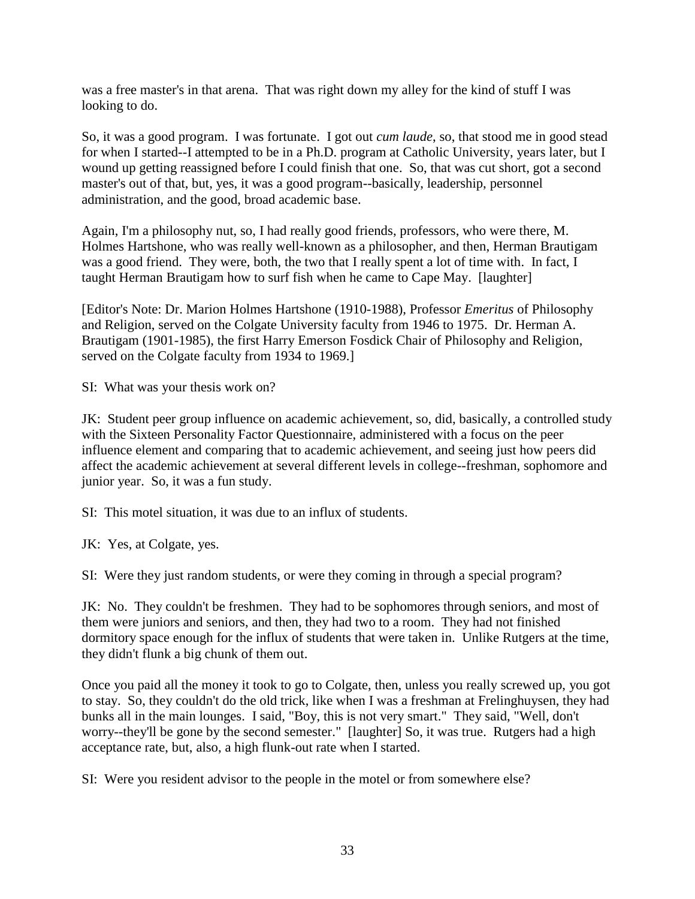was a free master's in that arena. That was right down my alley for the kind of stuff I was looking to do.

So, it was a good program. I was fortunate. I got out *cum laude*, so, that stood me in good stead for when I started--I attempted to be in a Ph.D. program at Catholic University, years later, but I wound up getting reassigned before I could finish that one. So, that was cut short, got a second master's out of that, but, yes, it was a good program--basically, leadership, personnel administration, and the good, broad academic base.

Again, I'm a philosophy nut, so, I had really good friends, professors, who were there, M. Holmes Hartshone, who was really well-known as a philosopher, and then, Herman Brautigam was a good friend. They were, both, the two that I really spent a lot of time with. In fact, I taught Herman Brautigam how to surf fish when he came to Cape May. [laughter]

[Editor's Note: Dr. Marion Holmes Hartshone (1910-1988), Professor *Emeritus* of Philosophy and Religion, served on the Colgate University faculty from 1946 to 1975. Dr. Herman A. Brautigam (1901-1985), the first Harry Emerson Fosdick Chair of Philosophy and Religion, served on the Colgate faculty from 1934 to 1969.]

SI: What was your thesis work on?

JK: Student peer group influence on academic achievement, so, did, basically, a controlled study with the Sixteen Personality Factor Questionnaire, administered with a focus on the peer influence element and comparing that to academic achievement, and seeing just how peers did affect the academic achievement at several different levels in college--freshman, sophomore and junior year. So, it was a fun study.

SI: This motel situation, it was due to an influx of students.

JK: Yes, at Colgate, yes.

SI: Were they just random students, or were they coming in through a special program?

JK: No. They couldn't be freshmen. They had to be sophomores through seniors, and most of them were juniors and seniors, and then, they had two to a room. They had not finished dormitory space enough for the influx of students that were taken in. Unlike Rutgers at the time, they didn't flunk a big chunk of them out.

Once you paid all the money it took to go to Colgate, then, unless you really screwed up, you got to stay. So, they couldn't do the old trick, like when I was a freshman at Frelinghuysen, they had bunks all in the main lounges. I said, "Boy, this is not very smart." They said, "Well, don't worry--they'll be gone by the second semester." [laughter] So, it was true. Rutgers had a high acceptance rate, but, also, a high flunk-out rate when I started.

SI: Were you resident advisor to the people in the motel or from somewhere else?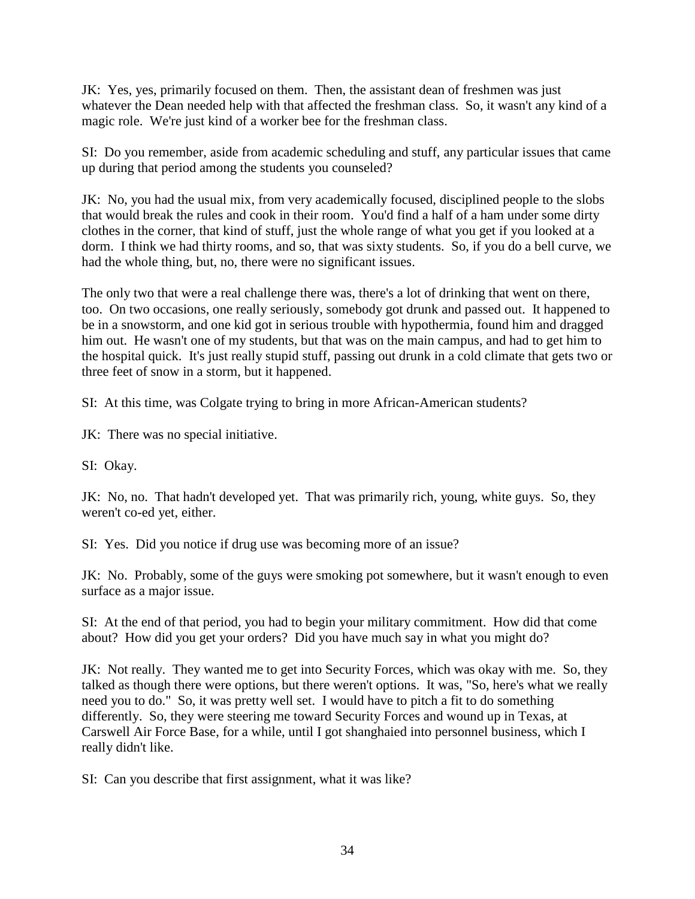JK: Yes, yes, primarily focused on them. Then, the assistant dean of freshmen was just whatever the Dean needed help with that affected the freshman class. So, it wasn't any kind of a magic role. We're just kind of a worker bee for the freshman class.

SI: Do you remember, aside from academic scheduling and stuff, any particular issues that came up during that period among the students you counseled?

JK: No, you had the usual mix, from very academically focused, disciplined people to the slobs that would break the rules and cook in their room. You'd find a half of a ham under some dirty clothes in the corner, that kind of stuff, just the whole range of what you get if you looked at a dorm. I think we had thirty rooms, and so, that was sixty students. So, if you do a bell curve, we had the whole thing, but, no, there were no significant issues.

The only two that were a real challenge there was, there's a lot of drinking that went on there, too. On two occasions, one really seriously, somebody got drunk and passed out. It happened to be in a snowstorm, and one kid got in serious trouble with hypothermia, found him and dragged him out. He wasn't one of my students, but that was on the main campus, and had to get him to the hospital quick. It's just really stupid stuff, passing out drunk in a cold climate that gets two or three feet of snow in a storm, but it happened.

SI: At this time, was Colgate trying to bring in more African-American students?

JK: There was no special initiative.

SI: Okay.

JK: No, no. That hadn't developed yet. That was primarily rich, young, white guys. So, they weren't co-ed yet, either.

SI: Yes. Did you notice if drug use was becoming more of an issue?

JK: No. Probably, some of the guys were smoking pot somewhere, but it wasn't enough to even surface as a major issue.

SI: At the end of that period, you had to begin your military commitment. How did that come about? How did you get your orders? Did you have much say in what you might do?

JK: Not really. They wanted me to get into Security Forces, which was okay with me. So, they talked as though there were options, but there weren't options. It was, "So, here's what we really need you to do." So, it was pretty well set. I would have to pitch a fit to do something differently. So, they were steering me toward Security Forces and wound up in Texas, at Carswell Air Force Base, for a while, until I got shanghaied into personnel business, which I really didn't like.

SI: Can you describe that first assignment, what it was like?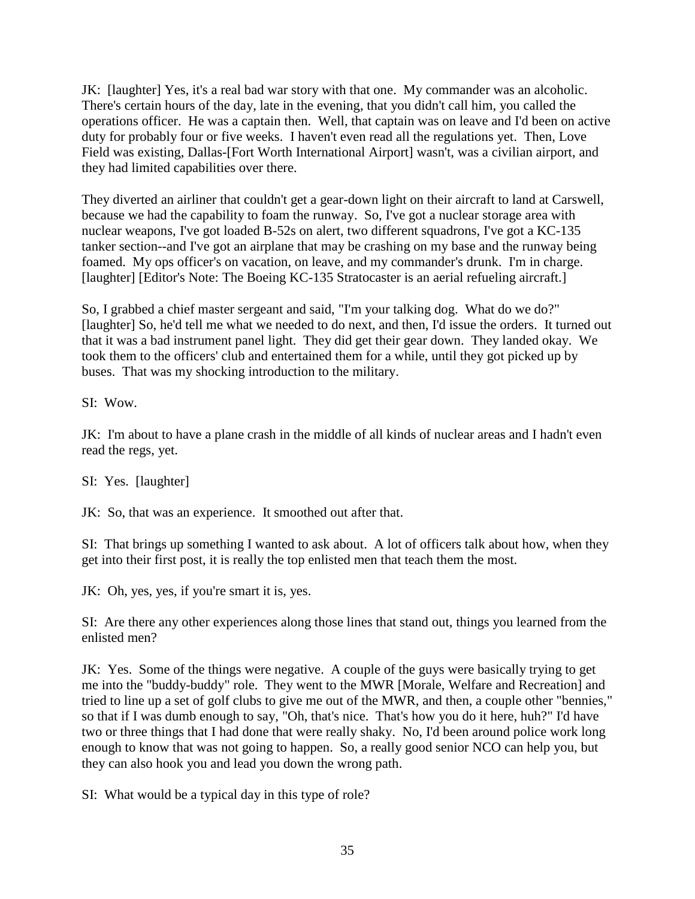JK: [laughter] Yes, it's a real bad war story with that one. My commander was an alcoholic. There's certain hours of the day, late in the evening, that you didn't call him, you called the operations officer. He was a captain then. Well, that captain was on leave and I'd been on active duty for probably four or five weeks. I haven't even read all the regulations yet. Then, Love Field was existing, Dallas-[Fort Worth International Airport] wasn't, was a civilian airport, and they had limited capabilities over there.

They diverted an airliner that couldn't get a gear-down light on their aircraft to land at Carswell, because we had the capability to foam the runway. So, I've got a nuclear storage area with nuclear weapons, I've got loaded B-52s on alert, two different squadrons, I've got a KC-135 tanker section--and I've got an airplane that may be crashing on my base and the runway being foamed. My ops officer's on vacation, on leave, and my commander's drunk. I'm in charge. [laughter] [Editor's Note: The Boeing KC-135 Stratocaster is an aerial refueling aircraft.]

So, I grabbed a chief master sergeant and said, "I'm your talking dog. What do we do?" [laughter] So, he'd tell me what we needed to do next, and then, I'd issue the orders. It turned out that it was a bad instrument panel light. They did get their gear down. They landed okay. We took them to the officers' club and entertained them for a while, until they got picked up by buses. That was my shocking introduction to the military.

SI: Wow.

JK: I'm about to have a plane crash in the middle of all kinds of nuclear areas and I hadn't even read the regs, yet.

SI: Yes. [laughter]

JK: So, that was an experience. It smoothed out after that.

SI: That brings up something I wanted to ask about. A lot of officers talk about how, when they get into their first post, it is really the top enlisted men that teach them the most.

JK: Oh, yes, yes, if you're smart it is, yes.

SI: Are there any other experiences along those lines that stand out, things you learned from the enlisted men?

JK: Yes. Some of the things were negative. A couple of the guys were basically trying to get me into the "buddy-buddy" role. They went to the MWR [Morale, Welfare and Recreation] and tried to line up a set of golf clubs to give me out of the MWR, and then, a couple other "bennies," so that if I was dumb enough to say, "Oh, that's nice. That's how you do it here, huh?" I'd have two or three things that I had done that were really shaky. No, I'd been around police work long enough to know that was not going to happen. So, a really good senior NCO can help you, but they can also hook you and lead you down the wrong path.

SI: What would be a typical day in this type of role?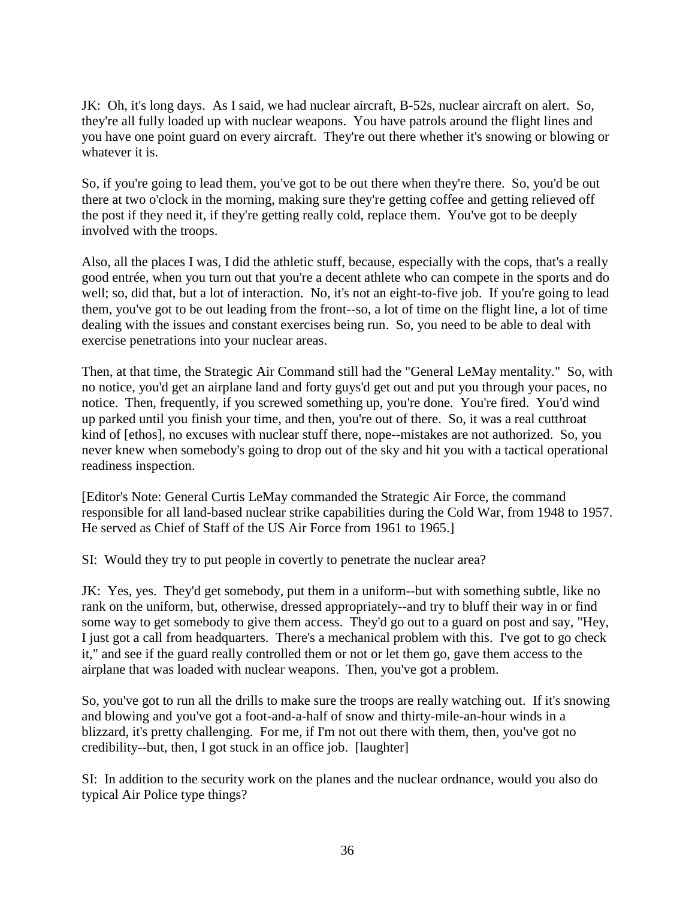JK: Oh, it's long days. As I said, we had nuclear aircraft, B-52s, nuclear aircraft on alert. So, they're all fully loaded up with nuclear weapons. You have patrols around the flight lines and you have one point guard on every aircraft. They're out there whether it's snowing or blowing or whatever it is.

So, if you're going to lead them, you've got to be out there when they're there. So, you'd be out there at two o'clock in the morning, making sure they're getting coffee and getting relieved off the post if they need it, if they're getting really cold, replace them. You've got to be deeply involved with the troops.

Also, all the places I was, I did the athletic stuff, because, especially with the cops, that's a really good entrée, when you turn out that you're a decent athlete who can compete in the sports and do well; so, did that, but a lot of interaction. No, it's not an eight-to-five job. If you're going to lead them, you've got to be out leading from the front--so, a lot of time on the flight line, a lot of time dealing with the issues and constant exercises being run. So, you need to be able to deal with exercise penetrations into your nuclear areas.

Then, at that time, the Strategic Air Command still had the "General LeMay mentality." So, with no notice, you'd get an airplane land and forty guys'd get out and put you through your paces, no notice. Then, frequently, if you screwed something up, you're done. You're fired. You'd wind up parked until you finish your time, and then, you're out of there. So, it was a real cutthroat kind of [ethos], no excuses with nuclear stuff there, nope--mistakes are not authorized. So, you never knew when somebody's going to drop out of the sky and hit you with a tactical operational readiness inspection.

[Editor's Note: General Curtis LeMay commanded the Strategic Air Force, the command responsible for all land-based nuclear strike capabilities during the Cold War, from 1948 to 1957. He served as Chief of Staff of the US Air Force from 1961 to 1965.]

SI: Would they try to put people in covertly to penetrate the nuclear area?

JK: Yes, yes. They'd get somebody, put them in a uniform--but with something subtle, like no rank on the uniform, but, otherwise, dressed appropriately--and try to bluff their way in or find some way to get somebody to give them access. They'd go out to a guard on post and say, "Hey, I just got a call from headquarters. There's a mechanical problem with this. I've got to go check it," and see if the guard really controlled them or not or let them go, gave them access to the airplane that was loaded with nuclear weapons. Then, you've got a problem.

So, you've got to run all the drills to make sure the troops are really watching out. If it's snowing and blowing and you've got a foot-and-a-half of snow and thirty-mile-an-hour winds in a blizzard, it's pretty challenging. For me, if I'm not out there with them, then, you've got no credibility--but, then, I got stuck in an office job. [laughter]

SI: In addition to the security work on the planes and the nuclear ordnance, would you also do typical Air Police type things?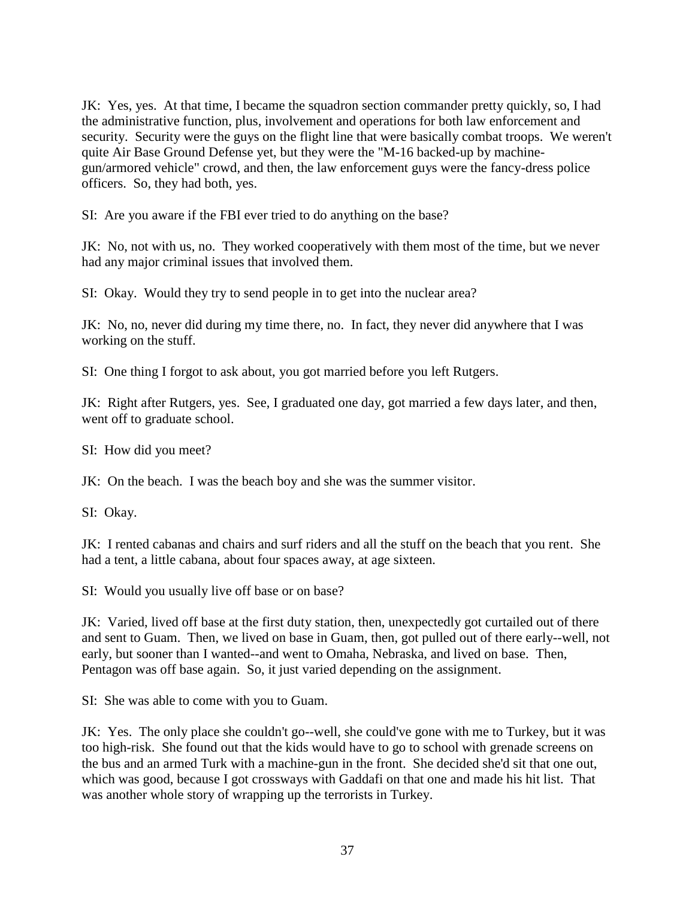JK: Yes, yes. At that time, I became the squadron section commander pretty quickly, so, I had the administrative function, plus, involvement and operations for both law enforcement and security. Security were the guys on the flight line that were basically combat troops. We weren't quite Air Base Ground Defense yet, but they were the "M-16 backed-up by machinegun/armored vehicle" crowd, and then, the law enforcement guys were the fancy-dress police officers. So, they had both, yes.

SI: Are you aware if the FBI ever tried to do anything on the base?

JK: No, not with us, no. They worked cooperatively with them most of the time, but we never had any major criminal issues that involved them.

SI: Okay. Would they try to send people in to get into the nuclear area?

JK: No, no, never did during my time there, no. In fact, they never did anywhere that I was working on the stuff.

SI: One thing I forgot to ask about, you got married before you left Rutgers.

JK: Right after Rutgers, yes. See, I graduated one day, got married a few days later, and then, went off to graduate school.

SI: How did you meet?

JK: On the beach. I was the beach boy and she was the summer visitor.

SI: Okay.

JK: I rented cabanas and chairs and surf riders and all the stuff on the beach that you rent. She had a tent, a little cabana, about four spaces away, at age sixteen.

SI: Would you usually live off base or on base?

JK: Varied, lived off base at the first duty station, then, unexpectedly got curtailed out of there and sent to Guam. Then, we lived on base in Guam, then, got pulled out of there early--well, not early, but sooner than I wanted--and went to Omaha, Nebraska, and lived on base. Then, Pentagon was off base again. So, it just varied depending on the assignment.

SI: She was able to come with you to Guam.

JK: Yes. The only place she couldn't go--well, she could've gone with me to Turkey, but it was too high-risk. She found out that the kids would have to go to school with grenade screens on the bus and an armed Turk with a machine-gun in the front. She decided she'd sit that one out, which was good, because I got crossways with Gaddafi on that one and made his hit list. That was another whole story of wrapping up the terrorists in Turkey.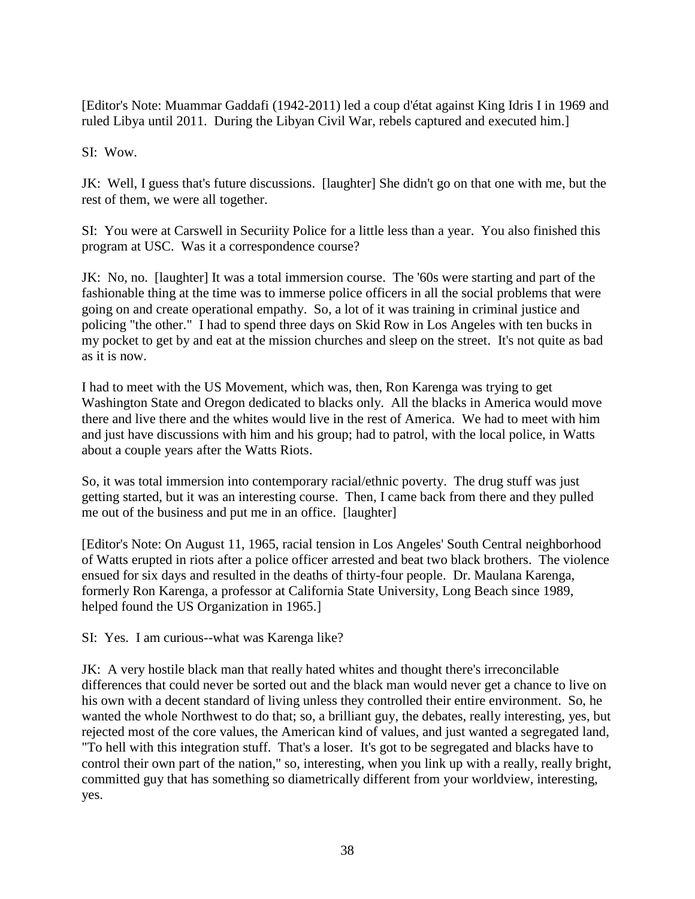[Editor's Note: Muammar Gaddafi (1942-2011) led a coup d'état against King Idris I in 1969 and ruled Libya until 2011. During the Libyan Civil War, rebels captured and executed him.]

SI: Wow.

JK: Well, I guess that's future discussions. [laughter] She didn't go on that one with me, but the rest of them, we were all together.

SI: You were at Carswell in Securiity Police for a little less than a year. You also finished this program at USC. Was it a correspondence course?

JK: No, no. [laughter] It was a total immersion course. The '60s were starting and part of the fashionable thing at the time was to immerse police officers in all the social problems that were going on and create operational empathy. So, a lot of it was training in criminal justice and policing "the other." I had to spend three days on Skid Row in Los Angeles with ten bucks in my pocket to get by and eat at the mission churches and sleep on the street. It's not quite as bad as it is now.

I had to meet with the US Movement, which was, then, Ron Karenga was trying to get Washington State and Oregon dedicated to blacks only. All the blacks in America would move there and live there and the whites would live in the rest of America. We had to meet with him and just have discussions with him and his group; had to patrol, with the local police, in Watts about a couple years after the Watts Riots.

So, it was total immersion into contemporary racial/ethnic poverty. The drug stuff was just getting started, but it was an interesting course. Then, I came back from there and they pulled me out of the business and put me in an office. [laughter]

[Editor's Note: On August 11, 1965, racial tension in Los Angeles' South Central neighborhood of Watts erupted in riots after a police officer arrested and beat two black brothers. The violence ensued for six days and resulted in the deaths of thirty-four people. Dr. Maulana Karenga, formerly Ron Karenga, a professor at California State University, Long Beach since 1989, helped found the US Organization in 1965.]

SI: Yes. I am curious--what was Karenga like?

JK: A very hostile black man that really hated whites and thought there's irreconcilable differences that could never be sorted out and the black man would never get a chance to live on his own with a decent standard of living unless they controlled their entire environment. So, he wanted the whole Northwest to do that; so, a brilliant guy, the debates, really interesting, yes, but rejected most of the core values, the American kind of values, and just wanted a segregated land, "To hell with this integration stuff. That's a loser. It's got to be segregated and blacks have to control their own part of the nation," so, interesting, when you link up with a really, really bright, committed guy that has something so diametrically different from your worldview, interesting, yes.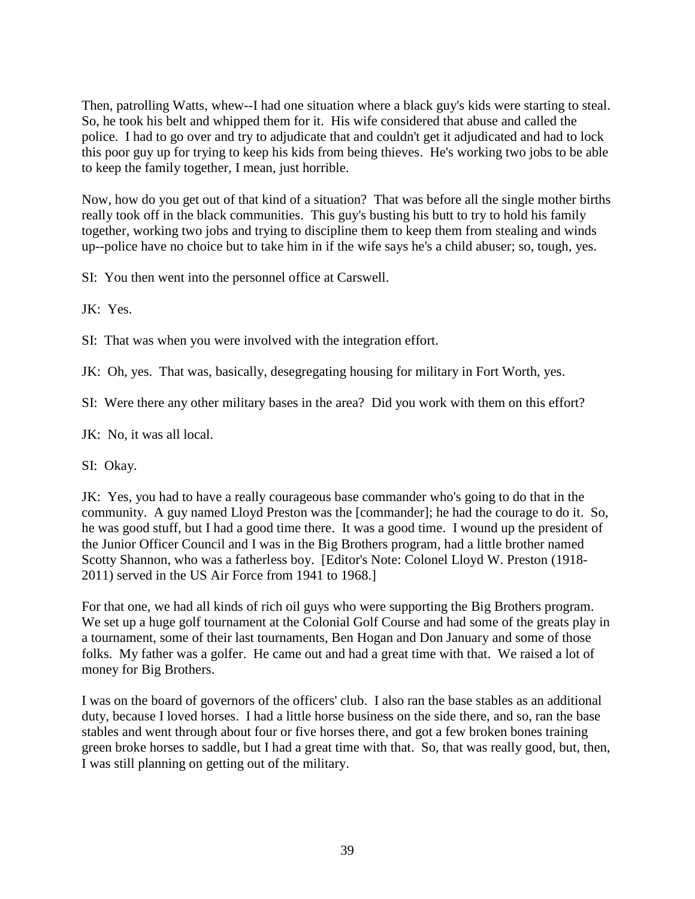Then, patrolling Watts, whew--I had one situation where a black guy's kids were starting to steal. So, he took his belt and whipped them for it. His wife considered that abuse and called the police. I had to go over and try to adjudicate that and couldn't get it adjudicated and had to lock this poor guy up for trying to keep his kids from being thieves. He's working two jobs to be able to keep the family together, I mean, just horrible.

Now, how do you get out of that kind of a situation? That was before all the single mother births really took off in the black communities. This guy's busting his butt to try to hold his family together, working two jobs and trying to discipline them to keep them from stealing and winds up--police have no choice but to take him in if the wife says he's a child abuser; so, tough, yes.

SI: You then went into the personnel office at Carswell.

JK: Yes.

SI: That was when you were involved with the integration effort.

JK: Oh, yes. That was, basically, desegregating housing for military in Fort Worth, yes.

SI: Were there any other military bases in the area? Did you work with them on this effort?

JK: No, it was all local.

SI: Okay.

JK: Yes, you had to have a really courageous base commander who's going to do that in the community. A guy named Lloyd Preston was the [commander]; he had the courage to do it. So, he was good stuff, but I had a good time there. It was a good time. I wound up the president of the Junior Officer Council and I was in the Big Brothers program, had a little brother named Scotty Shannon, who was a fatherless boy. [Editor's Note: Colonel Lloyd W. Preston (1918- 2011) served in the US Air Force from 1941 to 1968.]

For that one, we had all kinds of rich oil guys who were supporting the Big Brothers program. We set up a huge golf tournament at the Colonial Golf Course and had some of the greats play in a tournament, some of their last tournaments, Ben Hogan and Don January and some of those folks. My father was a golfer. He came out and had a great time with that. We raised a lot of money for Big Brothers.

I was on the board of governors of the officers' club. I also ran the base stables as an additional duty, because I loved horses. I had a little horse business on the side there, and so, ran the base stables and went through about four or five horses there, and got a few broken bones training green broke horses to saddle, but I had a great time with that. So, that was really good, but, then, I was still planning on getting out of the military.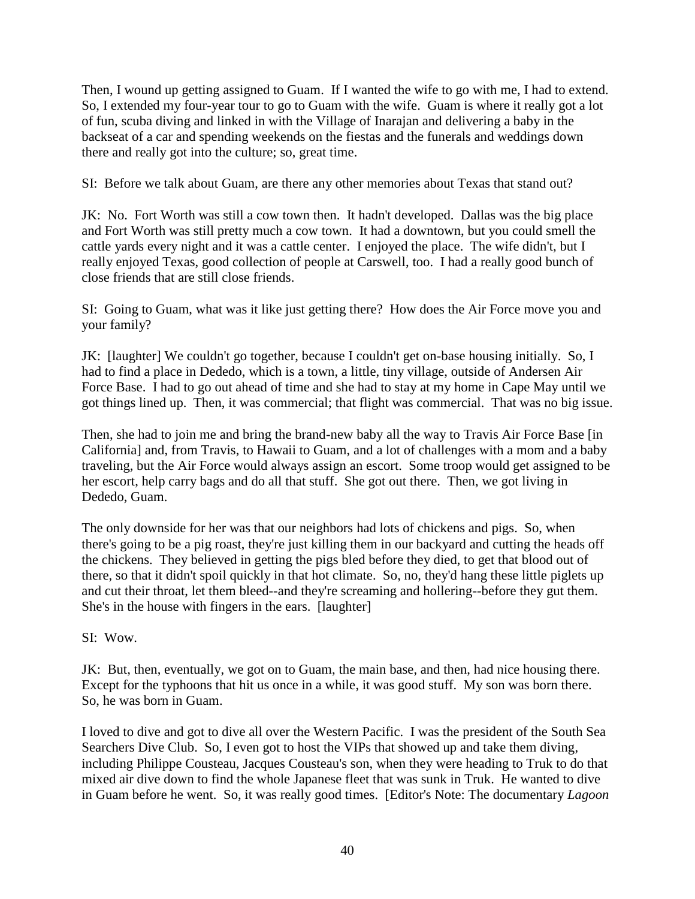Then, I wound up getting assigned to Guam. If I wanted the wife to go with me, I had to extend. So, I extended my four-year tour to go to Guam with the wife. Guam is where it really got a lot of fun, scuba diving and linked in with the Village of Inarajan and delivering a baby in the backseat of a car and spending weekends on the fiestas and the funerals and weddings down there and really got into the culture; so, great time.

SI: Before we talk about Guam, are there any other memories about Texas that stand out?

JK: No. Fort Worth was still a cow town then. It hadn't developed. Dallas was the big place and Fort Worth was still pretty much a cow town. It had a downtown, but you could smell the cattle yards every night and it was a cattle center. I enjoyed the place. The wife didn't, but I really enjoyed Texas, good collection of people at Carswell, too. I had a really good bunch of close friends that are still close friends.

SI: Going to Guam, what was it like just getting there? How does the Air Force move you and your family?

JK: [laughter] We couldn't go together, because I couldn't get on-base housing initially. So, I had to find a place in Dededo, which is a town, a little, tiny village, outside of Andersen Air Force Base. I had to go out ahead of time and she had to stay at my home in Cape May until we got things lined up. Then, it was commercial; that flight was commercial. That was no big issue.

Then, she had to join me and bring the brand-new baby all the way to Travis Air Force Base [in California] and, from Travis, to Hawaii to Guam, and a lot of challenges with a mom and a baby traveling, but the Air Force would always assign an escort. Some troop would get assigned to be her escort, help carry bags and do all that stuff. She got out there. Then, we got living in Dededo, Guam.

The only downside for her was that our neighbors had lots of chickens and pigs. So, when there's going to be a pig roast, they're just killing them in our backyard and cutting the heads off the chickens. They believed in getting the pigs bled before they died, to get that blood out of there, so that it didn't spoil quickly in that hot climate. So, no, they'd hang these little piglets up and cut their throat, let them bleed--and they're screaming and hollering--before they gut them. She's in the house with fingers in the ears. [laughter]

SI: Wow.

JK: But, then, eventually, we got on to Guam, the main base, and then, had nice housing there. Except for the typhoons that hit us once in a while, it was good stuff. My son was born there. So, he was born in Guam.

I loved to dive and got to dive all over the Western Pacific. I was the president of the South Sea Searchers Dive Club. So, I even got to host the VIPs that showed up and take them diving, including Philippe Cousteau, Jacques Cousteau's son, when they were heading to Truk to do that mixed air dive down to find the whole Japanese fleet that was sunk in Truk. He wanted to dive in Guam before he went. So, it was really good times. [Editor's Note: The documentary *Lagoon*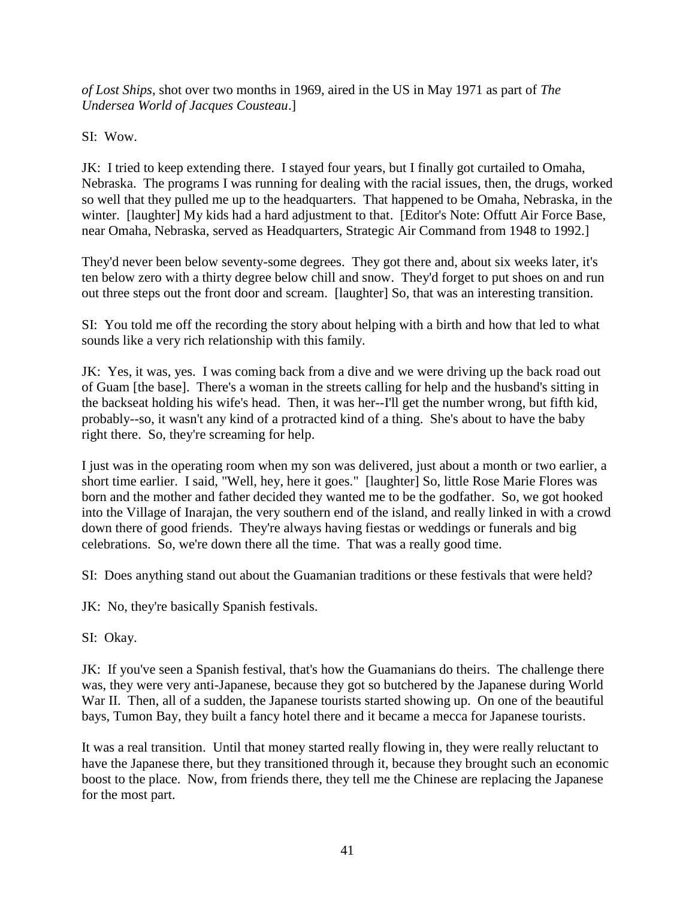*of Lost Ships*, shot over two months in 1969, aired in the US in May 1971 as part of *The Undersea World of Jacques Cousteau*.]

SI: Wow.

JK: I tried to keep extending there. I stayed four years, but I finally got curtailed to Omaha, Nebraska. The programs I was running for dealing with the racial issues, then, the drugs, worked so well that they pulled me up to the headquarters. That happened to be Omaha, Nebraska, in the winter. [laughter] My kids had a hard adjustment to that. [Editor's Note: Offutt Air Force Base, near Omaha, Nebraska, served as Headquarters, Strategic Air Command from 1948 to 1992.]

They'd never been below seventy-some degrees. They got there and, about six weeks later, it's ten below zero with a thirty degree below chill and snow. They'd forget to put shoes on and run out three steps out the front door and scream. [laughter] So, that was an interesting transition.

SI: You told me off the recording the story about helping with a birth and how that led to what sounds like a very rich relationship with this family.

JK: Yes, it was, yes. I was coming back from a dive and we were driving up the back road out of Guam [the base]. There's a woman in the streets calling for help and the husband's sitting in the backseat holding his wife's head. Then, it was her--I'll get the number wrong, but fifth kid, probably--so, it wasn't any kind of a protracted kind of a thing. She's about to have the baby right there. So, they're screaming for help.

I just was in the operating room when my son was delivered, just about a month or two earlier, a short time earlier. I said, "Well, hey, here it goes." [laughter] So, little Rose Marie Flores was born and the mother and father decided they wanted me to be the godfather. So, we got hooked into the Village of Inarajan, the very southern end of the island, and really linked in with a crowd down there of good friends. They're always having fiestas or weddings or funerals and big celebrations. So, we're down there all the time. That was a really good time.

SI: Does anything stand out about the Guamanian traditions or these festivals that were held?

JK: No, they're basically Spanish festivals.

SI: Okay.

JK: If you've seen a Spanish festival, that's how the Guamanians do theirs. The challenge there was, they were very anti-Japanese, because they got so butchered by the Japanese during World War II. Then, all of a sudden, the Japanese tourists started showing up. On one of the beautiful bays, Tumon Bay, they built a fancy hotel there and it became a mecca for Japanese tourists.

It was a real transition. Until that money started really flowing in, they were really reluctant to have the Japanese there, but they transitioned through it, because they brought such an economic boost to the place. Now, from friends there, they tell me the Chinese are replacing the Japanese for the most part.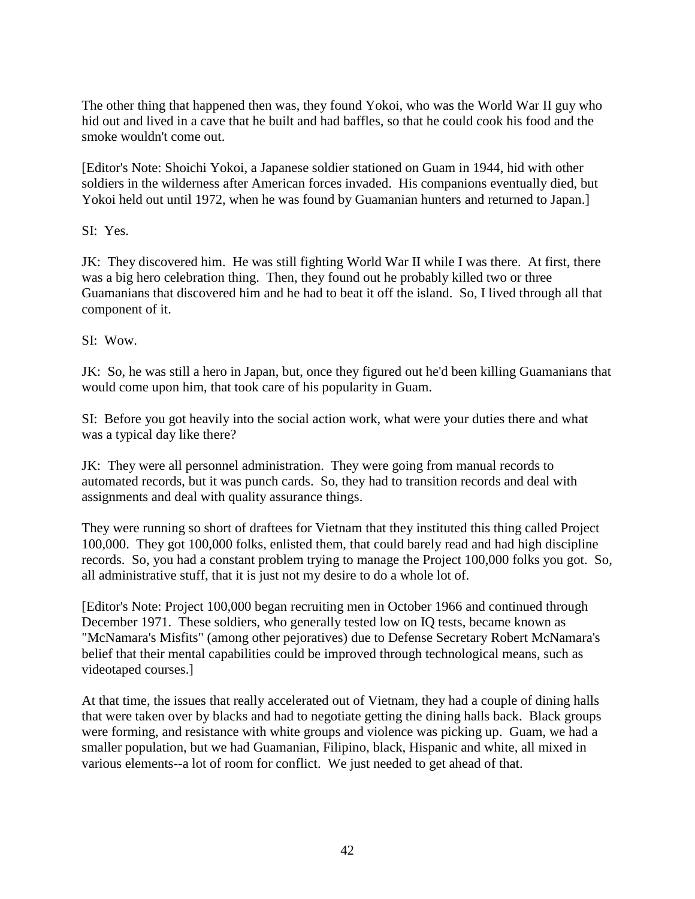The other thing that happened then was, they found Yokoi, who was the World War II guy who hid out and lived in a cave that he built and had baffles, so that he could cook his food and the smoke wouldn't come out.

[Editor's Note: Shoichi Yokoi, a Japanese soldier stationed on Guam in 1944, hid with other soldiers in the wilderness after American forces invaded. His companions eventually died, but Yokoi held out until 1972, when he was found by Guamanian hunters and returned to Japan.]

SI: Yes.

JK: They discovered him. He was still fighting World War II while I was there. At first, there was a big hero celebration thing. Then, they found out he probably killed two or three Guamanians that discovered him and he had to beat it off the island. So, I lived through all that component of it.

SI: Wow.

JK: So, he was still a hero in Japan, but, once they figured out he'd been killing Guamanians that would come upon him, that took care of his popularity in Guam.

SI: Before you got heavily into the social action work, what were your duties there and what was a typical day like there?

JK: They were all personnel administration. They were going from manual records to automated records, but it was punch cards. So, they had to transition records and deal with assignments and deal with quality assurance things.

They were running so short of draftees for Vietnam that they instituted this thing called Project 100,000. They got 100,000 folks, enlisted them, that could barely read and had high discipline records. So, you had a constant problem trying to manage the Project 100,000 folks you got. So, all administrative stuff, that it is just not my desire to do a whole lot of.

[Editor's Note: Project 100,000 began recruiting men in October 1966 and continued through December 1971. These soldiers, who generally tested low on IQ tests, became known as "McNamara's Misfits" (among other pejoratives) due to Defense Secretary Robert McNamara's belief that their mental capabilities could be improved through technological means, such as videotaped courses.]

At that time, the issues that really accelerated out of Vietnam, they had a couple of dining halls that were taken over by blacks and had to negotiate getting the dining halls back. Black groups were forming, and resistance with white groups and violence was picking up. Guam, we had a smaller population, but we had Guamanian, Filipino, black, Hispanic and white, all mixed in various elements--a lot of room for conflict. We just needed to get ahead of that.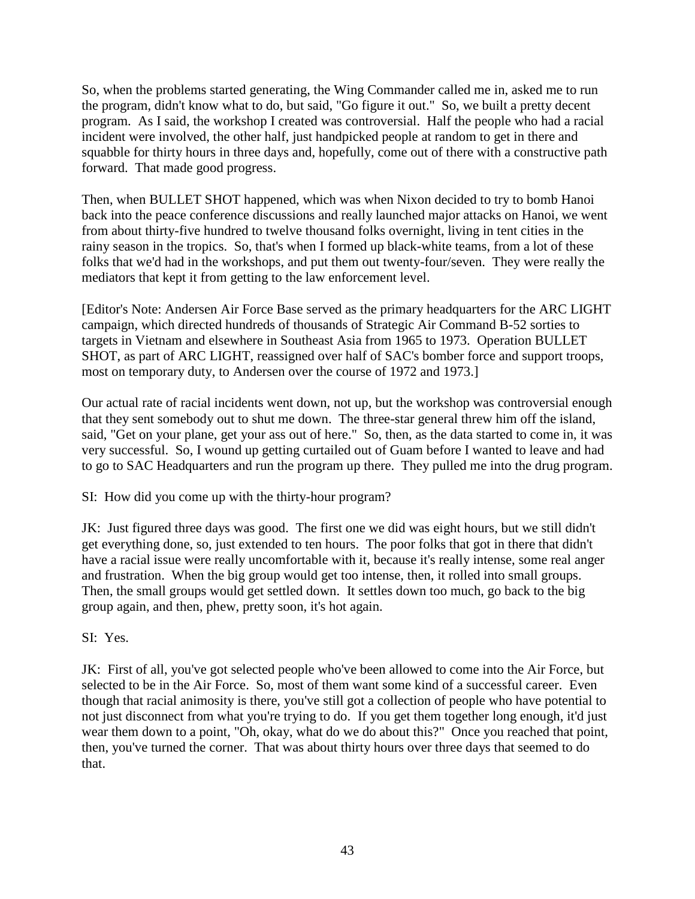So, when the problems started generating, the Wing Commander called me in, asked me to run the program, didn't know what to do, but said, "Go figure it out." So, we built a pretty decent program. As I said, the workshop I created was controversial. Half the people who had a racial incident were involved, the other half, just handpicked people at random to get in there and squabble for thirty hours in three days and, hopefully, come out of there with a constructive path forward. That made good progress.

Then, when BULLET SHOT happened, which was when Nixon decided to try to bomb Hanoi back into the peace conference discussions and really launched major attacks on Hanoi, we went from about thirty-five hundred to twelve thousand folks overnight, living in tent cities in the rainy season in the tropics. So, that's when I formed up black-white teams, from a lot of these folks that we'd had in the workshops, and put them out twenty-four/seven. They were really the mediators that kept it from getting to the law enforcement level.

[Editor's Note: Andersen Air Force Base served as the primary headquarters for the ARC LIGHT campaign, which directed hundreds of thousands of Strategic Air Command B-52 sorties to targets in Vietnam and elsewhere in Southeast Asia from 1965 to 1973. Operation BULLET SHOT, as part of ARC LIGHT, reassigned over half of SAC's bomber force and support troops, most on temporary duty, to Andersen over the course of 1972 and 1973.]

Our actual rate of racial incidents went down, not up, but the workshop was controversial enough that they sent somebody out to shut me down. The three-star general threw him off the island, said, "Get on your plane, get your ass out of here." So, then, as the data started to come in, it was very successful. So, I wound up getting curtailed out of Guam before I wanted to leave and had to go to SAC Headquarters and run the program up there. They pulled me into the drug program.

SI: How did you come up with the thirty-hour program?

JK: Just figured three days was good. The first one we did was eight hours, but we still didn't get everything done, so, just extended to ten hours. The poor folks that got in there that didn't have a racial issue were really uncomfortable with it, because it's really intense, some real anger and frustration. When the big group would get too intense, then, it rolled into small groups. Then, the small groups would get settled down. It settles down too much, go back to the big group again, and then, phew, pretty soon, it's hot again.

SI: Yes.

JK: First of all, you've got selected people who've been allowed to come into the Air Force, but selected to be in the Air Force. So, most of them want some kind of a successful career. Even though that racial animosity is there, you've still got a collection of people who have potential to not just disconnect from what you're trying to do. If you get them together long enough, it'd just wear them down to a point, "Oh, okay, what do we do about this?" Once you reached that point, then, you've turned the corner. That was about thirty hours over three days that seemed to do that.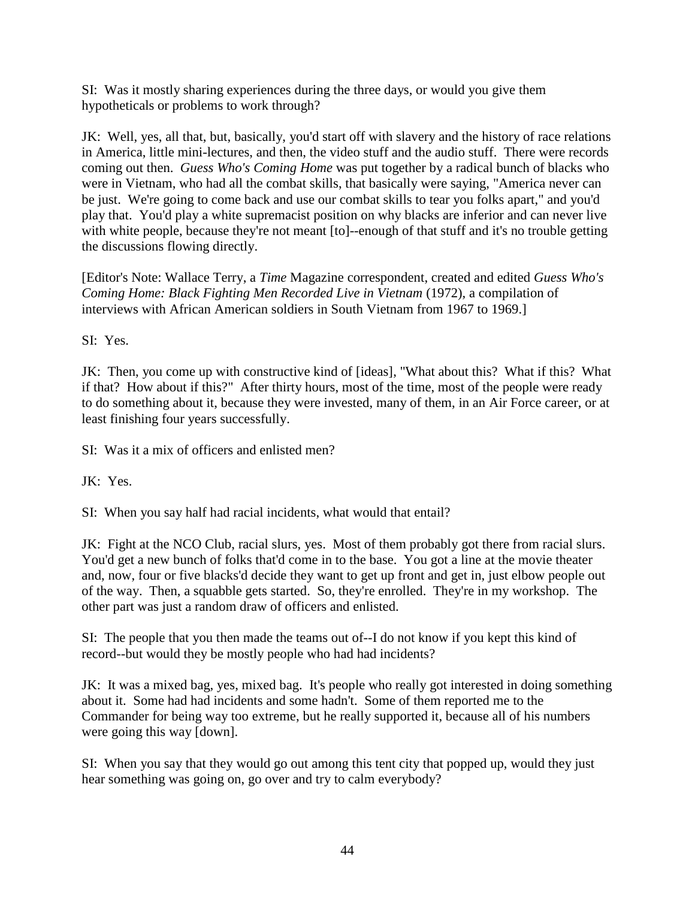SI: Was it mostly sharing experiences during the three days, or would you give them hypotheticals or problems to work through?

JK: Well, yes, all that, but, basically, you'd start off with slavery and the history of race relations in America, little mini-lectures, and then, the video stuff and the audio stuff. There were records coming out then. *Guess Who's Coming Home* was put together by a radical bunch of blacks who were in Vietnam, who had all the combat skills, that basically were saying, "America never can be just. We're going to come back and use our combat skills to tear you folks apart," and you'd play that. You'd play a white supremacist position on why blacks are inferior and can never live with white people, because they're not meant [to]--enough of that stuff and it's no trouble getting the discussions flowing directly.

[Editor's Note: Wallace Terry, a *Time* Magazine correspondent, created and edited *Guess Who's Coming Home: Black Fighting Men Recorded Live in Vietnam* (1972)*,* a compilation of interviews with African American soldiers in South Vietnam from 1967 to 1969.]

SI: Yes.

JK: Then, you come up with constructive kind of [ideas], "What about this? What if this? What if that? How about if this?" After thirty hours, most of the time, most of the people were ready to do something about it, because they were invested, many of them, in an Air Force career, or at least finishing four years successfully.

SI: Was it a mix of officers and enlisted men?

JK: Yes.

SI: When you say half had racial incidents, what would that entail?

JK: Fight at the NCO Club, racial slurs, yes. Most of them probably got there from racial slurs. You'd get a new bunch of folks that'd come in to the base. You got a line at the movie theater and, now, four or five blacks'd decide they want to get up front and get in, just elbow people out of the way. Then, a squabble gets started. So, they're enrolled. They're in my workshop. The other part was just a random draw of officers and enlisted.

SI: The people that you then made the teams out of--I do not know if you kept this kind of record--but would they be mostly people who had had incidents?

JK: It was a mixed bag, yes, mixed bag. It's people who really got interested in doing something about it. Some had had incidents and some hadn't. Some of them reported me to the Commander for being way too extreme, but he really supported it, because all of his numbers were going this way [down].

SI: When you say that they would go out among this tent city that popped up, would they just hear something was going on, go over and try to calm everybody?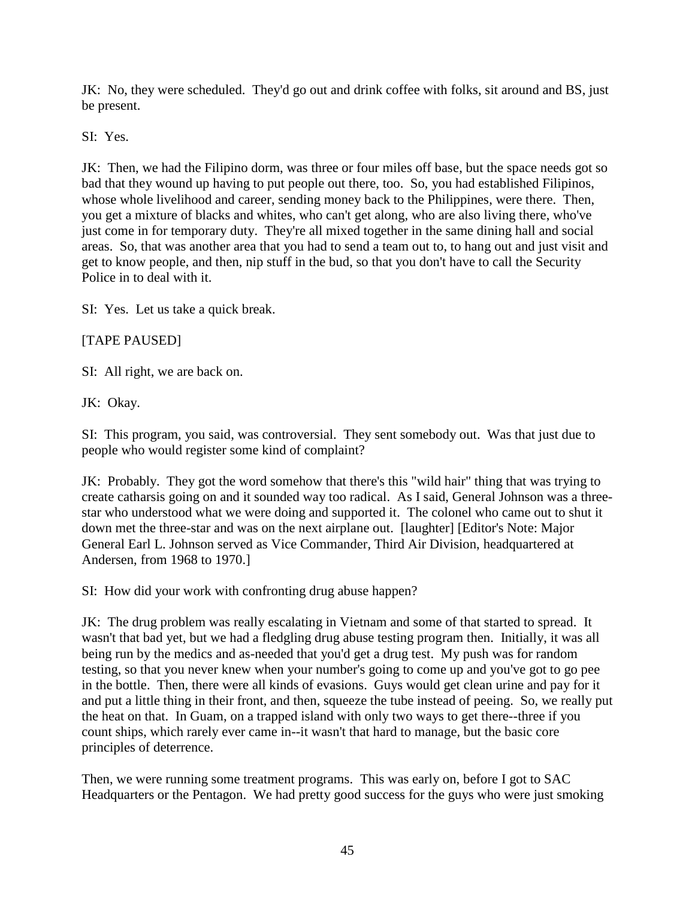JK: No, they were scheduled. They'd go out and drink coffee with folks, sit around and BS, just be present.

SI: Yes.

JK: Then, we had the Filipino dorm, was three or four miles off base, but the space needs got so bad that they wound up having to put people out there, too. So, you had established Filipinos, whose whole livelihood and career, sending money back to the Philippines, were there. Then, you get a mixture of blacks and whites, who can't get along, who are also living there, who've just come in for temporary duty. They're all mixed together in the same dining hall and social areas. So, that was another area that you had to send a team out to, to hang out and just visit and get to know people, and then, nip stuff in the bud, so that you don't have to call the Security Police in to deal with it.

SI: Yes. Let us take a quick break.

[TAPE PAUSED]

SI: All right, we are back on.

JK: Okay.

SI: This program, you said, was controversial. They sent somebody out. Was that just due to people who would register some kind of complaint?

JK: Probably. They got the word somehow that there's this "wild hair" thing that was trying to create catharsis going on and it sounded way too radical. As I said, General Johnson was a threestar who understood what we were doing and supported it. The colonel who came out to shut it down met the three-star and was on the next airplane out. [laughter] [Editor's Note: Major General Earl L. Johnson served as Vice Commander, Third Air Division, headquartered at Andersen, from 1968 to 1970.]

SI: How did your work with confronting drug abuse happen?

JK: The drug problem was really escalating in Vietnam and some of that started to spread. It wasn't that bad yet, but we had a fledgling drug abuse testing program then. Initially, it was all being run by the medics and as-needed that you'd get a drug test. My push was for random testing, so that you never knew when your number's going to come up and you've got to go pee in the bottle. Then, there were all kinds of evasions. Guys would get clean urine and pay for it and put a little thing in their front, and then, squeeze the tube instead of peeing. So, we really put the heat on that. In Guam, on a trapped island with only two ways to get there--three if you count ships, which rarely ever came in--it wasn't that hard to manage, but the basic core principles of deterrence.

Then, we were running some treatment programs. This was early on, before I got to SAC Headquarters or the Pentagon. We had pretty good success for the guys who were just smoking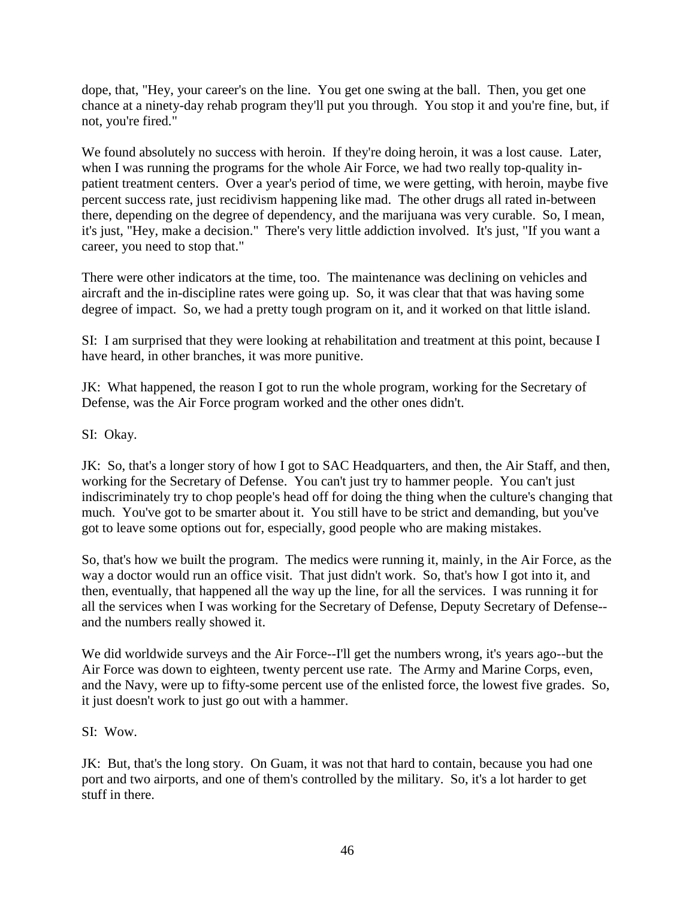dope, that, "Hey, your career's on the line. You get one swing at the ball. Then, you get one chance at a ninety-day rehab program they'll put you through. You stop it and you're fine, but, if not, you're fired."

We found absolutely no success with heroin. If they're doing heroin, it was a lost cause. Later, when I was running the programs for the whole Air Force, we had two really top-quality inpatient treatment centers. Over a year's period of time, we were getting, with heroin, maybe five percent success rate, just recidivism happening like mad. The other drugs all rated in-between there, depending on the degree of dependency, and the marijuana was very curable. So, I mean, it's just, "Hey, make a decision." There's very little addiction involved. It's just, "If you want a career, you need to stop that."

There were other indicators at the time, too. The maintenance was declining on vehicles and aircraft and the in-discipline rates were going up. So, it was clear that that was having some degree of impact. So, we had a pretty tough program on it, and it worked on that little island.

SI: I am surprised that they were looking at rehabilitation and treatment at this point, because I have heard, in other branches, it was more punitive.

JK: What happened, the reason I got to run the whole program, working for the Secretary of Defense, was the Air Force program worked and the other ones didn't.

SI: Okay.

JK: So, that's a longer story of how I got to SAC Headquarters, and then, the Air Staff, and then, working for the Secretary of Defense. You can't just try to hammer people. You can't just indiscriminately try to chop people's head off for doing the thing when the culture's changing that much. You've got to be smarter about it. You still have to be strict and demanding, but you've got to leave some options out for, especially, good people who are making mistakes.

So, that's how we built the program. The medics were running it, mainly, in the Air Force, as the way a doctor would run an office visit. That just didn't work. So, that's how I got into it, and then, eventually, that happened all the way up the line, for all the services. I was running it for all the services when I was working for the Secretary of Defense, Deputy Secretary of Defense- and the numbers really showed it.

We did worldwide surveys and the Air Force--I'll get the numbers wrong, it's years ago--but the Air Force was down to eighteen, twenty percent use rate. The Army and Marine Corps, even, and the Navy, were up to fifty-some percent use of the enlisted force, the lowest five grades. So, it just doesn't work to just go out with a hammer.

SI: Wow.

JK: But, that's the long story. On Guam, it was not that hard to contain, because you had one port and two airports, and one of them's controlled by the military. So, it's a lot harder to get stuff in there.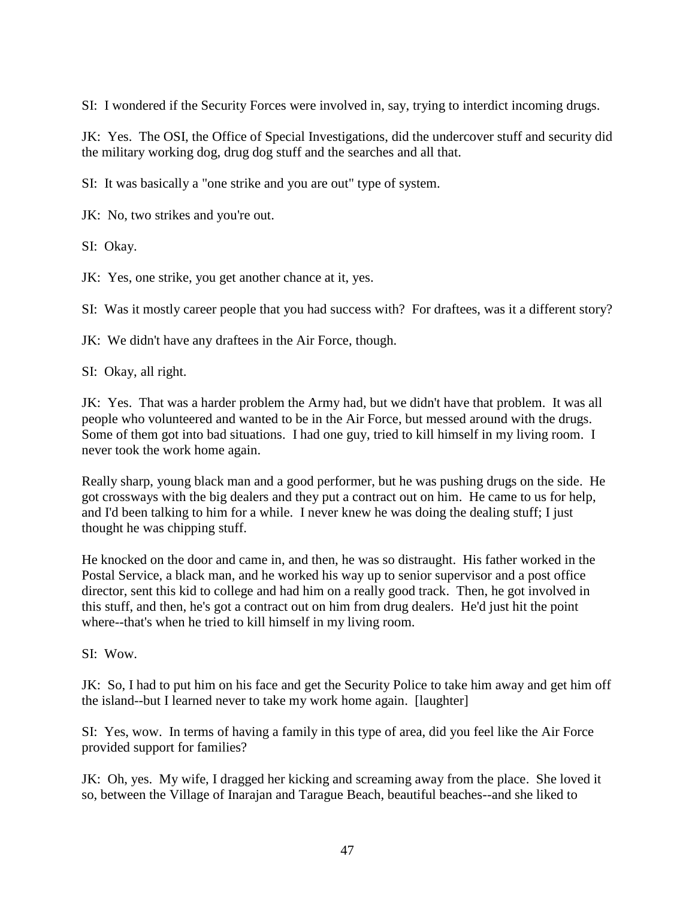SI: I wondered if the Security Forces were involved in, say, trying to interdict incoming drugs.

JK: Yes. The OSI, the Office of Special Investigations, did the undercover stuff and security did the military working dog, drug dog stuff and the searches and all that.

SI: It was basically a "one strike and you are out" type of system.

JK: No, two strikes and you're out.

SI: Okay.

JK: Yes, one strike, you get another chance at it, yes.

SI: Was it mostly career people that you had success with? For draftees, was it a different story?

JK: We didn't have any draftees in the Air Force, though.

SI: Okay, all right.

JK: Yes. That was a harder problem the Army had, but we didn't have that problem. It was all people who volunteered and wanted to be in the Air Force, but messed around with the drugs. Some of them got into bad situations. I had one guy, tried to kill himself in my living room. I never took the work home again.

Really sharp, young black man and a good performer, but he was pushing drugs on the side. He got crossways with the big dealers and they put a contract out on him. He came to us for help, and I'd been talking to him for a while. I never knew he was doing the dealing stuff; I just thought he was chipping stuff.

He knocked on the door and came in, and then, he was so distraught. His father worked in the Postal Service, a black man, and he worked his way up to senior supervisor and a post office director, sent this kid to college and had him on a really good track. Then, he got involved in this stuff, and then, he's got a contract out on him from drug dealers. He'd just hit the point where--that's when he tried to kill himself in my living room.

SI: Wow.

JK: So, I had to put him on his face and get the Security Police to take him away and get him off the island--but I learned never to take my work home again. [laughter]

SI: Yes, wow. In terms of having a family in this type of area, did you feel like the Air Force provided support for families?

JK: Oh, yes. My wife, I dragged her kicking and screaming away from the place. She loved it so, between the Village of Inarajan and Tarague Beach, beautiful beaches--and she liked to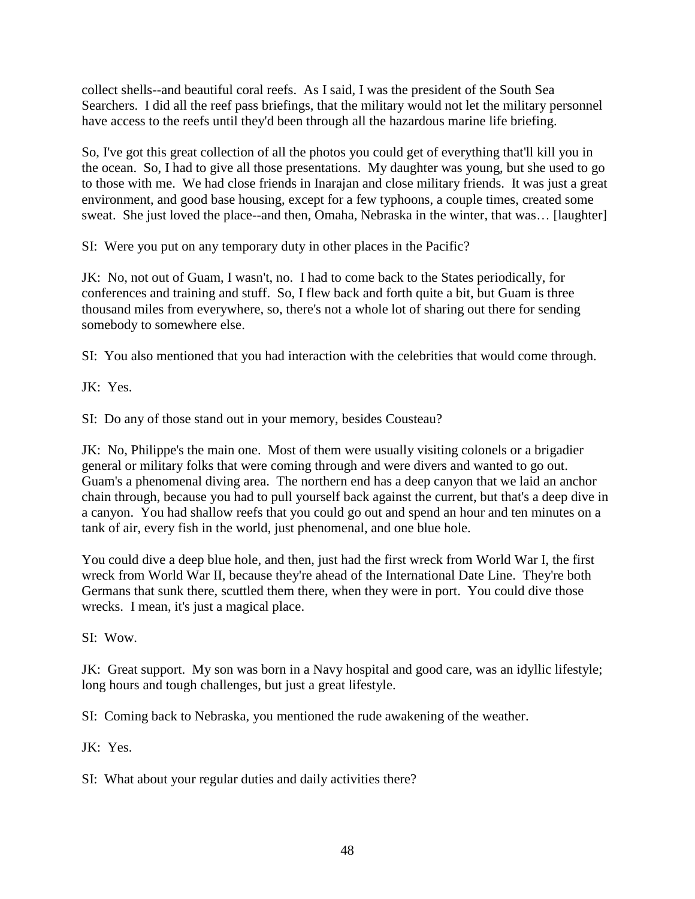collect shells--and beautiful coral reefs. As I said, I was the president of the South Sea Searchers. I did all the reef pass briefings, that the military would not let the military personnel have access to the reefs until they'd been through all the hazardous marine life briefing.

So, I've got this great collection of all the photos you could get of everything that'll kill you in the ocean. So, I had to give all those presentations. My daughter was young, but she used to go to those with me. We had close friends in Inarajan and close military friends. It was just a great environment, and good base housing, except for a few typhoons, a couple times, created some sweat. She just loved the place--and then, Omaha, Nebraska in the winter, that was… [laughter]

SI: Were you put on any temporary duty in other places in the Pacific?

JK: No, not out of Guam, I wasn't, no. I had to come back to the States periodically, for conferences and training and stuff. So, I flew back and forth quite a bit, but Guam is three thousand miles from everywhere, so, there's not a whole lot of sharing out there for sending somebody to somewhere else.

SI: You also mentioned that you had interaction with the celebrities that would come through.

JK: Yes.

SI: Do any of those stand out in your memory, besides Cousteau?

JK: No, Philippe's the main one. Most of them were usually visiting colonels or a brigadier general or military folks that were coming through and were divers and wanted to go out. Guam's a phenomenal diving area. The northern end has a deep canyon that we laid an anchor chain through, because you had to pull yourself back against the current, but that's a deep dive in a canyon. You had shallow reefs that you could go out and spend an hour and ten minutes on a tank of air, every fish in the world, just phenomenal, and one blue hole.

You could dive a deep blue hole, and then, just had the first wreck from World War I, the first wreck from World War II, because they're ahead of the International Date Line. They're both Germans that sunk there, scuttled them there, when they were in port. You could dive those wrecks. I mean, it's just a magical place.

SI: Wow.

JK: Great support. My son was born in a Navy hospital and good care, was an idyllic lifestyle; long hours and tough challenges, but just a great lifestyle.

SI: Coming back to Nebraska, you mentioned the rude awakening of the weather.

JK: Yes.

SI: What about your regular duties and daily activities there?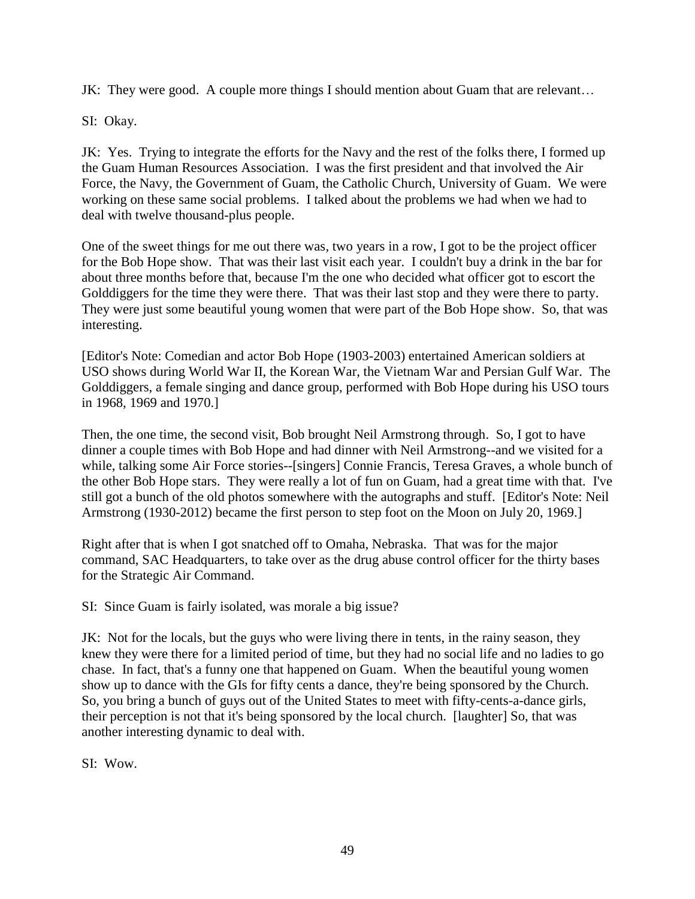JK: They were good. A couple more things I should mention about Guam that are relevant…

SI: Okay.

JK: Yes. Trying to integrate the efforts for the Navy and the rest of the folks there, I formed up the Guam Human Resources Association. I was the first president and that involved the Air Force, the Navy, the Government of Guam, the Catholic Church, University of Guam. We were working on these same social problems. I talked about the problems we had when we had to deal with twelve thousand-plus people.

One of the sweet things for me out there was, two years in a row, I got to be the project officer for the Bob Hope show. That was their last visit each year. I couldn't buy a drink in the bar for about three months before that, because I'm the one who decided what officer got to escort the Golddiggers for the time they were there. That was their last stop and they were there to party. They were just some beautiful young women that were part of the Bob Hope show. So, that was interesting.

[Editor's Note: Comedian and actor Bob Hope (1903-2003) entertained American soldiers at USO shows during World War II, the Korean War, the Vietnam War and Persian Gulf War. The Golddiggers, a female singing and dance group, performed with Bob Hope during his USO tours in 1968, 1969 and 1970.]

Then, the one time, the second visit, Bob brought Neil Armstrong through. So, I got to have dinner a couple times with Bob Hope and had dinner with Neil Armstrong--and we visited for a while, talking some Air Force stories--[singers] Connie Francis, Teresa Graves, a whole bunch of the other Bob Hope stars. They were really a lot of fun on Guam, had a great time with that. I've still got a bunch of the old photos somewhere with the autographs and stuff. [Editor's Note: Neil Armstrong (1930-2012) became the first person to step foot on the Moon on July 20, 1969.]

Right after that is when I got snatched off to Omaha, Nebraska. That was for the major command, SAC Headquarters, to take over as the drug abuse control officer for the thirty bases for the Strategic Air Command.

SI: Since Guam is fairly isolated, was morale a big issue?

JK: Not for the locals, but the guys who were living there in tents, in the rainy season, they knew they were there for a limited period of time, but they had no social life and no ladies to go chase. In fact, that's a funny one that happened on Guam. When the beautiful young women show up to dance with the GIs for fifty cents a dance, they're being sponsored by the Church. So, you bring a bunch of guys out of the United States to meet with fifty-cents-a-dance girls, their perception is not that it's being sponsored by the local church. [laughter] So, that was another interesting dynamic to deal with.

SI: Wow.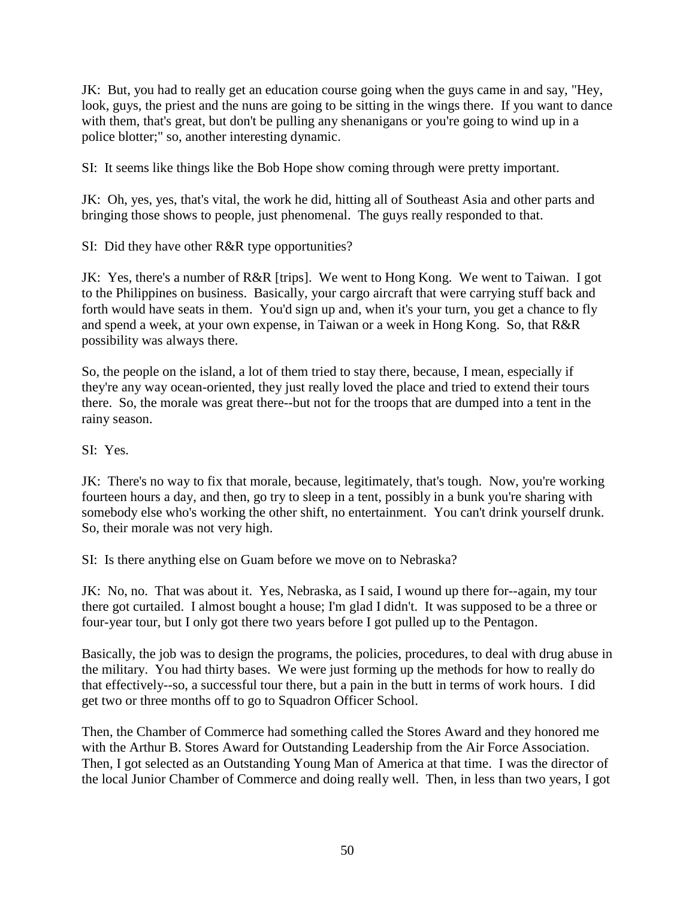JK: But, you had to really get an education course going when the guys came in and say, "Hey, look, guys, the priest and the nuns are going to be sitting in the wings there. If you want to dance with them, that's great, but don't be pulling any shenanigans or you're going to wind up in a police blotter;" so, another interesting dynamic.

SI: It seems like things like the Bob Hope show coming through were pretty important.

JK: Oh, yes, yes, that's vital, the work he did, hitting all of Southeast Asia and other parts and bringing those shows to people, just phenomenal. The guys really responded to that.

SI: Did they have other R&R type opportunities?

JK: Yes, there's a number of R&R [trips]. We went to Hong Kong. We went to Taiwan. I got to the Philippines on business. Basically, your cargo aircraft that were carrying stuff back and forth would have seats in them. You'd sign up and, when it's your turn, you get a chance to fly and spend a week, at your own expense, in Taiwan or a week in Hong Kong. So, that R&R possibility was always there.

So, the people on the island, a lot of them tried to stay there, because, I mean, especially if they're any way ocean-oriented, they just really loved the place and tried to extend their tours there. So, the morale was great there--but not for the troops that are dumped into a tent in the rainy season.

SI: Yes.

JK: There's no way to fix that morale, because, legitimately, that's tough. Now, you're working fourteen hours a day, and then, go try to sleep in a tent, possibly in a bunk you're sharing with somebody else who's working the other shift, no entertainment. You can't drink yourself drunk. So, their morale was not very high.

SI: Is there anything else on Guam before we move on to Nebraska?

JK: No, no. That was about it. Yes, Nebraska, as I said, I wound up there for--again, my tour there got curtailed. I almost bought a house; I'm glad I didn't. It was supposed to be a three or four-year tour, but I only got there two years before I got pulled up to the Pentagon.

Basically, the job was to design the programs, the policies, procedures, to deal with drug abuse in the military. You had thirty bases. We were just forming up the methods for how to really do that effectively--so, a successful tour there, but a pain in the butt in terms of work hours. I did get two or three months off to go to Squadron Officer School.

Then, the Chamber of Commerce had something called the Stores Award and they honored me with the Arthur B. Stores Award for Outstanding Leadership from the Air Force Association. Then, I got selected as an Outstanding Young Man of America at that time. I was the director of the local Junior Chamber of Commerce and doing really well. Then, in less than two years, I got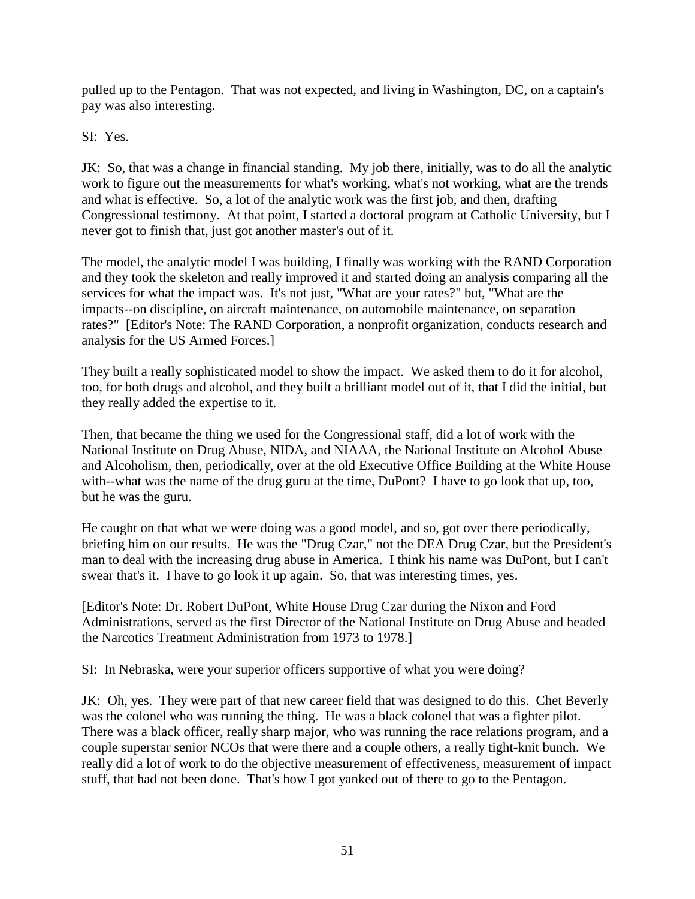pulled up to the Pentagon. That was not expected, and living in Washington, DC, on a captain's pay was also interesting.

SI: Yes.

JK: So, that was a change in financial standing. My job there, initially, was to do all the analytic work to figure out the measurements for what's working, what's not working, what are the trends and what is effective. So, a lot of the analytic work was the first job, and then, drafting Congressional testimony. At that point, I started a doctoral program at Catholic University, but I never got to finish that, just got another master's out of it.

The model, the analytic model I was building, I finally was working with the RAND Corporation and they took the skeleton and really improved it and started doing an analysis comparing all the services for what the impact was. It's not just, "What are your rates?" but, "What are the impacts--on discipline, on aircraft maintenance, on automobile maintenance, on separation rates?" [Editor's Note: The RAND Corporation, a nonprofit organization, conducts research and analysis for the US Armed Forces.]

They built a really sophisticated model to show the impact. We asked them to do it for alcohol, too, for both drugs and alcohol, and they built a brilliant model out of it, that I did the initial, but they really added the expertise to it.

Then, that became the thing we used for the Congressional staff, did a lot of work with the National Institute on Drug Abuse, NIDA, and NIAAA, the National Institute on Alcohol Abuse and Alcoholism, then, periodically, over at the old Executive Office Building at the White House with--what was the name of the drug guru at the time, DuPont? I have to go look that up, too, but he was the guru.

He caught on that what we were doing was a good model, and so, got over there periodically, briefing him on our results. He was the "Drug Czar," not the DEA Drug Czar, but the President's man to deal with the increasing drug abuse in America. I think his name was DuPont, but I can't swear that's it. I have to go look it up again. So, that was interesting times, yes.

[Editor's Note: Dr. Robert DuPont, White House Drug Czar during the Nixon and Ford Administrations, served as the first Director of the National Institute on Drug Abuse and headed the Narcotics Treatment Administration from 1973 to 1978.]

SI: In Nebraska, were your superior officers supportive of what you were doing?

JK: Oh, yes. They were part of that new career field that was designed to do this. Chet Beverly was the colonel who was running the thing. He was a black colonel that was a fighter pilot. There was a black officer, really sharp major, who was running the race relations program, and a couple superstar senior NCOs that were there and a couple others, a really tight-knit bunch. We really did a lot of work to do the objective measurement of effectiveness, measurement of impact stuff, that had not been done. That's how I got yanked out of there to go to the Pentagon.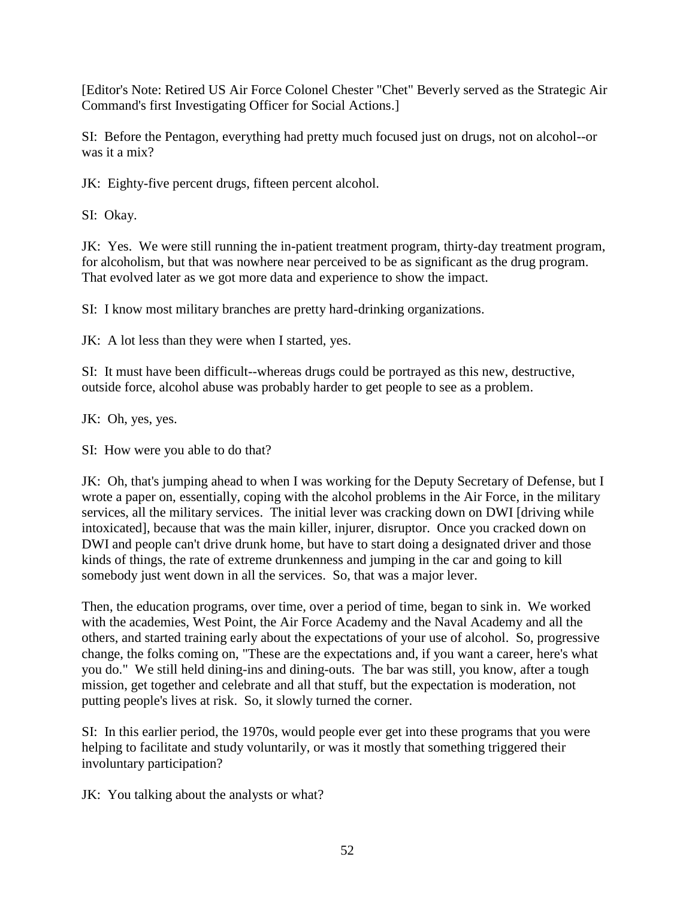[Editor's Note: Retired US Air Force Colonel Chester "Chet" Beverly served as the Strategic Air Command's first Investigating Officer for Social Actions.]

SI: Before the Pentagon, everything had pretty much focused just on drugs, not on alcohol--or was it a mix?

JK: Eighty-five percent drugs, fifteen percent alcohol.

SI: Okay.

JK: Yes. We were still running the in-patient treatment program, thirty-day treatment program, for alcoholism, but that was nowhere near perceived to be as significant as the drug program. That evolved later as we got more data and experience to show the impact.

SI: I know most military branches are pretty hard-drinking organizations.

JK: A lot less than they were when I started, yes.

SI: It must have been difficult--whereas drugs could be portrayed as this new, destructive, outside force, alcohol abuse was probably harder to get people to see as a problem.

JK: Oh, yes, yes.

SI: How were you able to do that?

JK: Oh, that's jumping ahead to when I was working for the Deputy Secretary of Defense, but I wrote a paper on, essentially, coping with the alcohol problems in the Air Force, in the military services, all the military services. The initial lever was cracking down on DWI [driving while intoxicated], because that was the main killer, injurer, disruptor. Once you cracked down on DWI and people can't drive drunk home, but have to start doing a designated driver and those kinds of things, the rate of extreme drunkenness and jumping in the car and going to kill somebody just went down in all the services. So, that was a major lever.

Then, the education programs, over time, over a period of time, began to sink in. We worked with the academies, West Point, the Air Force Academy and the Naval Academy and all the others, and started training early about the expectations of your use of alcohol. So, progressive change, the folks coming on, "These are the expectations and, if you want a career, here's what you do." We still held dining-ins and dining-outs. The bar was still, you know, after a tough mission, get together and celebrate and all that stuff, but the expectation is moderation, not putting people's lives at risk. So, it slowly turned the corner.

SI: In this earlier period, the 1970s, would people ever get into these programs that you were helping to facilitate and study voluntarily, or was it mostly that something triggered their involuntary participation?

JK: You talking about the analysts or what?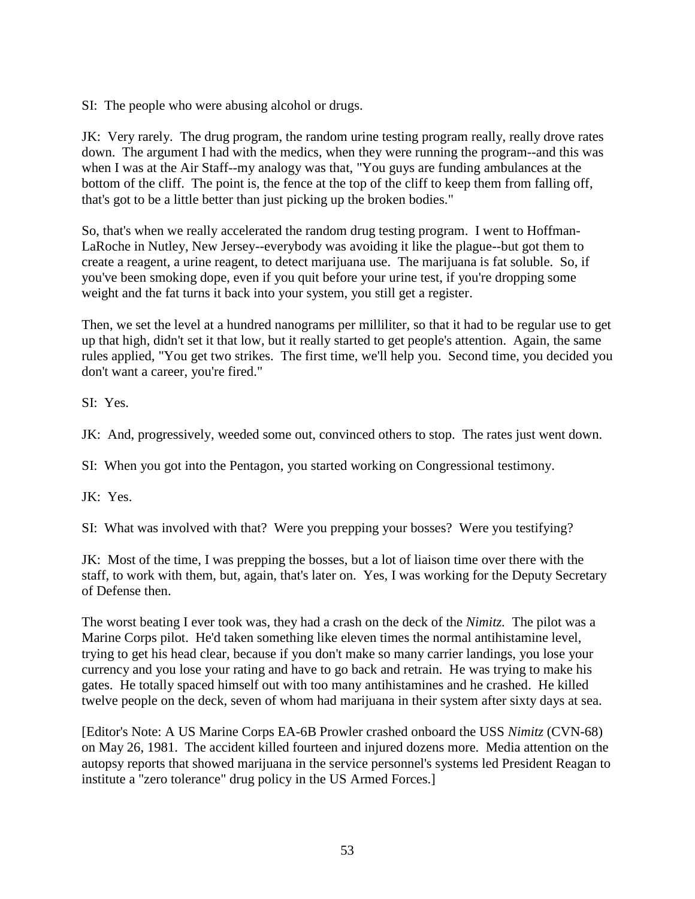SI: The people who were abusing alcohol or drugs.

JK: Very rarely. The drug program, the random urine testing program really, really drove rates down. The argument I had with the medics, when they were running the program--and this was when I was at the Air Staff--my analogy was that, "You guys are funding ambulances at the bottom of the cliff. The point is, the fence at the top of the cliff to keep them from falling off, that's got to be a little better than just picking up the broken bodies."

So, that's when we really accelerated the random drug testing program. I went to Hoffman-LaRoche in Nutley, New Jersey--everybody was avoiding it like the plague--but got them to create a reagent, a urine reagent, to detect marijuana use. The marijuana is fat soluble. So, if you've been smoking dope, even if you quit before your urine test, if you're dropping some weight and the fat turns it back into your system, you still get a register.

Then, we set the level at a hundred nanograms per milliliter, so that it had to be regular use to get up that high, didn't set it that low, but it really started to get people's attention. Again, the same rules applied, "You get two strikes. The first time, we'll help you. Second time, you decided you don't want a career, you're fired."

SI: Yes.

JK: And, progressively, weeded some out, convinced others to stop. The rates just went down.

SI: When you got into the Pentagon, you started working on Congressional testimony.

JK: Yes.

SI: What was involved with that? Were you prepping your bosses? Were you testifying?

JK: Most of the time, I was prepping the bosses, but a lot of liaison time over there with the staff, to work with them, but, again, that's later on. Yes, I was working for the Deputy Secretary of Defense then.

The worst beating I ever took was, they had a crash on the deck of the *Nimitz.* The pilot was a Marine Corps pilot. He'd taken something like eleven times the normal antihistamine level, trying to get his head clear, because if you don't make so many carrier landings, you lose your currency and you lose your rating and have to go back and retrain. He was trying to make his gates. He totally spaced himself out with too many antihistamines and he crashed. He killed twelve people on the deck, seven of whom had marijuana in their system after sixty days at sea.

[Editor's Note: A US Marine Corps EA-6B Prowler crashed onboard the USS *Nimitz* (CVN-68) on May 26, 1981. The accident killed fourteen and injured dozens more. Media attention on the autopsy reports that showed marijuana in the service personnel's systems led President Reagan to institute a "zero tolerance" drug policy in the US Armed Forces.]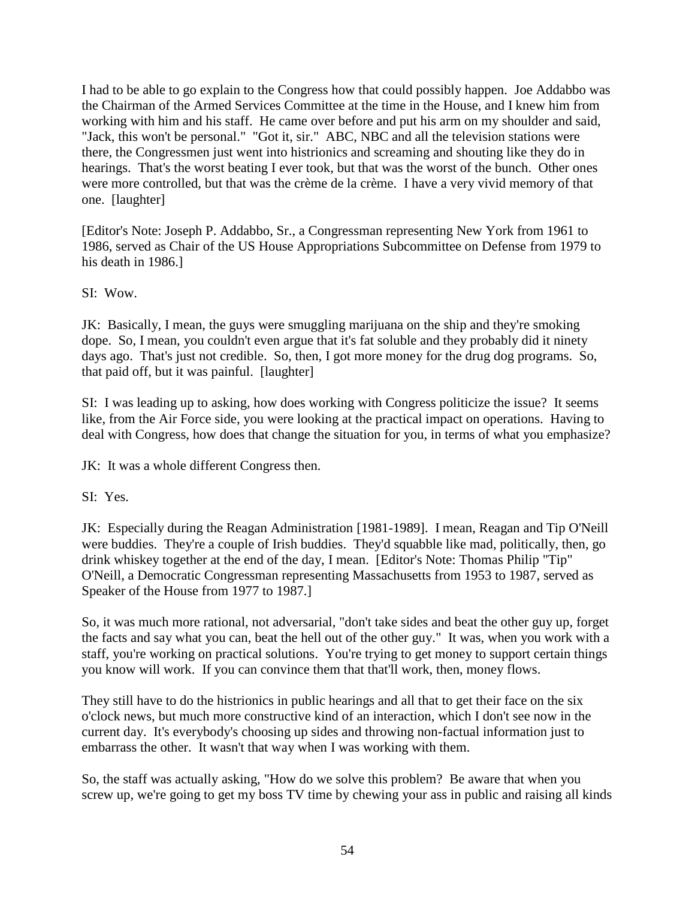I had to be able to go explain to the Congress how that could possibly happen. Joe Addabbo was the Chairman of the Armed Services Committee at the time in the House, and I knew him from working with him and his staff. He came over before and put his arm on my shoulder and said, "Jack, this won't be personal." "Got it, sir." ABC, NBC and all the television stations were there, the Congressmen just went into histrionics and screaming and shouting like they do in hearings. That's the worst beating I ever took, but that was the worst of the bunch. Other ones were more controlled, but that was the crème de la crème. I have a very vivid memory of that one. [laughter]

[Editor's Note: Joseph P. Addabbo, Sr., a Congressman representing New York from 1961 to 1986, served as Chair of the US House Appropriations Subcommittee on Defense from 1979 to his death in 1986.]

SI: Wow.

JK: Basically, I mean, the guys were smuggling marijuana on the ship and they're smoking dope. So, I mean, you couldn't even argue that it's fat soluble and they probably did it ninety days ago. That's just not credible. So, then, I got more money for the drug dog programs. So, that paid off, but it was painful. [laughter]

SI: I was leading up to asking, how does working with Congress politicize the issue? It seems like, from the Air Force side, you were looking at the practical impact on operations. Having to deal with Congress, how does that change the situation for you, in terms of what you emphasize?

JK: It was a whole different Congress then.

SI: Yes.

JK: Especially during the Reagan Administration [1981-1989]. I mean, Reagan and Tip O'Neill were buddies. They're a couple of Irish buddies. They'd squabble like mad, politically, then, go drink whiskey together at the end of the day, I mean. [Editor's Note: Thomas Philip "Tip" O'Neill, a Democratic Congressman representing Massachusetts from 1953 to 1987, served as Speaker of the House from 1977 to 1987.]

So, it was much more rational, not adversarial, "don't take sides and beat the other guy up, forget the facts and say what you can, beat the hell out of the other guy." It was, when you work with a staff, you're working on practical solutions. You're trying to get money to support certain things you know will work. If you can convince them that that'll work, then, money flows.

They still have to do the histrionics in public hearings and all that to get their face on the six o'clock news, but much more constructive kind of an interaction, which I don't see now in the current day. It's everybody's choosing up sides and throwing non-factual information just to embarrass the other. It wasn't that way when I was working with them.

So, the staff was actually asking, "How do we solve this problem? Be aware that when you screw up, we're going to get my boss TV time by chewing your ass in public and raising all kinds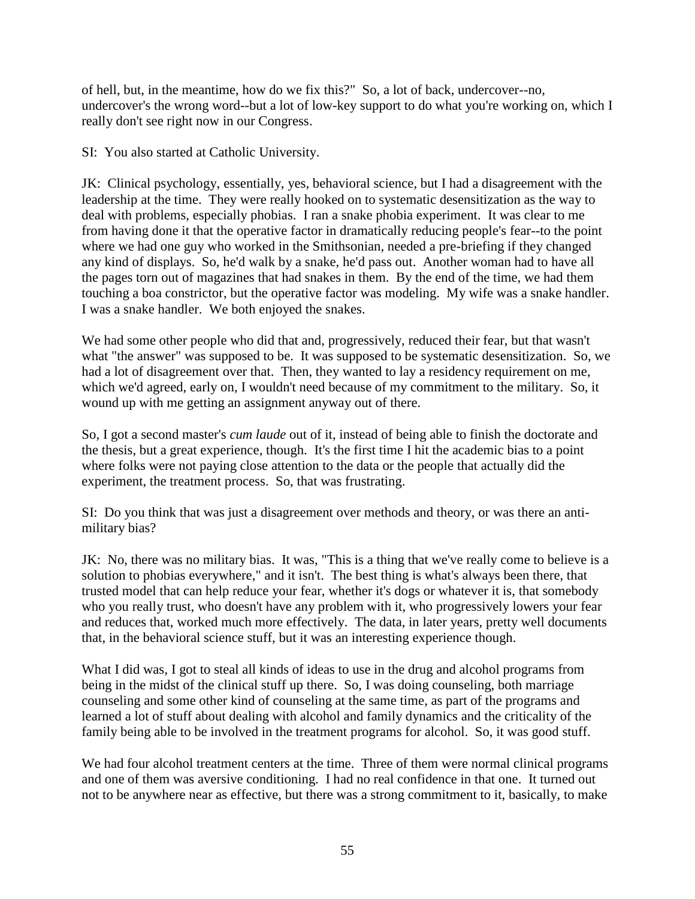of hell, but, in the meantime, how do we fix this?" So, a lot of back, undercover--no, undercover's the wrong word--but a lot of low-key support to do what you're working on, which I really don't see right now in our Congress.

SI: You also started at Catholic University.

JK: Clinical psychology, essentially, yes, behavioral science, but I had a disagreement with the leadership at the time. They were really hooked on to systematic desensitization as the way to deal with problems, especially phobias. I ran a snake phobia experiment. It was clear to me from having done it that the operative factor in dramatically reducing people's fear--to the point where we had one guy who worked in the Smithsonian, needed a pre-briefing if they changed any kind of displays. So, he'd walk by a snake, he'd pass out. Another woman had to have all the pages torn out of magazines that had snakes in them. By the end of the time, we had them touching a boa constrictor, but the operative factor was modeling. My wife was a snake handler. I was a snake handler. We both enjoyed the snakes.

We had some other people who did that and, progressively, reduced their fear, but that wasn't what "the answer" was supposed to be. It was supposed to be systematic desensitization. So, we had a lot of disagreement over that. Then, they wanted to lay a residency requirement on me, which we'd agreed, early on, I wouldn't need because of my commitment to the military. So, it wound up with me getting an assignment anyway out of there.

So, I got a second master's *cum laude* out of it, instead of being able to finish the doctorate and the thesis, but a great experience, though. It's the first time I hit the academic bias to a point where folks were not paying close attention to the data or the people that actually did the experiment, the treatment process. So, that was frustrating.

SI: Do you think that was just a disagreement over methods and theory, or was there an antimilitary bias?

JK: No, there was no military bias. It was, "This is a thing that we've really come to believe is a solution to phobias everywhere," and it isn't. The best thing is what's always been there, that trusted model that can help reduce your fear, whether it's dogs or whatever it is, that somebody who you really trust, who doesn't have any problem with it, who progressively lowers your fear and reduces that, worked much more effectively. The data, in later years, pretty well documents that, in the behavioral science stuff, but it was an interesting experience though.

What I did was, I got to steal all kinds of ideas to use in the drug and alcohol programs from being in the midst of the clinical stuff up there. So, I was doing counseling, both marriage counseling and some other kind of counseling at the same time, as part of the programs and learned a lot of stuff about dealing with alcohol and family dynamics and the criticality of the family being able to be involved in the treatment programs for alcohol. So, it was good stuff.

We had four alcohol treatment centers at the time. Three of them were normal clinical programs and one of them was aversive conditioning. I had no real confidence in that one. It turned out not to be anywhere near as effective, but there was a strong commitment to it, basically, to make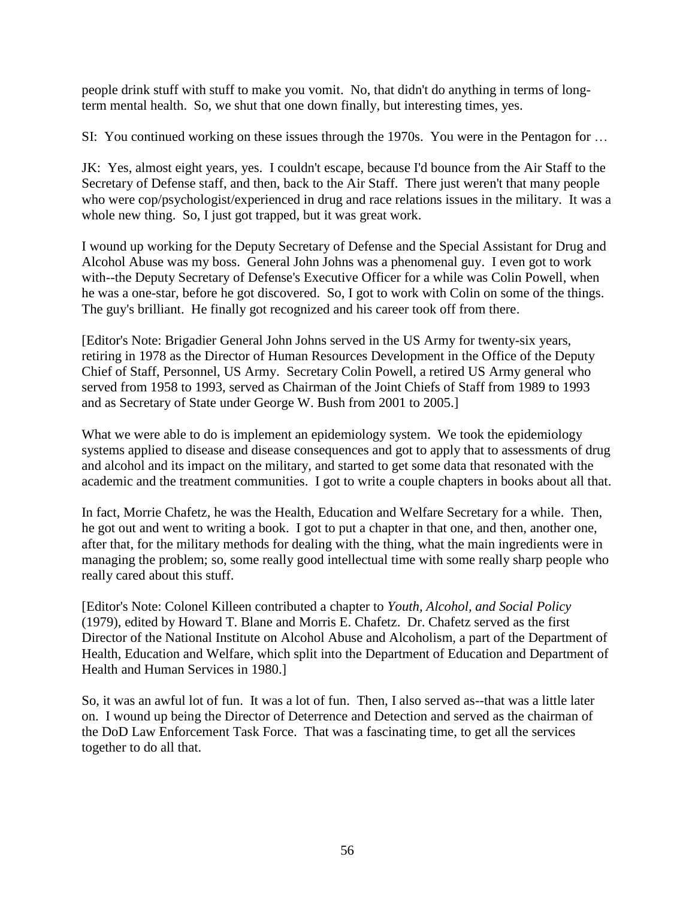people drink stuff with stuff to make you vomit. No, that didn't do anything in terms of longterm mental health. So, we shut that one down finally, but interesting times, yes.

SI: You continued working on these issues through the 1970s. You were in the Pentagon for …

JK: Yes, almost eight years, yes. I couldn't escape, because I'd bounce from the Air Staff to the Secretary of Defense staff, and then, back to the Air Staff. There just weren't that many people who were cop/psychologist/experienced in drug and race relations issues in the military. It was a whole new thing. So, I just got trapped, but it was great work.

I wound up working for the Deputy Secretary of Defense and the Special Assistant for Drug and Alcohol Abuse was my boss. General John Johns was a phenomenal guy. I even got to work with--the Deputy Secretary of Defense's Executive Officer for a while was Colin Powell, when he was a one-star, before he got discovered. So, I got to work with Colin on some of the things. The guy's brilliant. He finally got recognized and his career took off from there.

[Editor's Note: Brigadier General John Johns served in the US Army for twenty-six years, retiring in 1978 as the Director of Human Resources Development in the Office of the Deputy Chief of Staff, Personnel, US Army. Secretary Colin Powell, a retired US Army general who served from 1958 to 1993, served as Chairman of the Joint Chiefs of Staff from 1989 to 1993 and as Secretary of State under George W. Bush from 2001 to 2005.]

What we were able to do is implement an epidemiology system. We took the epidemiology systems applied to disease and disease consequences and got to apply that to assessments of drug and alcohol and its impact on the military, and started to get some data that resonated with the academic and the treatment communities. I got to write a couple chapters in books about all that.

In fact, Morrie Chafetz, he was the Health, Education and Welfare Secretary for a while. Then, he got out and went to writing a book. I got to put a chapter in that one, and then, another one, after that, for the military methods for dealing with the thing, what the main ingredients were in managing the problem; so, some really good intellectual time with some really sharp people who really cared about this stuff.

[Editor's Note: Colonel Killeen contributed a chapter to *Youth, Alcohol, and Social Policy* (1979), edited by Howard T. Blane and Morris E. Chafetz. Dr. Chafetz served as the first Director of the National Institute on Alcohol Abuse and Alcoholism, a part of the Department of Health, Education and Welfare, which split into the Department of Education and Department of Health and Human Services in 1980.]

So, it was an awful lot of fun. It was a lot of fun. Then, I also served as--that was a little later on. I wound up being the Director of Deterrence and Detection and served as the chairman of the DoD Law Enforcement Task Force. That was a fascinating time, to get all the services together to do all that.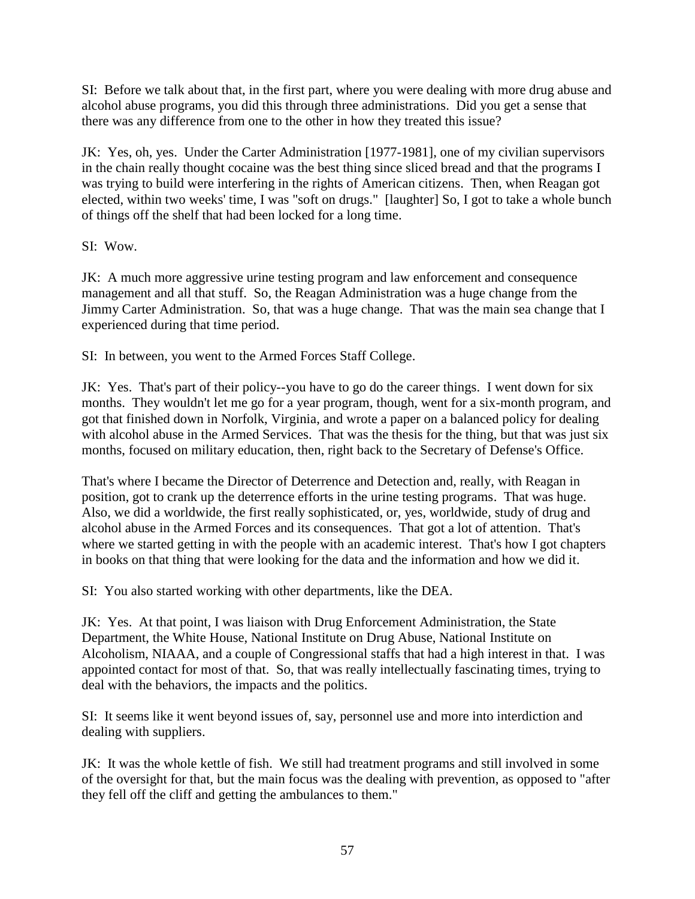SI: Before we talk about that, in the first part, where you were dealing with more drug abuse and alcohol abuse programs, you did this through three administrations. Did you get a sense that there was any difference from one to the other in how they treated this issue?

JK: Yes, oh, yes. Under the Carter Administration [1977-1981], one of my civilian supervisors in the chain really thought cocaine was the best thing since sliced bread and that the programs I was trying to build were interfering in the rights of American citizens. Then, when Reagan got elected, within two weeks' time, I was "soft on drugs." [laughter] So, I got to take a whole bunch of things off the shelf that had been locked for a long time.

SI: Wow.

JK: A much more aggressive urine testing program and law enforcement and consequence management and all that stuff. So, the Reagan Administration was a huge change from the Jimmy Carter Administration. So, that was a huge change. That was the main sea change that I experienced during that time period.

SI: In between, you went to the Armed Forces Staff College.

JK: Yes. That's part of their policy--you have to go do the career things. I went down for six months. They wouldn't let me go for a year program, though, went for a six-month program, and got that finished down in Norfolk, Virginia, and wrote a paper on a balanced policy for dealing with alcohol abuse in the Armed Services. That was the thesis for the thing, but that was just six months, focused on military education, then, right back to the Secretary of Defense's Office.

That's where I became the Director of Deterrence and Detection and, really, with Reagan in position, got to crank up the deterrence efforts in the urine testing programs. That was huge. Also, we did a worldwide, the first really sophisticated, or, yes, worldwide, study of drug and alcohol abuse in the Armed Forces and its consequences. That got a lot of attention. That's where we started getting in with the people with an academic interest. That's how I got chapters in books on that thing that were looking for the data and the information and how we did it.

SI: You also started working with other departments, like the DEA.

JK: Yes. At that point, I was liaison with Drug Enforcement Administration, the State Department, the White House, National Institute on Drug Abuse, National Institute on Alcoholism, NIAAA, and a couple of Congressional staffs that had a high interest in that. I was appointed contact for most of that. So, that was really intellectually fascinating times, trying to deal with the behaviors, the impacts and the politics.

SI: It seems like it went beyond issues of, say, personnel use and more into interdiction and dealing with suppliers.

JK: It was the whole kettle of fish. We still had treatment programs and still involved in some of the oversight for that, but the main focus was the dealing with prevention, as opposed to "after they fell off the cliff and getting the ambulances to them."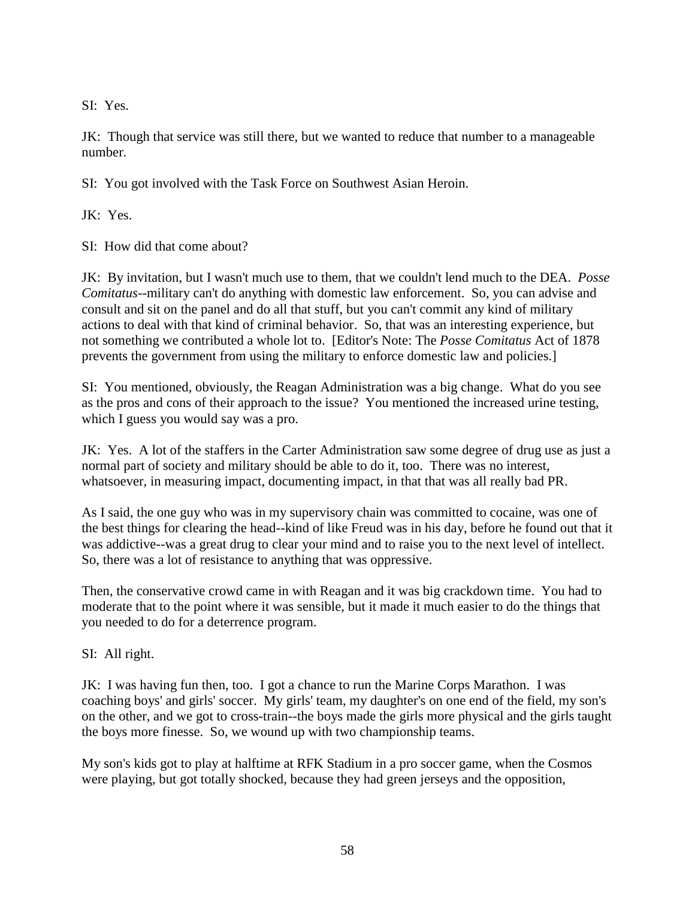SI: Yes.

JK: Though that service was still there, but we wanted to reduce that number to a manageable number.

SI: You got involved with the Task Force on Southwest Asian Heroin.

JK: Yes.

SI: How did that come about?

JK: By invitation, but I wasn't much use to them, that we couldn't lend much to the DEA. *Posse Comitatus*--military can't do anything with domestic law enforcement. So, you can advise and consult and sit on the panel and do all that stuff, but you can't commit any kind of military actions to deal with that kind of criminal behavior. So, that was an interesting experience, but not something we contributed a whole lot to. [Editor's Note: The *Posse Comitatus* Act of 1878 prevents the government from using the military to enforce domestic law and policies.]

SI: You mentioned, obviously, the Reagan Administration was a big change. What do you see as the pros and cons of their approach to the issue? You mentioned the increased urine testing, which I guess you would say was a pro.

JK: Yes. A lot of the staffers in the Carter Administration saw some degree of drug use as just a normal part of society and military should be able to do it, too. There was no interest, whatsoever, in measuring impact, documenting impact, in that that was all really bad PR.

As I said, the one guy who was in my supervisory chain was committed to cocaine, was one of the best things for clearing the head--kind of like Freud was in his day, before he found out that it was addictive--was a great drug to clear your mind and to raise you to the next level of intellect. So, there was a lot of resistance to anything that was oppressive.

Then, the conservative crowd came in with Reagan and it was big crackdown time. You had to moderate that to the point where it was sensible, but it made it much easier to do the things that you needed to do for a deterrence program.

SI: All right.

JK: I was having fun then, too. I got a chance to run the Marine Corps Marathon. I was coaching boys' and girls' soccer. My girls' team, my daughter's on one end of the field, my son's on the other, and we got to cross-train--the boys made the girls more physical and the girls taught the boys more finesse. So, we wound up with two championship teams.

My son's kids got to play at halftime at RFK Stadium in a pro soccer game, when the Cosmos were playing, but got totally shocked, because they had green jerseys and the opposition,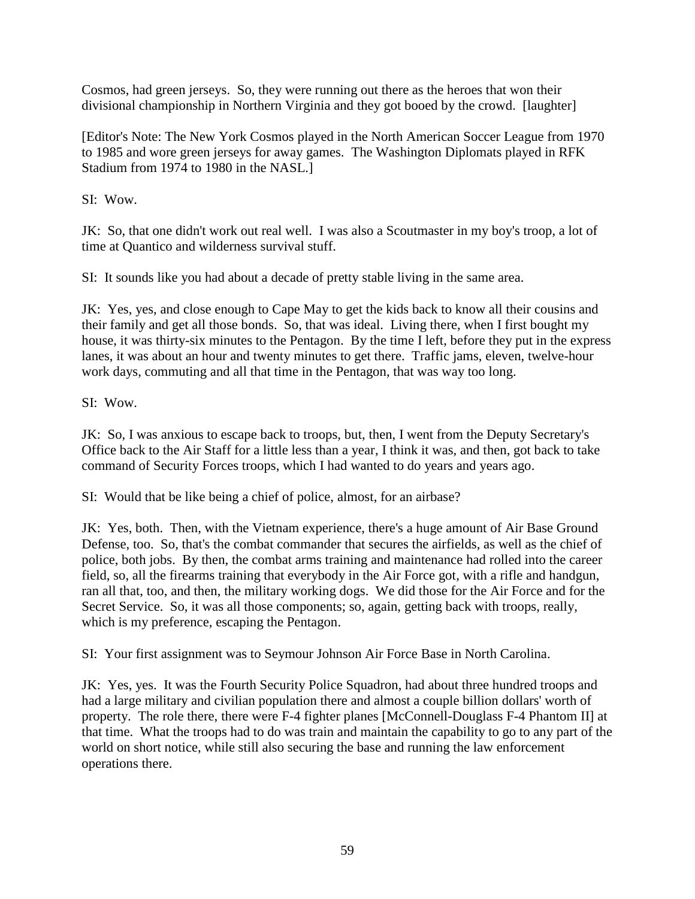Cosmos, had green jerseys. So, they were running out there as the heroes that won their divisional championship in Northern Virginia and they got booed by the crowd. [laughter]

[Editor's Note: The New York Cosmos played in the North American Soccer League from 1970 to 1985 and wore green jerseys for away games. The Washington Diplomats played in RFK Stadium from 1974 to 1980 in the NASL.]

SI: Wow.

JK: So, that one didn't work out real well. I was also a Scoutmaster in my boy's troop, a lot of time at Quantico and wilderness survival stuff.

SI: It sounds like you had about a decade of pretty stable living in the same area.

JK: Yes, yes, and close enough to Cape May to get the kids back to know all their cousins and their family and get all those bonds. So, that was ideal. Living there, when I first bought my house, it was thirty-six minutes to the Pentagon. By the time I left, before they put in the express lanes, it was about an hour and twenty minutes to get there. Traffic jams, eleven, twelve-hour work days, commuting and all that time in the Pentagon, that was way too long.

SI: Wow.

JK: So, I was anxious to escape back to troops, but, then, I went from the Deputy Secretary's Office back to the Air Staff for a little less than a year, I think it was, and then, got back to take command of Security Forces troops, which I had wanted to do years and years ago.

SI: Would that be like being a chief of police, almost, for an airbase?

JK: Yes, both. Then, with the Vietnam experience, there's a huge amount of Air Base Ground Defense, too. So, that's the combat commander that secures the airfields, as well as the chief of police, both jobs. By then, the combat arms training and maintenance had rolled into the career field, so, all the firearms training that everybody in the Air Force got, with a rifle and handgun, ran all that, too, and then, the military working dogs. We did those for the Air Force and for the Secret Service. So, it was all those components; so, again, getting back with troops, really, which is my preference, escaping the Pentagon.

SI: Your first assignment was to Seymour Johnson Air Force Base in North Carolina.

JK: Yes, yes. It was the Fourth Security Police Squadron, had about three hundred troops and had a large military and civilian population there and almost a couple billion dollars' worth of property. The role there, there were F-4 fighter planes [McConnell-Douglass F-4 Phantom II] at that time. What the troops had to do was train and maintain the capability to go to any part of the world on short notice, while still also securing the base and running the law enforcement operations there.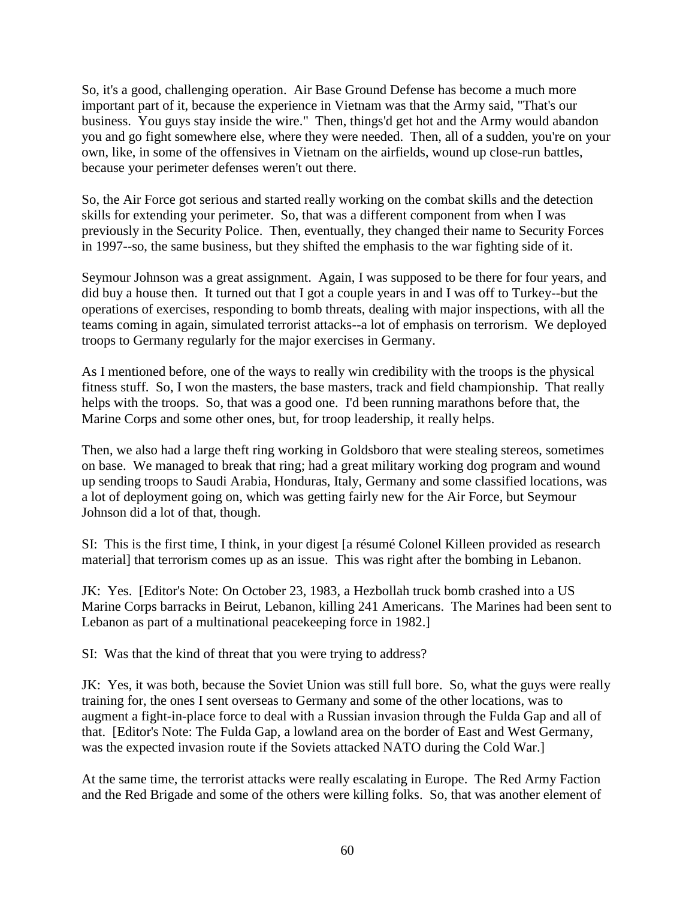So, it's a good, challenging operation. Air Base Ground Defense has become a much more important part of it, because the experience in Vietnam was that the Army said, "That's our business. You guys stay inside the wire." Then, things'd get hot and the Army would abandon you and go fight somewhere else, where they were needed. Then, all of a sudden, you're on your own, like, in some of the offensives in Vietnam on the airfields, wound up close-run battles, because your perimeter defenses weren't out there.

So, the Air Force got serious and started really working on the combat skills and the detection skills for extending your perimeter. So, that was a different component from when I was previously in the Security Police. Then, eventually, they changed their name to Security Forces in 1997--so, the same business, but they shifted the emphasis to the war fighting side of it.

Seymour Johnson was a great assignment. Again, I was supposed to be there for four years, and did buy a house then. It turned out that I got a couple years in and I was off to Turkey--but the operations of exercises, responding to bomb threats, dealing with major inspections, with all the teams coming in again, simulated terrorist attacks--a lot of emphasis on terrorism. We deployed troops to Germany regularly for the major exercises in Germany.

As I mentioned before, one of the ways to really win credibility with the troops is the physical fitness stuff. So, I won the masters, the base masters, track and field championship. That really helps with the troops. So, that was a good one. I'd been running marathons before that, the Marine Corps and some other ones, but, for troop leadership, it really helps.

Then, we also had a large theft ring working in Goldsboro that were stealing stereos, sometimes on base. We managed to break that ring; had a great military working dog program and wound up sending troops to Saudi Arabia, Honduras, Italy, Germany and some classified locations, was a lot of deployment going on, which was getting fairly new for the Air Force, but Seymour Johnson did a lot of that, though.

SI: This is the first time, I think, in your digest [a résumé Colonel Killeen provided as research material] that terrorism comes up as an issue. This was right after the bombing in Lebanon.

JK: Yes. [Editor's Note: On October 23, 1983, a Hezbollah truck bomb crashed into a US Marine Corps barracks in Beirut, Lebanon, killing 241 Americans. The Marines had been sent to Lebanon as part of a multinational peacekeeping force in 1982.]

SI: Was that the kind of threat that you were trying to address?

JK: Yes, it was both, because the Soviet Union was still full bore. So, what the guys were really training for, the ones I sent overseas to Germany and some of the other locations, was to augment a fight-in-place force to deal with a Russian invasion through the Fulda Gap and all of that. [Editor's Note: The Fulda Gap, a lowland area on the border of East and West Germany, was the expected invasion route if the Soviets attacked NATO during the Cold War.]

At the same time, the terrorist attacks were really escalating in Europe. The Red Army Faction and the Red Brigade and some of the others were killing folks. So, that was another element of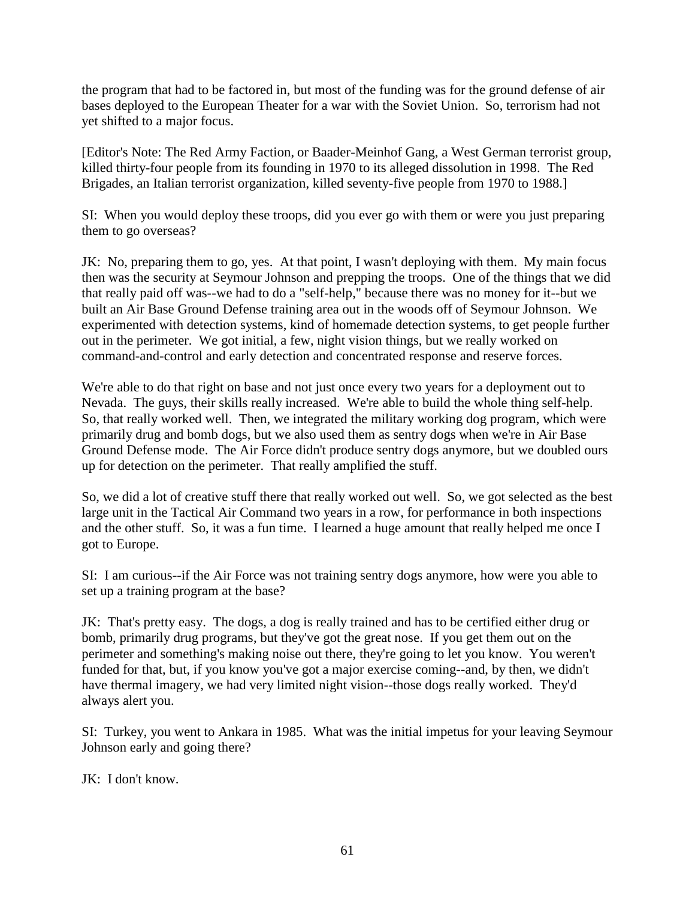the program that had to be factored in, but most of the funding was for the ground defense of air bases deployed to the European Theater for a war with the Soviet Union. So, terrorism had not yet shifted to a major focus.

[Editor's Note: The Red Army Faction, or Baader-Meinhof Gang, a West German terrorist group, killed thirty-four people from its founding in 1970 to its alleged dissolution in 1998. The Red Brigades, an Italian terrorist organization, killed seventy-five people from 1970 to 1988.]

SI: When you would deploy these troops, did you ever go with them or were you just preparing them to go overseas?

JK: No, preparing them to go, yes. At that point, I wasn't deploying with them. My main focus then was the security at Seymour Johnson and prepping the troops. One of the things that we did that really paid off was--we had to do a "self-help," because there was no money for it--but we built an Air Base Ground Defense training area out in the woods off of Seymour Johnson. We experimented with detection systems, kind of homemade detection systems, to get people further out in the perimeter. We got initial, a few, night vision things, but we really worked on command-and-control and early detection and concentrated response and reserve forces.

We're able to do that right on base and not just once every two years for a deployment out to Nevada. The guys, their skills really increased. We're able to build the whole thing self-help. So, that really worked well. Then, we integrated the military working dog program, which were primarily drug and bomb dogs, but we also used them as sentry dogs when we're in Air Base Ground Defense mode. The Air Force didn't produce sentry dogs anymore, but we doubled ours up for detection on the perimeter. That really amplified the stuff.

So, we did a lot of creative stuff there that really worked out well. So, we got selected as the best large unit in the Tactical Air Command two years in a row, for performance in both inspections and the other stuff. So, it was a fun time. I learned a huge amount that really helped me once I got to Europe.

SI: I am curious--if the Air Force was not training sentry dogs anymore, how were you able to set up a training program at the base?

JK: That's pretty easy. The dogs, a dog is really trained and has to be certified either drug or bomb, primarily drug programs, but they've got the great nose. If you get them out on the perimeter and something's making noise out there, they're going to let you know. You weren't funded for that, but, if you know you've got a major exercise coming--and, by then, we didn't have thermal imagery, we had very limited night vision--those dogs really worked. They'd always alert you.

SI: Turkey, you went to Ankara in 1985. What was the initial impetus for your leaving Seymour Johnson early and going there?

JK: I don't know.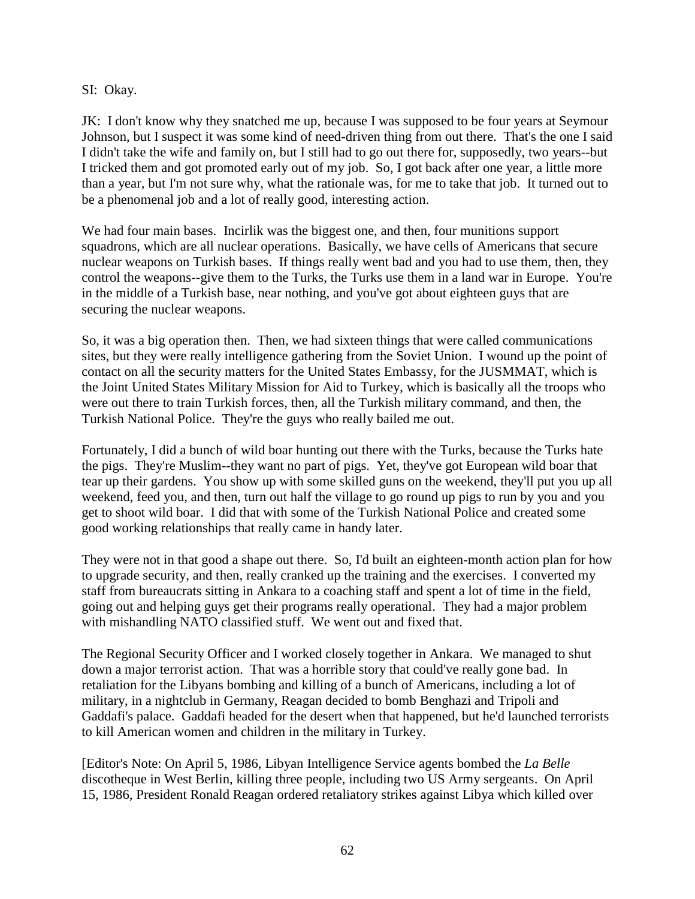SI: Okay.

JK: I don't know why they snatched me up, because I was supposed to be four years at Seymour Johnson, but I suspect it was some kind of need-driven thing from out there. That's the one I said I didn't take the wife and family on, but I still had to go out there for, supposedly, two years--but I tricked them and got promoted early out of my job. So, I got back after one year, a little more than a year, but I'm not sure why, what the rationale was, for me to take that job. It turned out to be a phenomenal job and a lot of really good, interesting action.

We had four main bases. Incirlik was the biggest one, and then, four munitions support squadrons, which are all nuclear operations. Basically, we have cells of Americans that secure nuclear weapons on Turkish bases. If things really went bad and you had to use them, then, they control the weapons--give them to the Turks, the Turks use them in a land war in Europe. You're in the middle of a Turkish base, near nothing, and you've got about eighteen guys that are securing the nuclear weapons.

So, it was a big operation then. Then, we had sixteen things that were called communications sites, but they were really intelligence gathering from the Soviet Union. I wound up the point of contact on all the security matters for the United States Embassy, for the JUSMMAT, which is the Joint United States Military Mission for Aid to Turkey, which is basically all the troops who were out there to train Turkish forces, then, all the Turkish military command, and then, the Turkish National Police. They're the guys who really bailed me out.

Fortunately, I did a bunch of wild boar hunting out there with the Turks, because the Turks hate the pigs. They're Muslim--they want no part of pigs. Yet, they've got European wild boar that tear up their gardens. You show up with some skilled guns on the weekend, they'll put you up all weekend, feed you, and then, turn out half the village to go round up pigs to run by you and you get to shoot wild boar. I did that with some of the Turkish National Police and created some good working relationships that really came in handy later.

They were not in that good a shape out there. So, I'd built an eighteen-month action plan for how to upgrade security, and then, really cranked up the training and the exercises. I converted my staff from bureaucrats sitting in Ankara to a coaching staff and spent a lot of time in the field, going out and helping guys get their programs really operational. They had a major problem with mishandling NATO classified stuff. We went out and fixed that.

The Regional Security Officer and I worked closely together in Ankara. We managed to shut down a major terrorist action. That was a horrible story that could've really gone bad. In retaliation for the Libyans bombing and killing of a bunch of Americans, including a lot of military, in a nightclub in Germany, Reagan decided to bomb Benghazi and Tripoli and Gaddafi's palace. Gaddafi headed for the desert when that happened, but he'd launched terrorists to kill American women and children in the military in Turkey.

[Editor's Note: On April 5, 1986, Libyan Intelligence Service agents bombed the *La Belle* discotheque in West Berlin, killing three people, including two US Army sergeants. On April 15, 1986, President Ronald Reagan ordered retaliatory strikes against Libya which killed over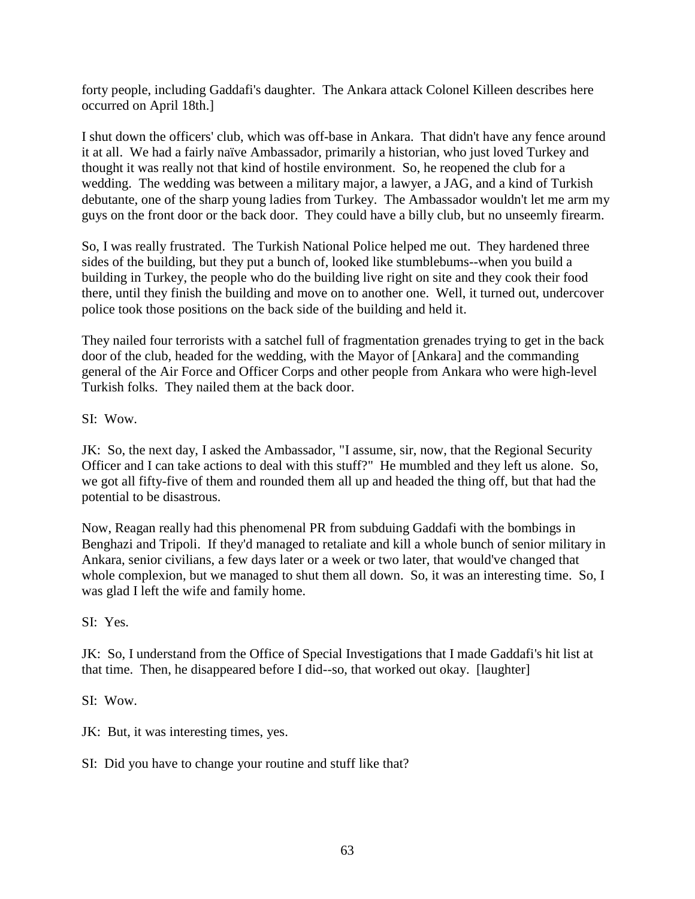forty people, including Gaddafi's daughter. The Ankara attack Colonel Killeen describes here occurred on April 18th.]

I shut down the officers' club, which was off-base in Ankara. That didn't have any fence around it at all. We had a fairly naïve Ambassador, primarily a historian, who just loved Turkey and thought it was really not that kind of hostile environment. So, he reopened the club for a wedding. The wedding was between a military major, a lawyer, a JAG, and a kind of Turkish debutante, one of the sharp young ladies from Turkey. The Ambassador wouldn't let me arm my guys on the front door or the back door. They could have a billy club, but no unseemly firearm.

So, I was really frustrated. The Turkish National Police helped me out. They hardened three sides of the building, but they put a bunch of, looked like stumblebums--when you build a building in Turkey, the people who do the building live right on site and they cook their food there, until they finish the building and move on to another one. Well, it turned out, undercover police took those positions on the back side of the building and held it.

They nailed four terrorists with a satchel full of fragmentation grenades trying to get in the back door of the club, headed for the wedding, with the Mayor of [Ankara] and the commanding general of the Air Force and Officer Corps and other people from Ankara who were high-level Turkish folks. They nailed them at the back door.

SI: Wow.

JK: So, the next day, I asked the Ambassador, "I assume, sir, now, that the Regional Security Officer and I can take actions to deal with this stuff?" He mumbled and they left us alone. So, we got all fifty-five of them and rounded them all up and headed the thing off, but that had the potential to be disastrous.

Now, Reagan really had this phenomenal PR from subduing Gaddafi with the bombings in Benghazi and Tripoli. If they'd managed to retaliate and kill a whole bunch of senior military in Ankara, senior civilians, a few days later or a week or two later, that would've changed that whole complexion, but we managed to shut them all down. So, it was an interesting time. So, I was glad I left the wife and family home.

SI: Yes.

JK: So, I understand from the Office of Special Investigations that I made Gaddafi's hit list at that time. Then, he disappeared before I did--so, that worked out okay. [laughter]

SI: Wow.

JK: But, it was interesting times, yes.

SI: Did you have to change your routine and stuff like that?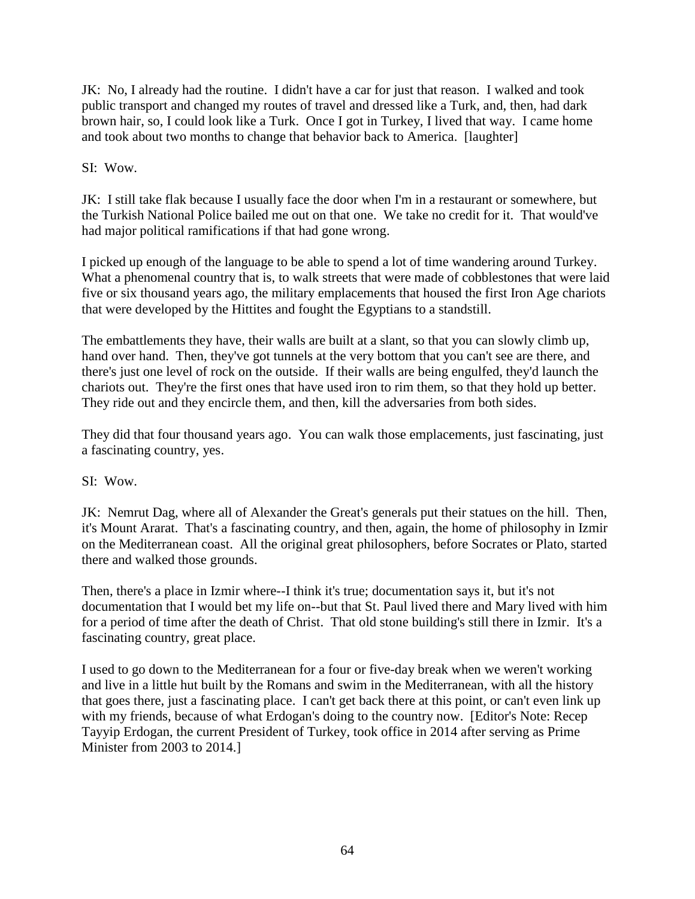JK: No, I already had the routine. I didn't have a car for just that reason. I walked and took public transport and changed my routes of travel and dressed like a Turk, and, then, had dark brown hair, so, I could look like a Turk. Once I got in Turkey, I lived that way. I came home and took about two months to change that behavior back to America. [laughter]

SI: Wow.

JK: I still take flak because I usually face the door when I'm in a restaurant or somewhere, but the Turkish National Police bailed me out on that one. We take no credit for it. That would've had major political ramifications if that had gone wrong.

I picked up enough of the language to be able to spend a lot of time wandering around Turkey. What a phenomenal country that is, to walk streets that were made of cobblestones that were laid five or six thousand years ago, the military emplacements that housed the first Iron Age chariots that were developed by the Hittites and fought the Egyptians to a standstill.

The embattlements they have, their walls are built at a slant, so that you can slowly climb up, hand over hand. Then, they've got tunnels at the very bottom that you can't see are there, and there's just one level of rock on the outside. If their walls are being engulfed, they'd launch the chariots out. They're the first ones that have used iron to rim them, so that they hold up better. They ride out and they encircle them, and then, kill the adversaries from both sides.

They did that four thousand years ago. You can walk those emplacements, just fascinating, just a fascinating country, yes.

SI: Wow.

JK: Nemrut Dag, where all of Alexander the Great's generals put their statues on the hill. Then, it's Mount Ararat. That's a fascinating country, and then, again, the home of philosophy in Izmir on the Mediterranean coast. All the original great philosophers, before Socrates or Plato, started there and walked those grounds.

Then, there's a place in Izmir where--I think it's true; documentation says it, but it's not documentation that I would bet my life on--but that St. Paul lived there and Mary lived with him for a period of time after the death of Christ. That old stone building's still there in Izmir. It's a fascinating country, great place.

I used to go down to the Mediterranean for a four or five-day break when we weren't working and live in a little hut built by the Romans and swim in the Mediterranean, with all the history that goes there, just a fascinating place. I can't get back there at this point, or can't even link up with my friends, because of what Erdogan's doing to the country now. [Editor's Note: Recep Tayyip Erdogan, the current President of Turkey, took office in 2014 after serving as Prime Minister from 2003 to 2014.]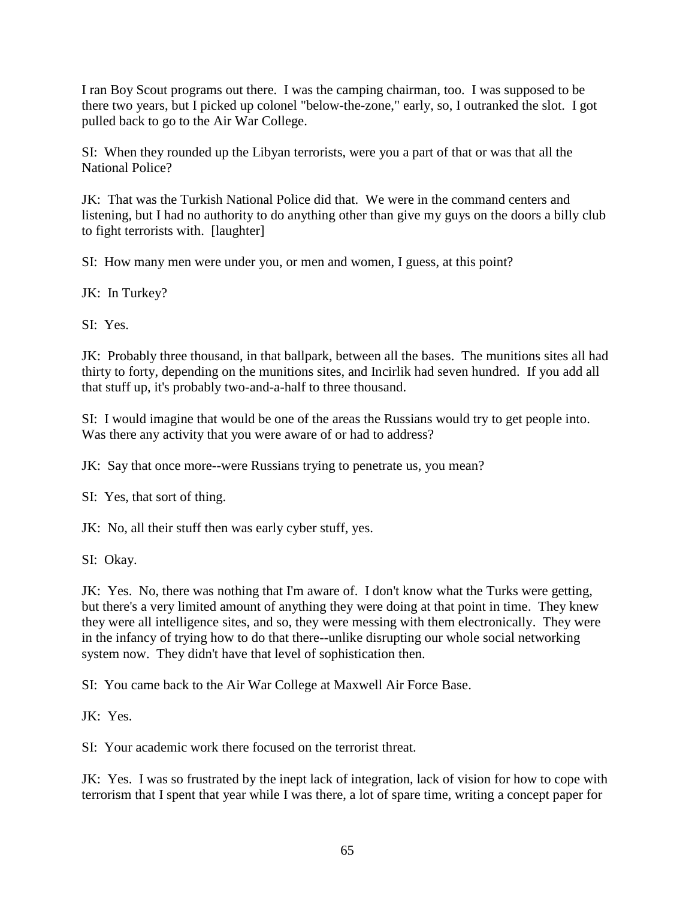I ran Boy Scout programs out there. I was the camping chairman, too. I was supposed to be there two years, but I picked up colonel "below-the-zone," early, so, I outranked the slot. I got pulled back to go to the Air War College.

SI: When they rounded up the Libyan terrorists, were you a part of that or was that all the National Police?

JK: That was the Turkish National Police did that. We were in the command centers and listening, but I had no authority to do anything other than give my guys on the doors a billy club to fight terrorists with. [laughter]

SI: How many men were under you, or men and women, I guess, at this point?

JK: In Turkey?

SI: Yes.

JK: Probably three thousand, in that ballpark, between all the bases. The munitions sites all had thirty to forty, depending on the munitions sites, and Incirlik had seven hundred. If you add all that stuff up, it's probably two-and-a-half to three thousand.

SI: I would imagine that would be one of the areas the Russians would try to get people into. Was there any activity that you were aware of or had to address?

JK: Say that once more--were Russians trying to penetrate us, you mean?

SI: Yes, that sort of thing.

JK: No, all their stuff then was early cyber stuff, yes.

SI: Okay.

JK: Yes. No, there was nothing that I'm aware of. I don't know what the Turks were getting, but there's a very limited amount of anything they were doing at that point in time. They knew they were all intelligence sites, and so, they were messing with them electronically. They were in the infancy of trying how to do that there--unlike disrupting our whole social networking system now. They didn't have that level of sophistication then.

SI: You came back to the Air War College at Maxwell Air Force Base.

JK: Yes.

SI: Your academic work there focused on the terrorist threat.

JK: Yes. I was so frustrated by the inept lack of integration, lack of vision for how to cope with terrorism that I spent that year while I was there, a lot of spare time, writing a concept paper for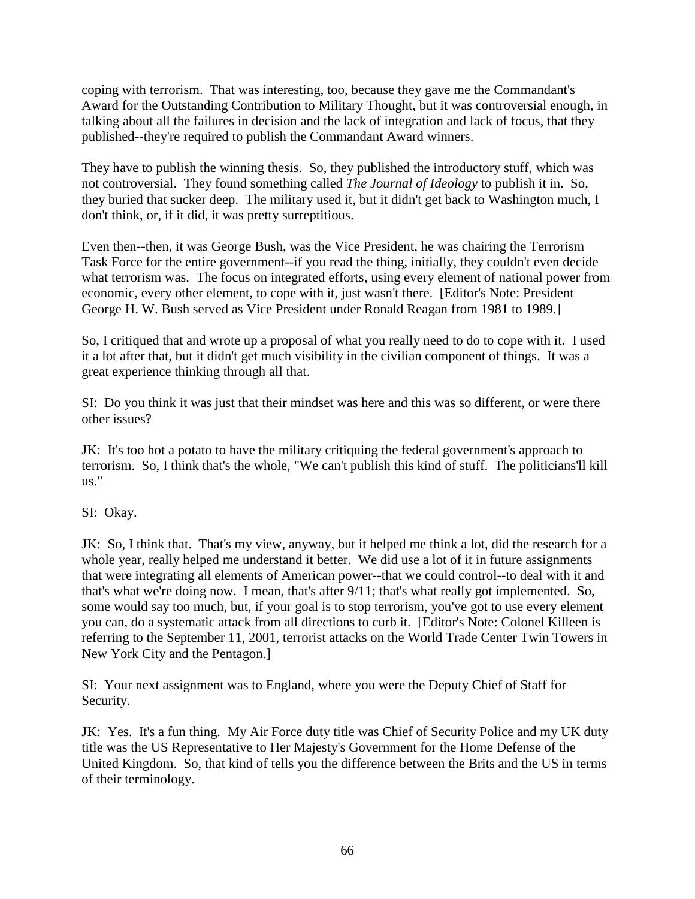coping with terrorism. That was interesting, too, because they gave me the Commandant's Award for the Outstanding Contribution to Military Thought, but it was controversial enough, in talking about all the failures in decision and the lack of integration and lack of focus, that they published--they're required to publish the Commandant Award winners.

They have to publish the winning thesis. So, they published the introductory stuff, which was not controversial. They found something called *The Journal of Ideology* to publish it in. So, they buried that sucker deep. The military used it, but it didn't get back to Washington much, I don't think, or, if it did, it was pretty surreptitious.

Even then--then, it was George Bush, was the Vice President, he was chairing the Terrorism Task Force for the entire government--if you read the thing, initially, they couldn't even decide what terrorism was. The focus on integrated efforts, using every element of national power from economic, every other element, to cope with it, just wasn't there. [Editor's Note: President George H. W. Bush served as Vice President under Ronald Reagan from 1981 to 1989.]

So, I critiqued that and wrote up a proposal of what you really need to do to cope with it. I used it a lot after that, but it didn't get much visibility in the civilian component of things. It was a great experience thinking through all that.

SI: Do you think it was just that their mindset was here and this was so different, or were there other issues?

JK: It's too hot a potato to have the military critiquing the federal government's approach to terrorism. So, I think that's the whole, "We can't publish this kind of stuff. The politicians'll kill us."

SI: Okay.

JK: So, I think that. That's my view, anyway, but it helped me think a lot, did the research for a whole year, really helped me understand it better. We did use a lot of it in future assignments that were integrating all elements of American power--that we could control--to deal with it and that's what we're doing now. I mean, that's after 9/11; that's what really got implemented. So, some would say too much, but, if your goal is to stop terrorism, you've got to use every element you can, do a systematic attack from all directions to curb it. [Editor's Note: Colonel Killeen is referring to the September 11, 2001, terrorist attacks on the World Trade Center Twin Towers in New York City and the Pentagon.]

SI: Your next assignment was to England, where you were the Deputy Chief of Staff for Security.

JK: Yes. It's a fun thing. My Air Force duty title was Chief of Security Police and my UK duty title was the US Representative to Her Majesty's Government for the Home Defense of the United Kingdom. So, that kind of tells you the difference between the Brits and the US in terms of their terminology.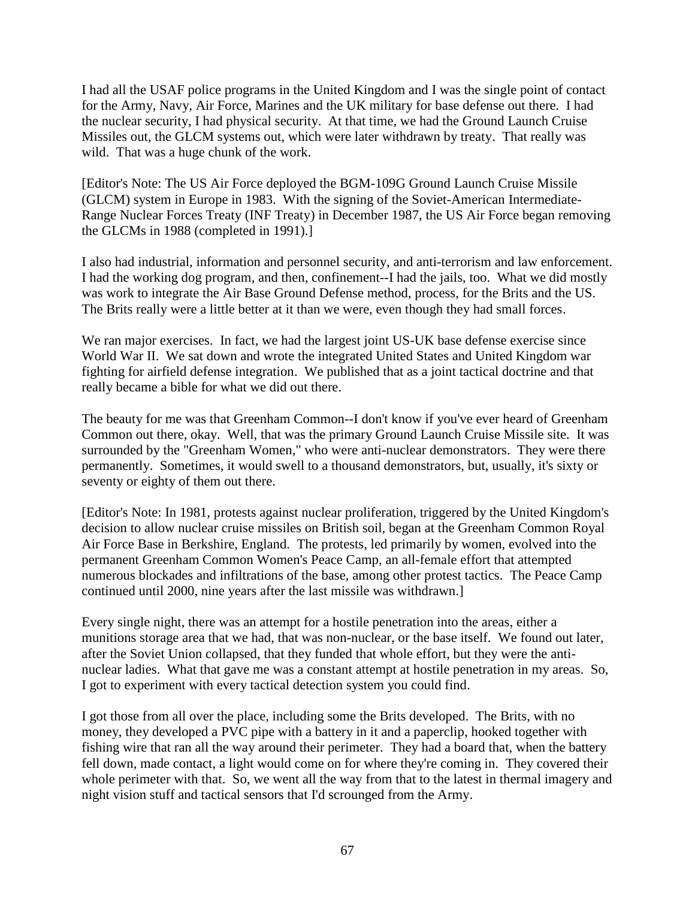I had all the USAF police programs in the United Kingdom and I was the single point of contact for the Army, Navy, Air Force, Marines and the UK military for base defense out there. I had the nuclear security, I had physical security. At that time, we had the Ground Launch Cruise Missiles out, the GLCM systems out, which were later withdrawn by treaty. That really was wild. That was a huge chunk of the work.

[Editor's Note: The US Air Force deployed the BGM-109G Ground Launch Cruise Missile (GLCM) system in Europe in 1983. With the signing of the Soviet-American Intermediate-Range Nuclear Forces Treaty (INF Treaty) in December 1987, the US Air Force began removing the GLCMs in 1988 (completed in 1991).]

I also had industrial, information and personnel security, and anti-terrorism and law enforcement. I had the working dog program, and then, confinement--I had the jails, too. What we did mostly was work to integrate the Air Base Ground Defense method, process, for the Brits and the US. The Brits really were a little better at it than we were, even though they had small forces.

We ran major exercises. In fact, we had the largest joint US-UK base defense exercise since World War II. We sat down and wrote the integrated United States and United Kingdom war fighting for airfield defense integration. We published that as a joint tactical doctrine and that really became a bible for what we did out there.

The beauty for me was that Greenham Common--I don't know if you've ever heard of Greenham Common out there, okay. Well, that was the primary Ground Launch Cruise Missile site. It was surrounded by the "Greenham Women," who were anti-nuclear demonstrators. They were there permanently. Sometimes, it would swell to a thousand demonstrators, but, usually, it's sixty or seventy or eighty of them out there.

[Editor's Note: In 1981, protests against nuclear proliferation, triggered by the United Kingdom's decision to allow nuclear cruise missiles on British soil, began at the Greenham Common Royal Air Force Base in Berkshire, England. The protests, led primarily by women, evolved into the permanent Greenham Common Women's Peace Camp, an all-female effort that attempted numerous blockades and infiltrations of the base, among other protest tactics. The Peace Camp continued until 2000, nine years after the last missile was withdrawn.]

Every single night, there was an attempt for a hostile penetration into the areas, either a munitions storage area that we had, that was non-nuclear, or the base itself. We found out later, after the Soviet Union collapsed, that they funded that whole effort, but they were the antinuclear ladies. What that gave me was a constant attempt at hostile penetration in my areas. So, I got to experiment with every tactical detection system you could find.

I got those from all over the place, including some the Brits developed. The Brits, with no money, they developed a PVC pipe with a battery in it and a paperclip, hooked together with fishing wire that ran all the way around their perimeter. They had a board that, when the battery fell down, made contact, a light would come on for where they're coming in. They covered their whole perimeter with that. So, we went all the way from that to the latest in thermal imagery and night vision stuff and tactical sensors that I'd scrounged from the Army.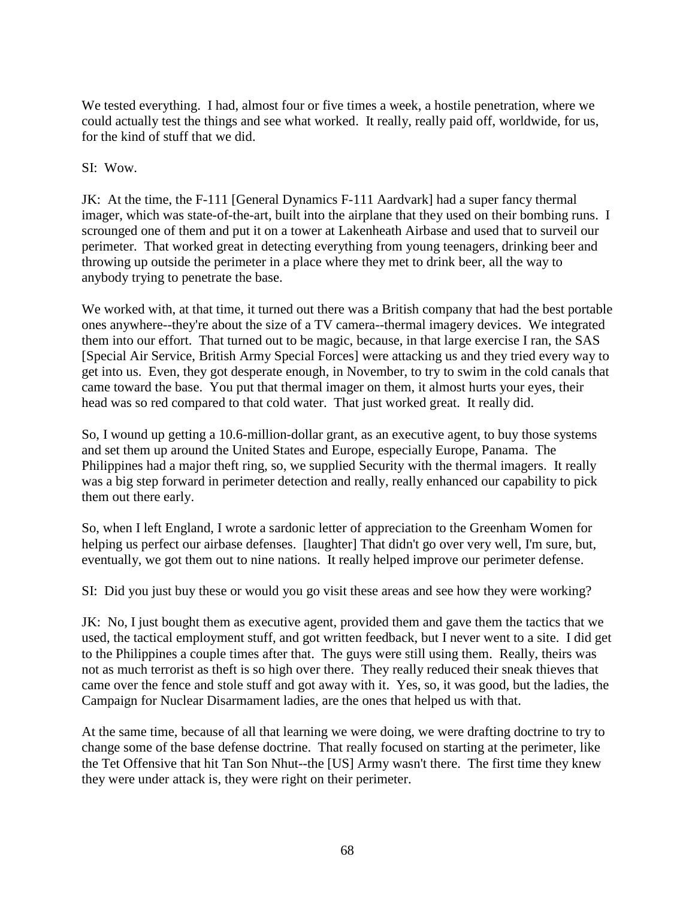We tested everything. I had, almost four or five times a week, a hostile penetration, where we could actually test the things and see what worked. It really, really paid off, worldwide, for us, for the kind of stuff that we did.

## SI: Wow.

JK: At the time, the F-111 [General Dynamics F-111 Aardvark] had a super fancy thermal imager, which was state-of-the-art, built into the airplane that they used on their bombing runs. I scrounged one of them and put it on a tower at Lakenheath Airbase and used that to surveil our perimeter. That worked great in detecting everything from young teenagers, drinking beer and throwing up outside the perimeter in a place where they met to drink beer, all the way to anybody trying to penetrate the base.

We worked with, at that time, it turned out there was a British company that had the best portable ones anywhere--they're about the size of a TV camera--thermal imagery devices. We integrated them into our effort. That turned out to be magic, because, in that large exercise I ran, the SAS [Special Air Service, British Army Special Forces] were attacking us and they tried every way to get into us. Even, they got desperate enough, in November, to try to swim in the cold canals that came toward the base. You put that thermal imager on them, it almost hurts your eyes, their head was so red compared to that cold water. That just worked great. It really did.

So, I wound up getting a 10.6-million-dollar grant, as an executive agent, to buy those systems and set them up around the United States and Europe, especially Europe, Panama. The Philippines had a major theft ring, so, we supplied Security with the thermal imagers. It really was a big step forward in perimeter detection and really, really enhanced our capability to pick them out there early.

So, when I left England, I wrote a sardonic letter of appreciation to the Greenham Women for helping us perfect our airbase defenses. [laughter] That didn't go over very well, I'm sure, but, eventually, we got them out to nine nations. It really helped improve our perimeter defense.

SI: Did you just buy these or would you go visit these areas and see how they were working?

JK: No, I just bought them as executive agent, provided them and gave them the tactics that we used, the tactical employment stuff, and got written feedback, but I never went to a site. I did get to the Philippines a couple times after that. The guys were still using them. Really, theirs was not as much terrorist as theft is so high over there. They really reduced their sneak thieves that came over the fence and stole stuff and got away with it. Yes, so, it was good, but the ladies, the Campaign for Nuclear Disarmament ladies, are the ones that helped us with that.

At the same time, because of all that learning we were doing, we were drafting doctrine to try to change some of the base defense doctrine. That really focused on starting at the perimeter, like the Tet Offensive that hit Tan Son Nhut--the [US] Army wasn't there. The first time they knew they were under attack is, they were right on their perimeter.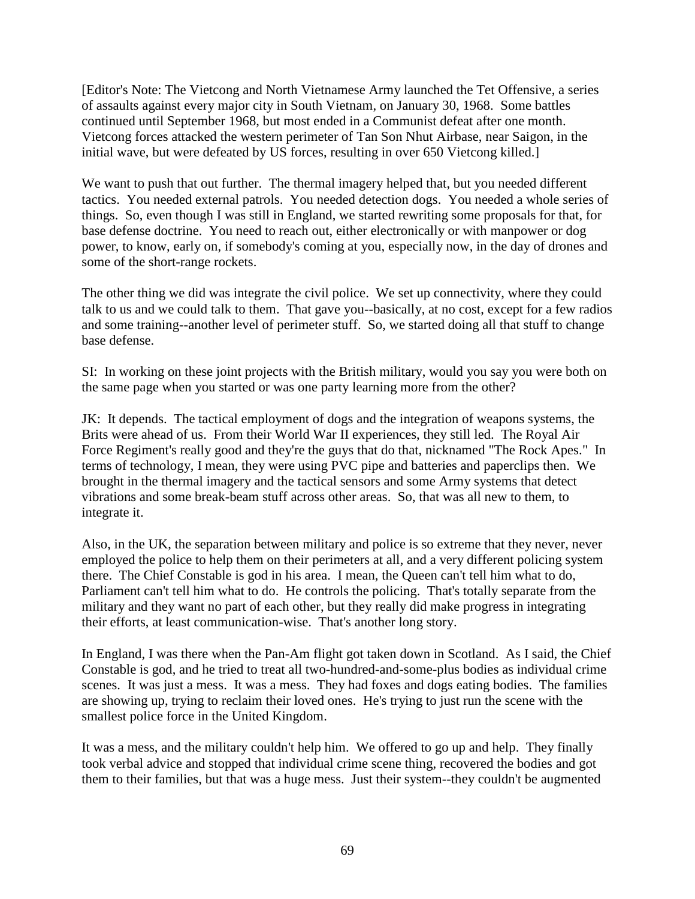[Editor's Note: The Vietcong and North Vietnamese Army launched the Tet Offensive, a series of assaults against every major city in South Vietnam, on January 30, 1968. Some battles continued until September 1968, but most ended in a Communist defeat after one month. Vietcong forces attacked the western perimeter of Tan Son Nhut Airbase, near Saigon, in the initial wave, but were defeated by US forces, resulting in over 650 Vietcong killed.]

We want to push that out further. The thermal imagery helped that, but you needed different tactics. You needed external patrols. You needed detection dogs. You needed a whole series of things. So, even though I was still in England, we started rewriting some proposals for that, for base defense doctrine. You need to reach out, either electronically or with manpower or dog power, to know, early on, if somebody's coming at you, especially now, in the day of drones and some of the short-range rockets.

The other thing we did was integrate the civil police. We set up connectivity, where they could talk to us and we could talk to them. That gave you--basically, at no cost, except for a few radios and some training--another level of perimeter stuff. So, we started doing all that stuff to change base defense.

SI: In working on these joint projects with the British military, would you say you were both on the same page when you started or was one party learning more from the other?

JK: It depends. The tactical employment of dogs and the integration of weapons systems, the Brits were ahead of us. From their World War II experiences, they still led. The Royal Air Force Regiment's really good and they're the guys that do that, nicknamed "The Rock Apes." In terms of technology, I mean, they were using PVC pipe and batteries and paperclips then. We brought in the thermal imagery and the tactical sensors and some Army systems that detect vibrations and some break-beam stuff across other areas. So, that was all new to them, to integrate it.

Also, in the UK, the separation between military and police is so extreme that they never, never employed the police to help them on their perimeters at all, and a very different policing system there. The Chief Constable is god in his area. I mean, the Queen can't tell him what to do, Parliament can't tell him what to do. He controls the policing. That's totally separate from the military and they want no part of each other, but they really did make progress in integrating their efforts, at least communication-wise. That's another long story.

In England, I was there when the Pan-Am flight got taken down in Scotland. As I said, the Chief Constable is god, and he tried to treat all two-hundred-and-some-plus bodies as individual crime scenes. It was just a mess. It was a mess. They had foxes and dogs eating bodies. The families are showing up, trying to reclaim their loved ones. He's trying to just run the scene with the smallest police force in the United Kingdom.

It was a mess, and the military couldn't help him. We offered to go up and help. They finally took verbal advice and stopped that individual crime scene thing, recovered the bodies and got them to their families, but that was a huge mess. Just their system--they couldn't be augmented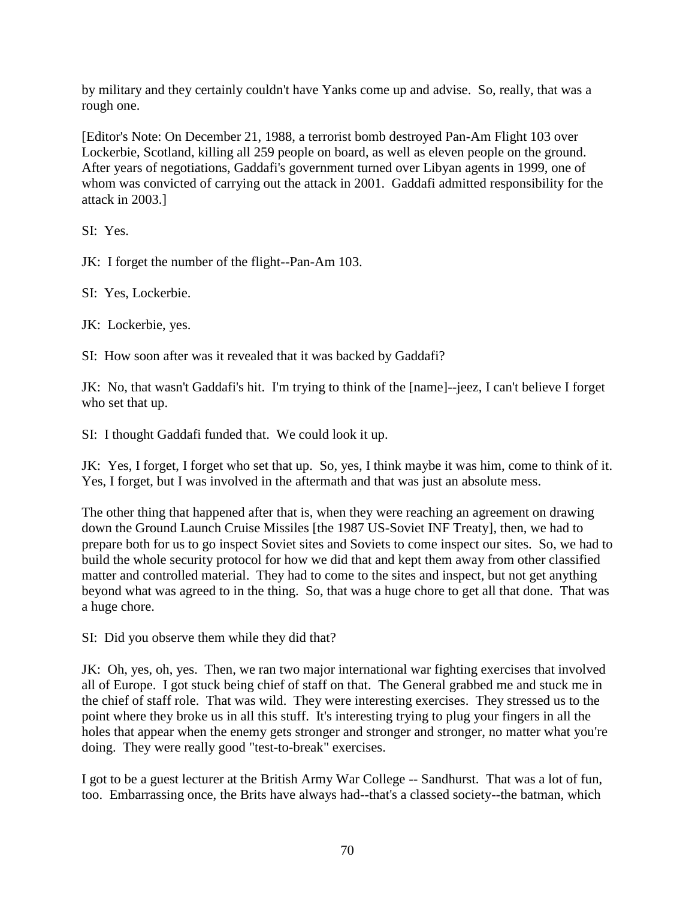by military and they certainly couldn't have Yanks come up and advise. So, really, that was a rough one.

[Editor's Note: On December 21, 1988, a terrorist bomb destroyed Pan-Am Flight 103 over Lockerbie, Scotland, killing all 259 people on board, as well as eleven people on the ground. After years of negotiations, Gaddafi's government turned over Libyan agents in 1999, one of whom was convicted of carrying out the attack in 2001. Gaddafi admitted responsibility for the attack in 2003.]

SI: Yes.

JK: I forget the number of the flight--Pan-Am 103.

SI: Yes, Lockerbie.

JK: Lockerbie, yes.

SI: How soon after was it revealed that it was backed by Gaddafi?

JK: No, that wasn't Gaddafi's hit. I'm trying to think of the [name]--jeez, I can't believe I forget who set that up.

SI: I thought Gaddafi funded that. We could look it up.

JK: Yes, I forget, I forget who set that up. So, yes, I think maybe it was him, come to think of it. Yes, I forget, but I was involved in the aftermath and that was just an absolute mess.

The other thing that happened after that is, when they were reaching an agreement on drawing down the Ground Launch Cruise Missiles [the 1987 US-Soviet INF Treaty], then, we had to prepare both for us to go inspect Soviet sites and Soviets to come inspect our sites. So, we had to build the whole security protocol for how we did that and kept them away from other classified matter and controlled material. They had to come to the sites and inspect, but not get anything beyond what was agreed to in the thing. So, that was a huge chore to get all that done. That was a huge chore.

SI: Did you observe them while they did that?

JK: Oh, yes, oh, yes. Then, we ran two major international war fighting exercises that involved all of Europe. I got stuck being chief of staff on that. The General grabbed me and stuck me in the chief of staff role. That was wild. They were interesting exercises. They stressed us to the point where they broke us in all this stuff. It's interesting trying to plug your fingers in all the holes that appear when the enemy gets stronger and stronger and stronger, no matter what you're doing. They were really good "test-to-break" exercises.

I got to be a guest lecturer at the British Army War College -- Sandhurst. That was a lot of fun, too. Embarrassing once, the Brits have always had--that's a classed society--the batman, which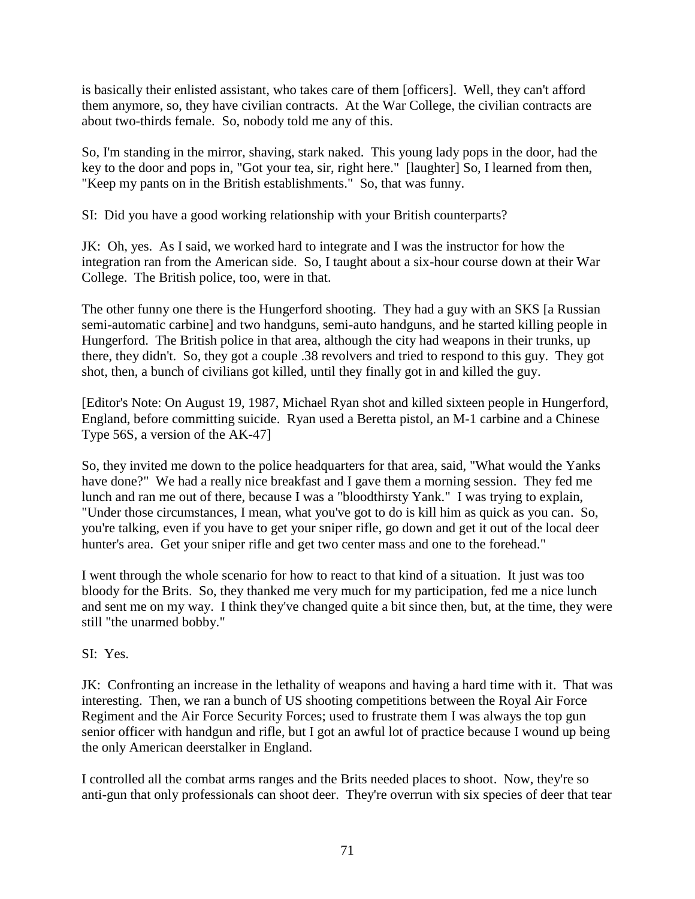is basically their enlisted assistant, who takes care of them [officers]. Well, they can't afford them anymore, so, they have civilian contracts. At the War College, the civilian contracts are about two-thirds female. So, nobody told me any of this.

So, I'm standing in the mirror, shaving, stark naked. This young lady pops in the door, had the key to the door and pops in, "Got your tea, sir, right here." [laughter] So, I learned from then, "Keep my pants on in the British establishments." So, that was funny.

SI: Did you have a good working relationship with your British counterparts?

JK: Oh, yes. As I said, we worked hard to integrate and I was the instructor for how the integration ran from the American side. So, I taught about a six-hour course down at their War College. The British police, too, were in that.

The other funny one there is the Hungerford shooting. They had a guy with an SKS [a Russian semi-automatic carbine] and two handguns, semi-auto handguns, and he started killing people in Hungerford. The British police in that area, although the city had weapons in their trunks, up there, they didn't. So, they got a couple .38 revolvers and tried to respond to this guy. They got shot, then, a bunch of civilians got killed, until they finally got in and killed the guy.

[Editor's Note: On August 19, 1987, Michael Ryan shot and killed sixteen people in Hungerford, England, before committing suicide. Ryan used a Beretta pistol, an M-1 carbine and a Chinese Type 56S, a version of the AK-47]

So, they invited me down to the police headquarters for that area, said, "What would the Yanks have done?" We had a really nice breakfast and I gave them a morning session. They fed me lunch and ran me out of there, because I was a "bloodthirsty Yank." I was trying to explain, "Under those circumstances, I mean, what you've got to do is kill him as quick as you can. So, you're talking, even if you have to get your sniper rifle, go down and get it out of the local deer hunter's area. Get your sniper rifle and get two center mass and one to the forehead."

I went through the whole scenario for how to react to that kind of a situation. It just was too bloody for the Brits. So, they thanked me very much for my participation, fed me a nice lunch and sent me on my way. I think they've changed quite a bit since then, but, at the time, they were still "the unarmed bobby."

SI: Yes.

JK: Confronting an increase in the lethality of weapons and having a hard time with it. That was interesting. Then, we ran a bunch of US shooting competitions between the Royal Air Force Regiment and the Air Force Security Forces; used to frustrate them I was always the top gun senior officer with handgun and rifle, but I got an awful lot of practice because I wound up being the only American deerstalker in England.

I controlled all the combat arms ranges and the Brits needed places to shoot. Now, they're so anti-gun that only professionals can shoot deer. They're overrun with six species of deer that tear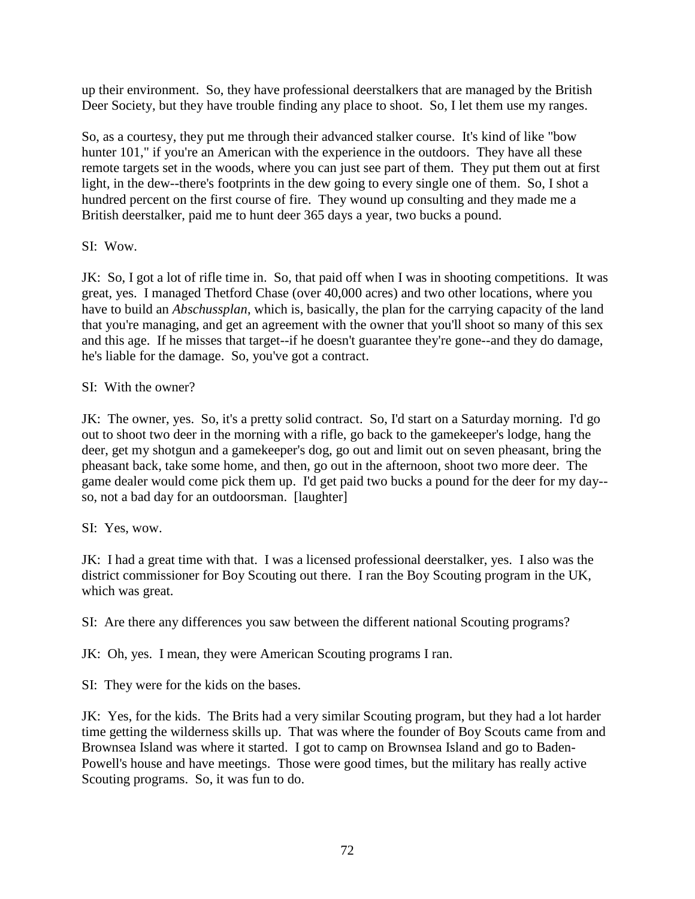up their environment. So, they have professional deerstalkers that are managed by the British Deer Society, but they have trouble finding any place to shoot. So, I let them use my ranges.

So, as a courtesy, they put me through their advanced stalker course. It's kind of like "bow hunter 101," if you're an American with the experience in the outdoors. They have all these remote targets set in the woods, where you can just see part of them. They put them out at first light, in the dew--there's footprints in the dew going to every single one of them. So, I shot a hundred percent on the first course of fire. They wound up consulting and they made me a British deerstalker, paid me to hunt deer 365 days a year, two bucks a pound.

## SI: Wow.

JK: So, I got a lot of rifle time in. So, that paid off when I was in shooting competitions. It was great, yes. I managed Thetford Chase (over 40,000 acres) and two other locations, where you have to build an *Abschussplan*, which is, basically, the plan for the carrying capacity of the land that you're managing, and get an agreement with the owner that you'll shoot so many of this sex and this age. If he misses that target--if he doesn't guarantee they're gone--and they do damage, he's liable for the damage. So, you've got a contract.

## SI: With the owner?

JK: The owner, yes. So, it's a pretty solid contract. So, I'd start on a Saturday morning. I'd go out to shoot two deer in the morning with a rifle, go back to the gamekeeper's lodge, hang the deer, get my shotgun and a gamekeeper's dog, go out and limit out on seven pheasant, bring the pheasant back, take some home, and then, go out in the afternoon, shoot two more deer. The game dealer would come pick them up. I'd get paid two bucks a pound for the deer for my day- so, not a bad day for an outdoorsman. [laughter]

## SI: Yes, wow.

JK: I had a great time with that. I was a licensed professional deerstalker, yes. I also was the district commissioner for Boy Scouting out there. I ran the Boy Scouting program in the UK, which was great.

SI: Are there any differences you saw between the different national Scouting programs?

JK: Oh, yes. I mean, they were American Scouting programs I ran.

SI: They were for the kids on the bases.

JK: Yes, for the kids. The Brits had a very similar Scouting program, but they had a lot harder time getting the wilderness skills up. That was where the founder of Boy Scouts came from and Brownsea Island was where it started. I got to camp on Brownsea Island and go to Baden-Powell's house and have meetings. Those were good times, but the military has really active Scouting programs. So, it was fun to do.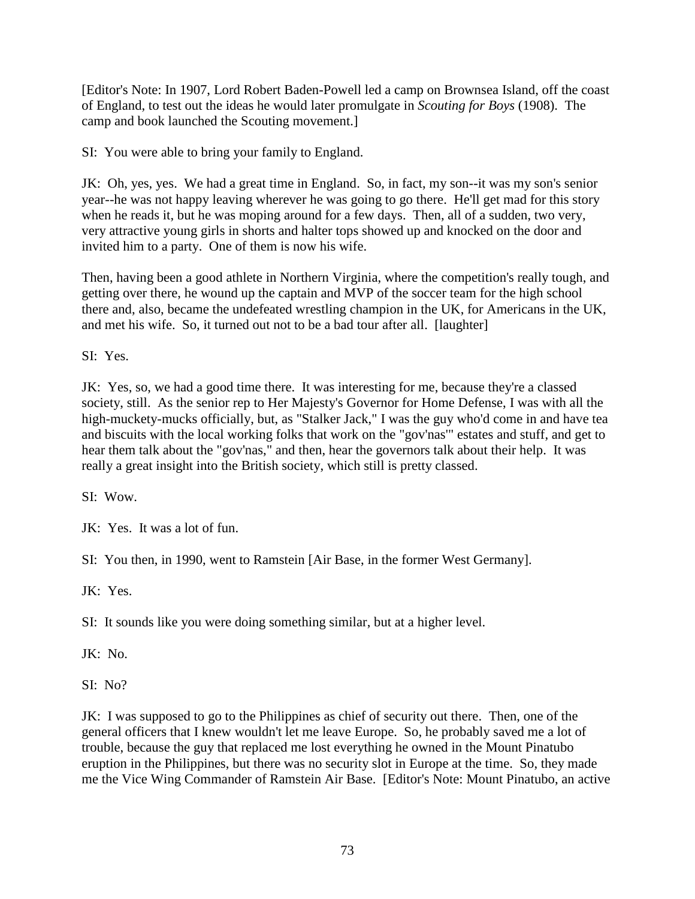[Editor's Note: In 1907, Lord Robert Baden-Powell led a camp on Brownsea Island, off the coast of England, to test out the ideas he would later promulgate in *Scouting for Boys* (1908). The camp and book launched the Scouting movement.]

SI: You were able to bring your family to England.

JK: Oh, yes, yes. We had a great time in England. So, in fact, my son--it was my son's senior year--he was not happy leaving wherever he was going to go there. He'll get mad for this story when he reads it, but he was moping around for a few days. Then, all of a sudden, two very, very attractive young girls in shorts and halter tops showed up and knocked on the door and invited him to a party. One of them is now his wife.

Then, having been a good athlete in Northern Virginia, where the competition's really tough, and getting over there, he wound up the captain and MVP of the soccer team for the high school there and, also, became the undefeated wrestling champion in the UK, for Americans in the UK, and met his wife. So, it turned out not to be a bad tour after all. [laughter]

SI: Yes.

JK: Yes, so, we had a good time there. It was interesting for me, because they're a classed society, still. As the senior rep to Her Majesty's Governor for Home Defense, I was with all the high-muckety-mucks officially, but, as "Stalker Jack," I was the guy who'd come in and have tea and biscuits with the local working folks that work on the "gov'nas'" estates and stuff, and get to hear them talk about the "gov'nas," and then, hear the governors talk about their help. It was really a great insight into the British society, which still is pretty classed.

SI: Wow.

JK: Yes. It was a lot of fun.

SI: You then, in 1990, went to Ramstein [Air Base, in the former West Germany].

JK: Yes.

SI: It sounds like you were doing something similar, but at a higher level.

JK: No.

SI: No?

JK: I was supposed to go to the Philippines as chief of security out there. Then, one of the general officers that I knew wouldn't let me leave Europe. So, he probably saved me a lot of trouble, because the guy that replaced me lost everything he owned in the Mount Pinatubo eruption in the Philippines, but there was no security slot in Europe at the time. So, they made me the Vice Wing Commander of Ramstein Air Base. [Editor's Note: Mount Pinatubo, an active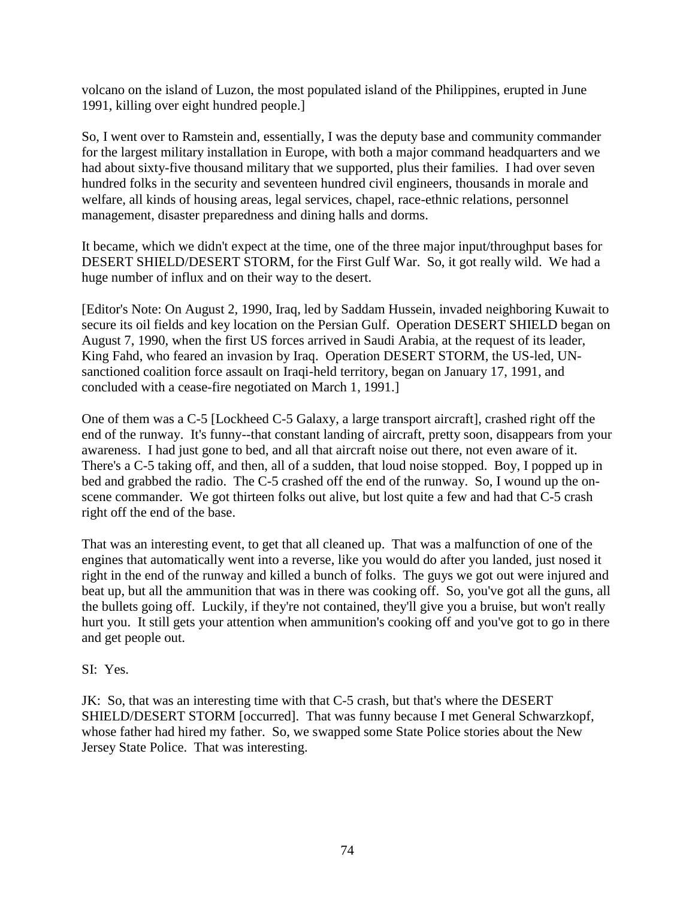volcano on the island of Luzon, the most populated island of the Philippines, erupted in June 1991, killing over eight hundred people.]

So, I went over to Ramstein and, essentially, I was the deputy base and community commander for the largest military installation in Europe, with both a major command headquarters and we had about sixty-five thousand military that we supported, plus their families. I had over seven hundred folks in the security and seventeen hundred civil engineers, thousands in morale and welfare, all kinds of housing areas, legal services, chapel, race-ethnic relations, personnel management, disaster preparedness and dining halls and dorms.

It became, which we didn't expect at the time, one of the three major input/throughput bases for DESERT SHIELD/DESERT STORM, for the First Gulf War. So, it got really wild. We had a huge number of influx and on their way to the desert.

[Editor's Note: On August 2, 1990, Iraq, led by Saddam Hussein, invaded neighboring Kuwait to secure its oil fields and key location on the Persian Gulf. Operation DESERT SHIELD began on August 7, 1990, when the first US forces arrived in Saudi Arabia, at the request of its leader, King Fahd, who feared an invasion by Iraq. Operation DESERT STORM, the US-led, UNsanctioned coalition force assault on Iraqi-held territory, began on January 17, 1991, and concluded with a cease-fire negotiated on March 1, 1991.]

One of them was a C-5 [Lockheed C-5 Galaxy, a large transport aircraft], crashed right off the end of the runway. It's funny--that constant landing of aircraft, pretty soon, disappears from your awareness. I had just gone to bed, and all that aircraft noise out there, not even aware of it. There's a C-5 taking off, and then, all of a sudden, that loud noise stopped. Boy, I popped up in bed and grabbed the radio. The C-5 crashed off the end of the runway. So, I wound up the onscene commander. We got thirteen folks out alive, but lost quite a few and had that C-5 crash right off the end of the base.

That was an interesting event, to get that all cleaned up. That was a malfunction of one of the engines that automatically went into a reverse, like you would do after you landed, just nosed it right in the end of the runway and killed a bunch of folks. The guys we got out were injured and beat up, but all the ammunition that was in there was cooking off. So, you've got all the guns, all the bullets going off. Luckily, if they're not contained, they'll give you a bruise, but won't really hurt you. It still gets your attention when ammunition's cooking off and you've got to go in there and get people out.

## SI: Yes.

JK: So, that was an interesting time with that C-5 crash, but that's where the DESERT SHIELD/DESERT STORM [occurred]. That was funny because I met General Schwarzkopf, whose father had hired my father. So, we swapped some State Police stories about the New Jersey State Police. That was interesting.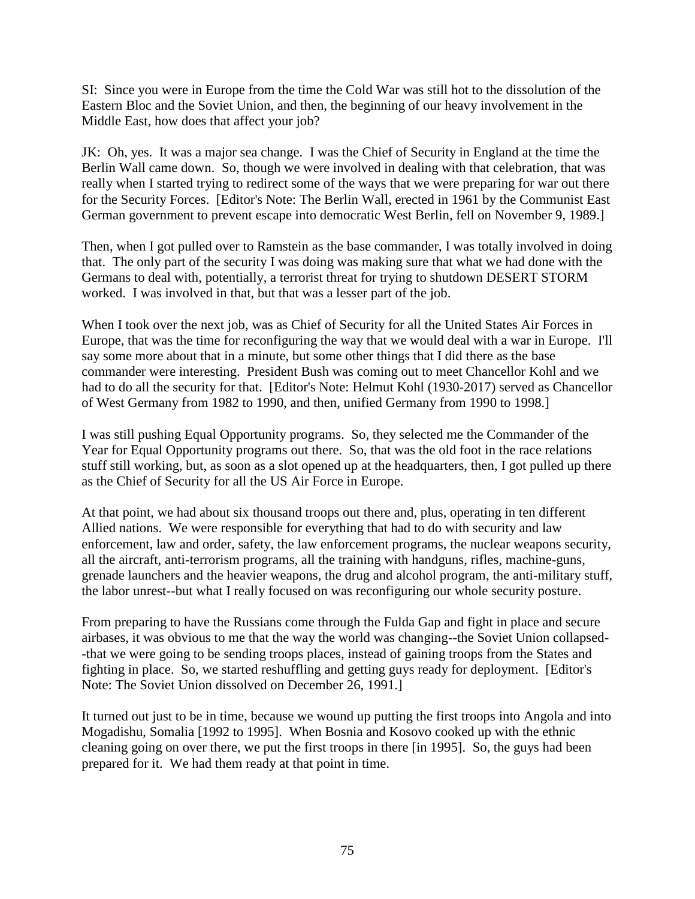SI: Since you were in Europe from the time the Cold War was still hot to the dissolution of the Eastern Bloc and the Soviet Union, and then, the beginning of our heavy involvement in the Middle East, how does that affect your job?

JK: Oh, yes. It was a major sea change. I was the Chief of Security in England at the time the Berlin Wall came down. So, though we were involved in dealing with that celebration, that was really when I started trying to redirect some of the ways that we were preparing for war out there for the Security Forces. [Editor's Note: The Berlin Wall, erected in 1961 by the Communist East German government to prevent escape into democratic West Berlin, fell on November 9, 1989.]

Then, when I got pulled over to Ramstein as the base commander, I was totally involved in doing that. The only part of the security I was doing was making sure that what we had done with the Germans to deal with, potentially, a terrorist threat for trying to shutdown DESERT STORM worked. I was involved in that, but that was a lesser part of the job.

When I took over the next job, was as Chief of Security for all the United States Air Forces in Europe, that was the time for reconfiguring the way that we would deal with a war in Europe. I'll say some more about that in a minute, but some other things that I did there as the base commander were interesting. President Bush was coming out to meet Chancellor Kohl and we had to do all the security for that. [Editor's Note: Helmut Kohl (1930-2017) served as Chancellor of West Germany from 1982 to 1990, and then, unified Germany from 1990 to 1998.]

I was still pushing Equal Opportunity programs. So, they selected me the Commander of the Year for Equal Opportunity programs out there. So, that was the old foot in the race relations stuff still working, but, as soon as a slot opened up at the headquarters, then, I got pulled up there as the Chief of Security for all the US Air Force in Europe.

At that point, we had about six thousand troops out there and, plus, operating in ten different Allied nations. We were responsible for everything that had to do with security and law enforcement, law and order, safety, the law enforcement programs, the nuclear weapons security, all the aircraft, anti-terrorism programs, all the training with handguns, rifles, machine-guns, grenade launchers and the heavier weapons, the drug and alcohol program, the anti-military stuff, the labor unrest--but what I really focused on was reconfiguring our whole security posture.

From preparing to have the Russians come through the Fulda Gap and fight in place and secure airbases, it was obvious to me that the way the world was changing--the Soviet Union collapsed- -that we were going to be sending troops places, instead of gaining troops from the States and fighting in place. So, we started reshuffling and getting guys ready for deployment. [Editor's Note: The Soviet Union dissolved on December 26, 1991.]

It turned out just to be in time, because we wound up putting the first troops into Angola and into Mogadishu, Somalia [1992 to 1995]. When Bosnia and Kosovo cooked up with the ethnic cleaning going on over there, we put the first troops in there [in 1995]. So, the guys had been prepared for it. We had them ready at that point in time.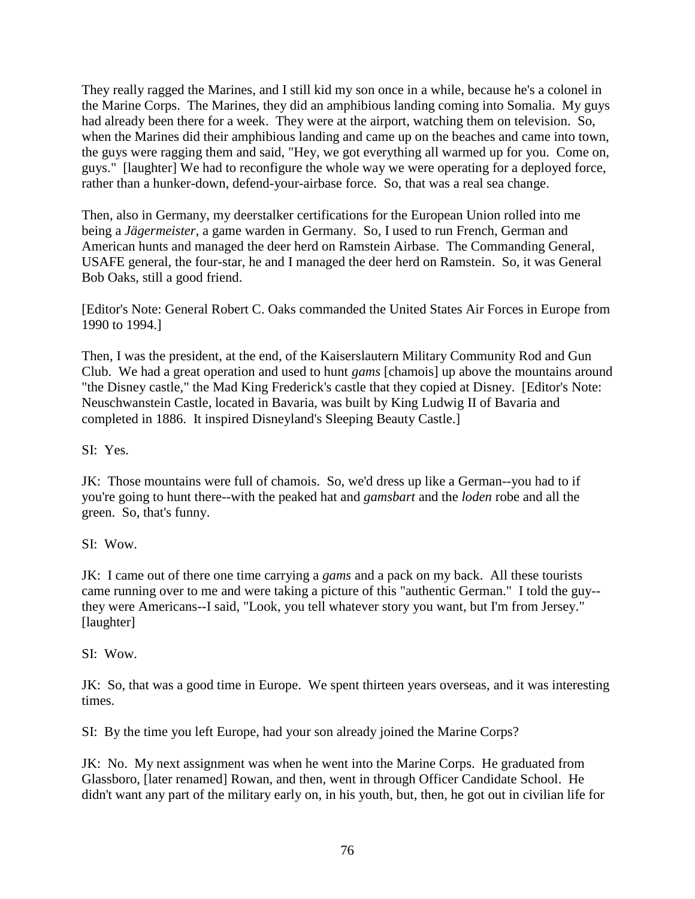They really ragged the Marines, and I still kid my son once in a while, because he's a colonel in the Marine Corps. The Marines, they did an amphibious landing coming into Somalia. My guys had already been there for a week. They were at the airport, watching them on television. So, when the Marines did their amphibious landing and came up on the beaches and came into town, the guys were ragging them and said, "Hey, we got everything all warmed up for you. Come on, guys." [laughter] We had to reconfigure the whole way we were operating for a deployed force, rather than a hunker-down, defend-your-airbase force. So, that was a real sea change.

Then, also in Germany, my deerstalker certifications for the European Union rolled into me being a *Jägermeister*, a game warden in Germany. So, I used to run French, German and American hunts and managed the deer herd on Ramstein Airbase. The Commanding General, USAFE general, the four-star, he and I managed the deer herd on Ramstein. So, it was General Bob Oaks, still a good friend.

[Editor's Note: General Robert C. Oaks commanded the United States Air Forces in Europe from 1990 to 1994.]

Then, I was the president, at the end, of the Kaiserslautern Military Community Rod and Gun Club. We had a great operation and used to hunt *gams* [chamois] up above the mountains around "the Disney castle," the Mad King Frederick's castle that they copied at Disney. [Editor's Note: Neuschwanstein Castle, located in Bavaria, was built by King Ludwig II of Bavaria and completed in 1886. It inspired Disneyland's Sleeping Beauty Castle.]

SI: Yes.

JK: Those mountains were full of chamois. So, we'd dress up like a German--you had to if you're going to hunt there--with the peaked hat and *gamsbart* and the *loden* robe and all the green. So, that's funny.

SI: Wow.

JK: I came out of there one time carrying a *gams* and a pack on my back. All these tourists came running over to me and were taking a picture of this "authentic German." I told the guy- they were Americans--I said, "Look, you tell whatever story you want, but I'm from Jersey." [laughter]

SI: Wow.

JK: So, that was a good time in Europe. We spent thirteen years overseas, and it was interesting times.

SI: By the time you left Europe, had your son already joined the Marine Corps?

JK: No. My next assignment was when he went into the Marine Corps. He graduated from Glassboro, [later renamed] Rowan, and then, went in through Officer Candidate School. He didn't want any part of the military early on, in his youth, but, then, he got out in civilian life for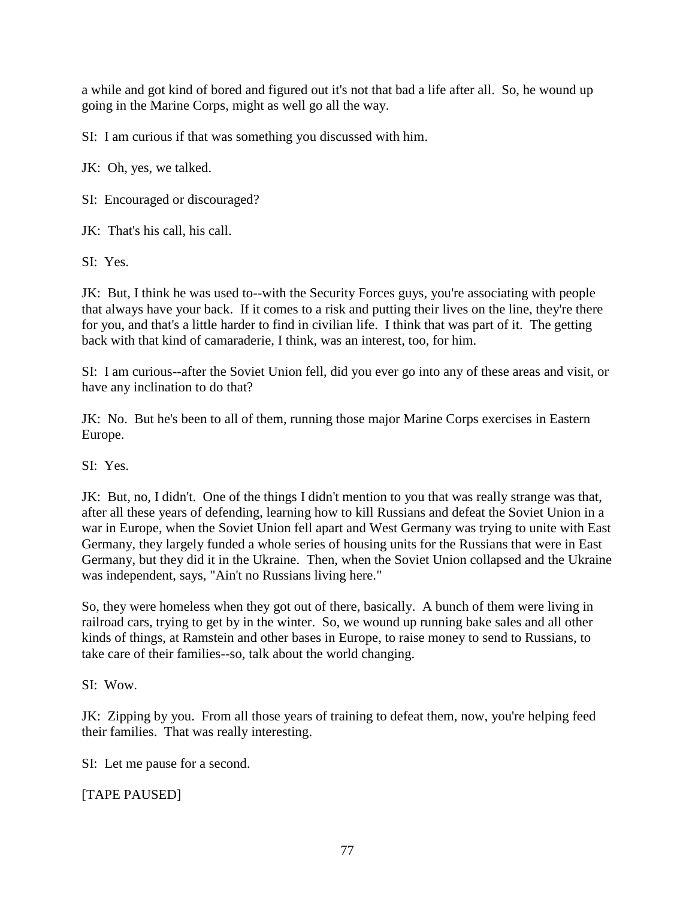a while and got kind of bored and figured out it's not that bad a life after all. So, he wound up going in the Marine Corps, might as well go all the way.

SI: I am curious if that was something you discussed with him.

JK: Oh, yes, we talked.

SI: Encouraged or discouraged?

JK: That's his call, his call.

SI: Yes.

JK: But, I think he was used to--with the Security Forces guys, you're associating with people that always have your back. If it comes to a risk and putting their lives on the line, they're there for you, and that's a little harder to find in civilian life. I think that was part of it. The getting back with that kind of camaraderie, I think, was an interest, too, for him.

SI: I am curious--after the Soviet Union fell, did you ever go into any of these areas and visit, or have any inclination to do that?

JK: No. But he's been to all of them, running those major Marine Corps exercises in Eastern Europe.

SI: Yes.

JK: But, no, I didn't. One of the things I didn't mention to you that was really strange was that, after all these years of defending, learning how to kill Russians and defeat the Soviet Union in a war in Europe, when the Soviet Union fell apart and West Germany was trying to unite with East Germany, they largely funded a whole series of housing units for the Russians that were in East Germany, but they did it in the Ukraine. Then, when the Soviet Union collapsed and the Ukraine was independent, says, "Ain't no Russians living here."

So, they were homeless when they got out of there, basically. A bunch of them were living in railroad cars, trying to get by in the winter. So, we wound up running bake sales and all other kinds of things, at Ramstein and other bases in Europe, to raise money to send to Russians, to take care of their families--so, talk about the world changing.

SI: Wow.

JK: Zipping by you. From all those years of training to defeat them, now, you're helping feed their families. That was really interesting.

SI: Let me pause for a second.

[TAPE PAUSED]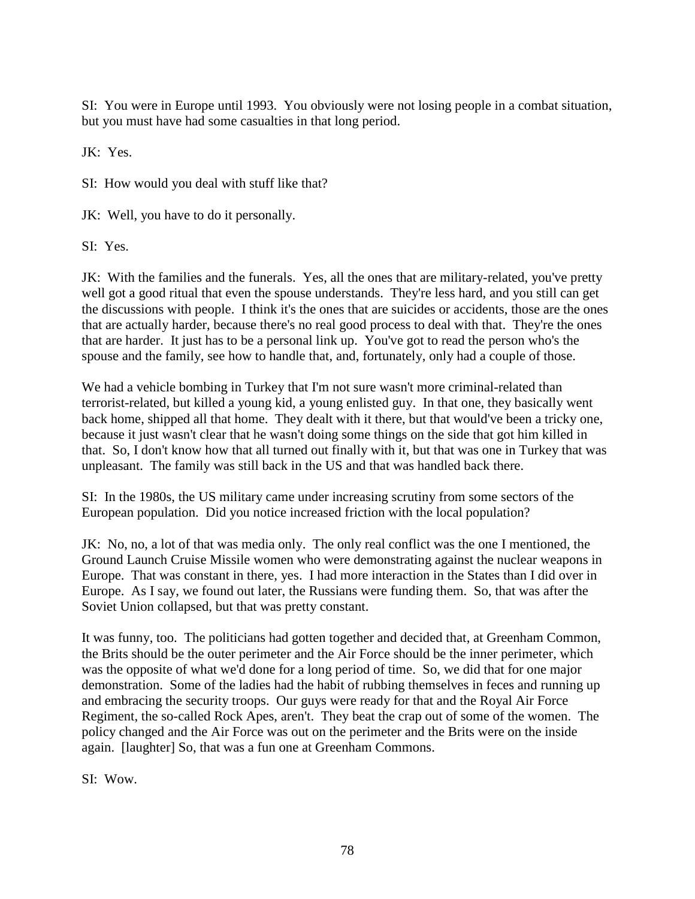SI: You were in Europe until 1993. You obviously were not losing people in a combat situation, but you must have had some casualties in that long period.

JK: Yes.

SI: How would you deal with stuff like that?

JK: Well, you have to do it personally.

SI: Yes.

JK: With the families and the funerals. Yes, all the ones that are military-related, you've pretty well got a good ritual that even the spouse understands. They're less hard, and you still can get the discussions with people. I think it's the ones that are suicides or accidents, those are the ones that are actually harder, because there's no real good process to deal with that. They're the ones that are harder. It just has to be a personal link up. You've got to read the person who's the spouse and the family, see how to handle that, and, fortunately, only had a couple of those.

We had a vehicle bombing in Turkey that I'm not sure wasn't more criminal-related than terrorist-related, but killed a young kid, a young enlisted guy. In that one, they basically went back home, shipped all that home. They dealt with it there, but that would've been a tricky one, because it just wasn't clear that he wasn't doing some things on the side that got him killed in that. So, I don't know how that all turned out finally with it, but that was one in Turkey that was unpleasant. The family was still back in the US and that was handled back there.

SI: In the 1980s, the US military came under increasing scrutiny from some sectors of the European population. Did you notice increased friction with the local population?

JK: No, no, a lot of that was media only. The only real conflict was the one I mentioned, the Ground Launch Cruise Missile women who were demonstrating against the nuclear weapons in Europe. That was constant in there, yes. I had more interaction in the States than I did over in Europe. As I say, we found out later, the Russians were funding them. So, that was after the Soviet Union collapsed, but that was pretty constant.

It was funny, too. The politicians had gotten together and decided that, at Greenham Common, the Brits should be the outer perimeter and the Air Force should be the inner perimeter, which was the opposite of what we'd done for a long period of time. So, we did that for one major demonstration. Some of the ladies had the habit of rubbing themselves in feces and running up and embracing the security troops. Our guys were ready for that and the Royal Air Force Regiment, the so-called Rock Apes, aren't. They beat the crap out of some of the women. The policy changed and the Air Force was out on the perimeter and the Brits were on the inside again. [laughter] So, that was a fun one at Greenham Commons.

SI: Wow.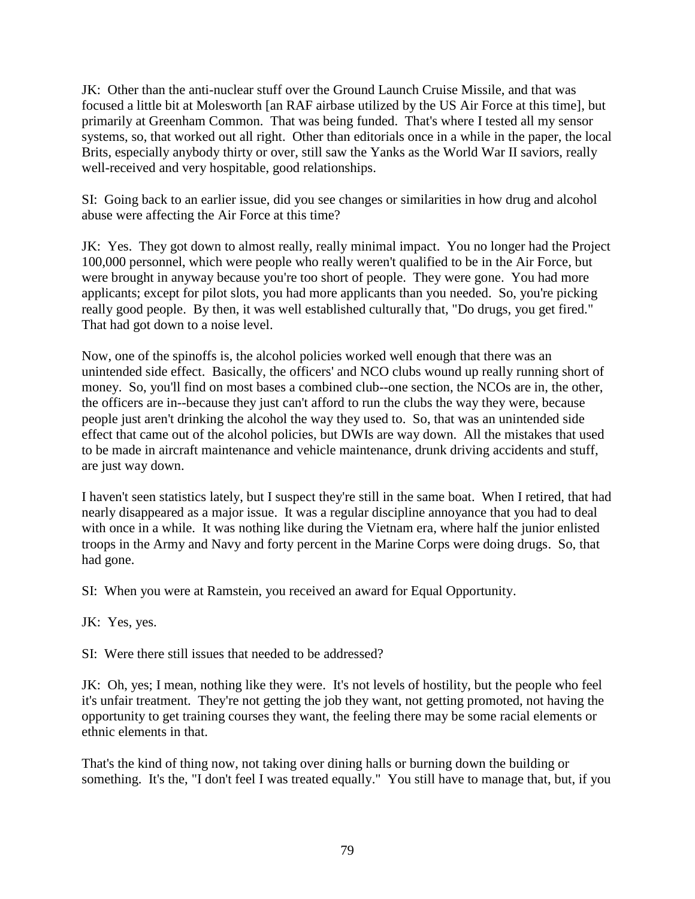JK: Other than the anti-nuclear stuff over the Ground Launch Cruise Missile, and that was focused a little bit at Molesworth [an RAF airbase utilized by the US Air Force at this time], but primarily at Greenham Common. That was being funded. That's where I tested all my sensor systems, so, that worked out all right. Other than editorials once in a while in the paper, the local Brits, especially anybody thirty or over, still saw the Yanks as the World War II saviors, really well-received and very hospitable, good relationships.

SI: Going back to an earlier issue, did you see changes or similarities in how drug and alcohol abuse were affecting the Air Force at this time?

JK: Yes. They got down to almost really, really minimal impact. You no longer had the Project 100,000 personnel, which were people who really weren't qualified to be in the Air Force, but were brought in anyway because you're too short of people. They were gone. You had more applicants; except for pilot slots, you had more applicants than you needed. So, you're picking really good people. By then, it was well established culturally that, "Do drugs, you get fired." That had got down to a noise level.

Now, one of the spinoffs is, the alcohol policies worked well enough that there was an unintended side effect. Basically, the officers' and NCO clubs wound up really running short of money. So, you'll find on most bases a combined club--one section, the NCOs are in, the other, the officers are in--because they just can't afford to run the clubs the way they were, because people just aren't drinking the alcohol the way they used to. So, that was an unintended side effect that came out of the alcohol policies, but DWIs are way down. All the mistakes that used to be made in aircraft maintenance and vehicle maintenance, drunk driving accidents and stuff, are just way down.

I haven't seen statistics lately, but I suspect they're still in the same boat. When I retired, that had nearly disappeared as a major issue. It was a regular discipline annoyance that you had to deal with once in a while. It was nothing like during the Vietnam era, where half the junior enlisted troops in the Army and Navy and forty percent in the Marine Corps were doing drugs. So, that had gone.

SI: When you were at Ramstein, you received an award for Equal Opportunity.

JK: Yes, yes.

SI: Were there still issues that needed to be addressed?

JK: Oh, yes; I mean, nothing like they were. It's not levels of hostility, but the people who feel it's unfair treatment. They're not getting the job they want, not getting promoted, not having the opportunity to get training courses they want, the feeling there may be some racial elements or ethnic elements in that.

That's the kind of thing now, not taking over dining halls or burning down the building or something. It's the, "I don't feel I was treated equally." You still have to manage that, but, if you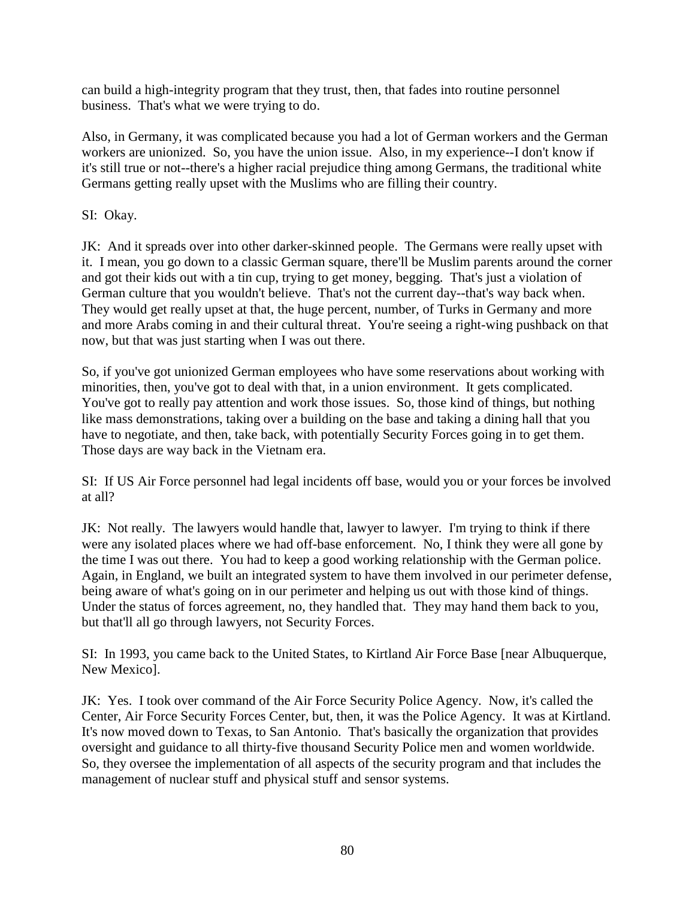can build a high-integrity program that they trust, then, that fades into routine personnel business. That's what we were trying to do.

Also, in Germany, it was complicated because you had a lot of German workers and the German workers are unionized. So, you have the union issue. Also, in my experience--I don't know if it's still true or not--there's a higher racial prejudice thing among Germans, the traditional white Germans getting really upset with the Muslims who are filling their country.

SI: Okay.

JK: And it spreads over into other darker-skinned people. The Germans were really upset with it. I mean, you go down to a classic German square, there'll be Muslim parents around the corner and got their kids out with a tin cup, trying to get money, begging. That's just a violation of German culture that you wouldn't believe. That's not the current day--that's way back when. They would get really upset at that, the huge percent, number, of Turks in Germany and more and more Arabs coming in and their cultural threat. You're seeing a right-wing pushback on that now, but that was just starting when I was out there.

So, if you've got unionized German employees who have some reservations about working with minorities, then, you've got to deal with that, in a union environment. It gets complicated. You've got to really pay attention and work those issues. So, those kind of things, but nothing like mass demonstrations, taking over a building on the base and taking a dining hall that you have to negotiate, and then, take back, with potentially Security Forces going in to get them. Those days are way back in the Vietnam era.

SI: If US Air Force personnel had legal incidents off base, would you or your forces be involved at all?

JK: Not really. The lawyers would handle that, lawyer to lawyer. I'm trying to think if there were any isolated places where we had off-base enforcement. No, I think they were all gone by the time I was out there. You had to keep a good working relationship with the German police. Again, in England, we built an integrated system to have them involved in our perimeter defense, being aware of what's going on in our perimeter and helping us out with those kind of things. Under the status of forces agreement, no, they handled that. They may hand them back to you, but that'll all go through lawyers, not Security Forces.

SI: In 1993, you came back to the United States, to Kirtland Air Force Base [near Albuquerque, New Mexico].

JK: Yes. I took over command of the Air Force Security Police Agency. Now, it's called the Center, Air Force Security Forces Center, but, then, it was the Police Agency. It was at Kirtland. It's now moved down to Texas, to San Antonio. That's basically the organization that provides oversight and guidance to all thirty-five thousand Security Police men and women worldwide. So, they oversee the implementation of all aspects of the security program and that includes the management of nuclear stuff and physical stuff and sensor systems.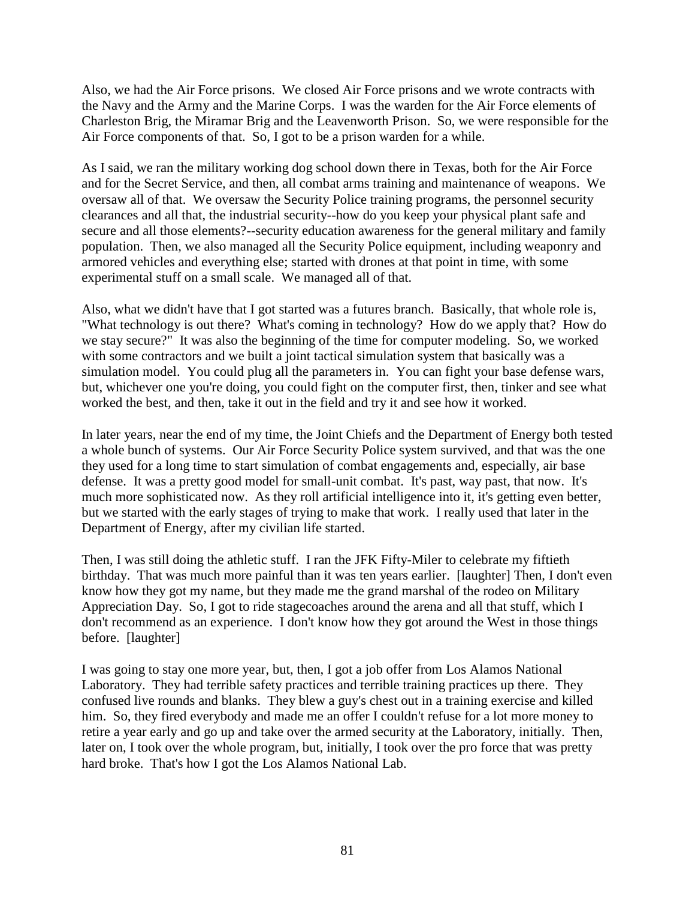Also, we had the Air Force prisons. We closed Air Force prisons and we wrote contracts with the Navy and the Army and the Marine Corps. I was the warden for the Air Force elements of Charleston Brig, the Miramar Brig and the Leavenworth Prison. So, we were responsible for the Air Force components of that. So, I got to be a prison warden for a while.

As I said, we ran the military working dog school down there in Texas, both for the Air Force and for the Secret Service, and then, all combat arms training and maintenance of weapons. We oversaw all of that. We oversaw the Security Police training programs, the personnel security clearances and all that, the industrial security--how do you keep your physical plant safe and secure and all those elements?--security education awareness for the general military and family population. Then, we also managed all the Security Police equipment, including weaponry and armored vehicles and everything else; started with drones at that point in time, with some experimental stuff on a small scale. We managed all of that.

Also, what we didn't have that I got started was a futures branch. Basically, that whole role is, "What technology is out there? What's coming in technology? How do we apply that? How do we stay secure?" It was also the beginning of the time for computer modeling. So, we worked with some contractors and we built a joint tactical simulation system that basically was a simulation model. You could plug all the parameters in. You can fight your base defense wars, but, whichever one you're doing, you could fight on the computer first, then, tinker and see what worked the best, and then, take it out in the field and try it and see how it worked.

In later years, near the end of my time, the Joint Chiefs and the Department of Energy both tested a whole bunch of systems. Our Air Force Security Police system survived, and that was the one they used for a long time to start simulation of combat engagements and, especially, air base defense. It was a pretty good model for small-unit combat. It's past, way past, that now. It's much more sophisticated now. As they roll artificial intelligence into it, it's getting even better, but we started with the early stages of trying to make that work. I really used that later in the Department of Energy, after my civilian life started.

Then, I was still doing the athletic stuff. I ran the JFK Fifty-Miler to celebrate my fiftieth birthday. That was much more painful than it was ten years earlier. [laughter] Then, I don't even know how they got my name, but they made me the grand marshal of the rodeo on Military Appreciation Day. So, I got to ride stagecoaches around the arena and all that stuff, which I don't recommend as an experience. I don't know how they got around the West in those things before. [laughter]

I was going to stay one more year, but, then, I got a job offer from Los Alamos National Laboratory. They had terrible safety practices and terrible training practices up there. They confused live rounds and blanks. They blew a guy's chest out in a training exercise and killed him. So, they fired everybody and made me an offer I couldn't refuse for a lot more money to retire a year early and go up and take over the armed security at the Laboratory, initially. Then, later on, I took over the whole program, but, initially, I took over the pro force that was pretty hard broke. That's how I got the Los Alamos National Lab.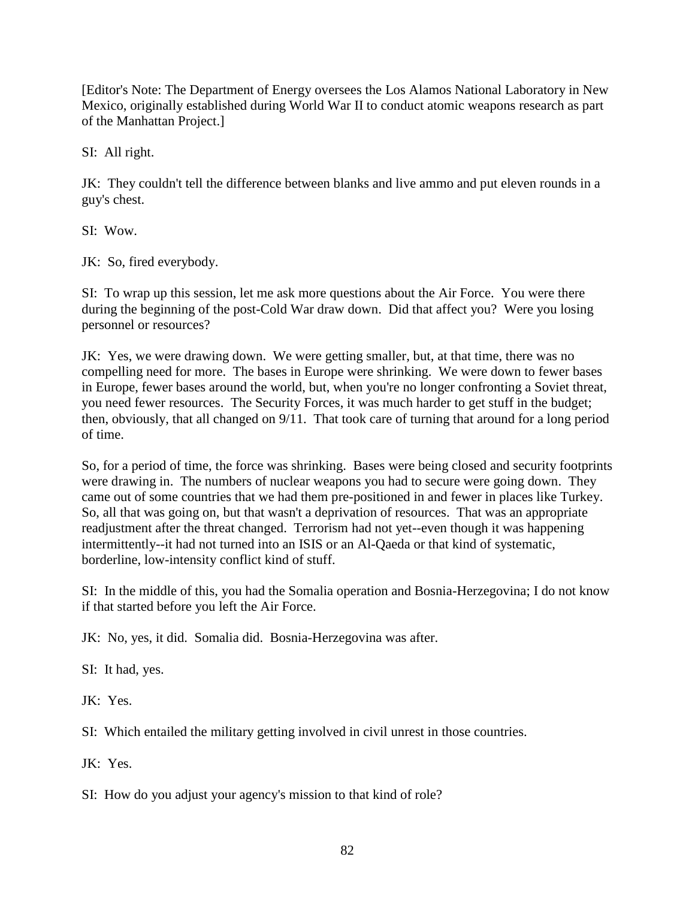[Editor's Note: The Department of Energy oversees the Los Alamos National Laboratory in New Mexico, originally established during World War II to conduct atomic weapons research as part of the Manhattan Project.]

SI: All right.

JK: They couldn't tell the difference between blanks and live ammo and put eleven rounds in a guy's chest.

SI: Wow.

JK: So, fired everybody.

SI: To wrap up this session, let me ask more questions about the Air Force. You were there during the beginning of the post-Cold War draw down. Did that affect you? Were you losing personnel or resources?

JK: Yes, we were drawing down. We were getting smaller, but, at that time, there was no compelling need for more. The bases in Europe were shrinking. We were down to fewer bases in Europe, fewer bases around the world, but, when you're no longer confronting a Soviet threat, you need fewer resources. The Security Forces, it was much harder to get stuff in the budget; then, obviously, that all changed on 9/11. That took care of turning that around for a long period of time.

So, for a period of time, the force was shrinking. Bases were being closed and security footprints were drawing in. The numbers of nuclear weapons you had to secure were going down. They came out of some countries that we had them pre-positioned in and fewer in places like Turkey. So, all that was going on, but that wasn't a deprivation of resources. That was an appropriate readjustment after the threat changed. Terrorism had not yet--even though it was happening intermittently--it had not turned into an ISIS or an Al-Qaeda or that kind of systematic, borderline, low-intensity conflict kind of stuff.

SI: In the middle of this, you had the Somalia operation and Bosnia-Herzegovina; I do not know if that started before you left the Air Force.

JK: No, yes, it did. Somalia did. Bosnia-Herzegovina was after.

SI: It had, yes.

JK: Yes.

SI: Which entailed the military getting involved in civil unrest in those countries.

JK: Yes.

SI: How do you adjust your agency's mission to that kind of role?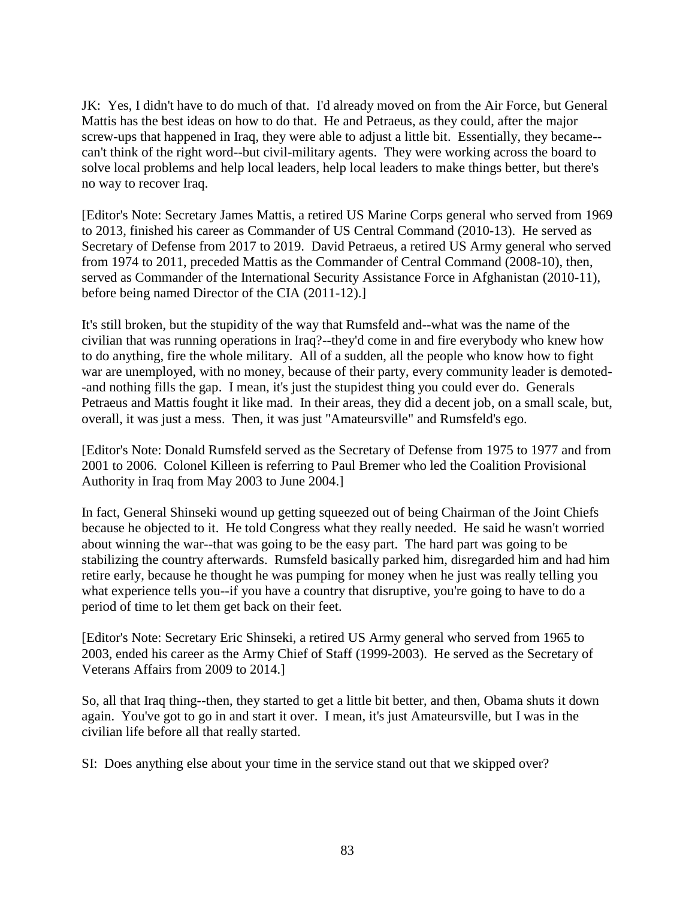JK: Yes, I didn't have to do much of that. I'd already moved on from the Air Force, but General Mattis has the best ideas on how to do that. He and Petraeus, as they could, after the major screw-ups that happened in Iraq, they were able to adjust a little bit. Essentially, they became- can't think of the right word--but civil-military agents. They were working across the board to solve local problems and help local leaders, help local leaders to make things better, but there's no way to recover Iraq.

[Editor's Note: Secretary James Mattis, a retired US Marine Corps general who served from 1969 to 2013, finished his career as Commander of US Central Command (2010-13). He served as Secretary of Defense from 2017 to 2019. David Petraeus, a retired US Army general who served from 1974 to 2011, preceded Mattis as the Commander of Central Command (2008-10), then, served as Commander of the International Security Assistance Force in Afghanistan (2010-11), before being named Director of the CIA (2011-12).]

It's still broken, but the stupidity of the way that Rumsfeld and--what was the name of the civilian that was running operations in Iraq?--they'd come in and fire everybody who knew how to do anything, fire the whole military. All of a sudden, all the people who know how to fight war are unemployed, with no money, because of their party, every community leader is demoted- -and nothing fills the gap. I mean, it's just the stupidest thing you could ever do. Generals Petraeus and Mattis fought it like mad. In their areas, they did a decent job, on a small scale, but, overall, it was just a mess. Then, it was just "Amateursville" and Rumsfeld's ego.

[Editor's Note: Donald Rumsfeld served as the Secretary of Defense from 1975 to 1977 and from 2001 to 2006. Colonel Killeen is referring to Paul Bremer who led the Coalition Provisional Authority in Iraq from May 2003 to June 2004.]

In fact, General Shinseki wound up getting squeezed out of being Chairman of the Joint Chiefs because he objected to it. He told Congress what they really needed. He said he wasn't worried about winning the war--that was going to be the easy part. The hard part was going to be stabilizing the country afterwards. Rumsfeld basically parked him, disregarded him and had him retire early, because he thought he was pumping for money when he just was really telling you what experience tells you--if you have a country that disruptive, you're going to have to do a period of time to let them get back on their feet.

[Editor's Note: Secretary Eric Shinseki, a retired US Army general who served from 1965 to 2003, ended his career as the Army Chief of Staff (1999-2003). He served as the Secretary of Veterans Affairs from 2009 to 2014.]

So, all that Iraq thing--then, they started to get a little bit better, and then, Obama shuts it down again. You've got to go in and start it over. I mean, it's just Amateursville, but I was in the civilian life before all that really started.

SI: Does anything else about your time in the service stand out that we skipped over?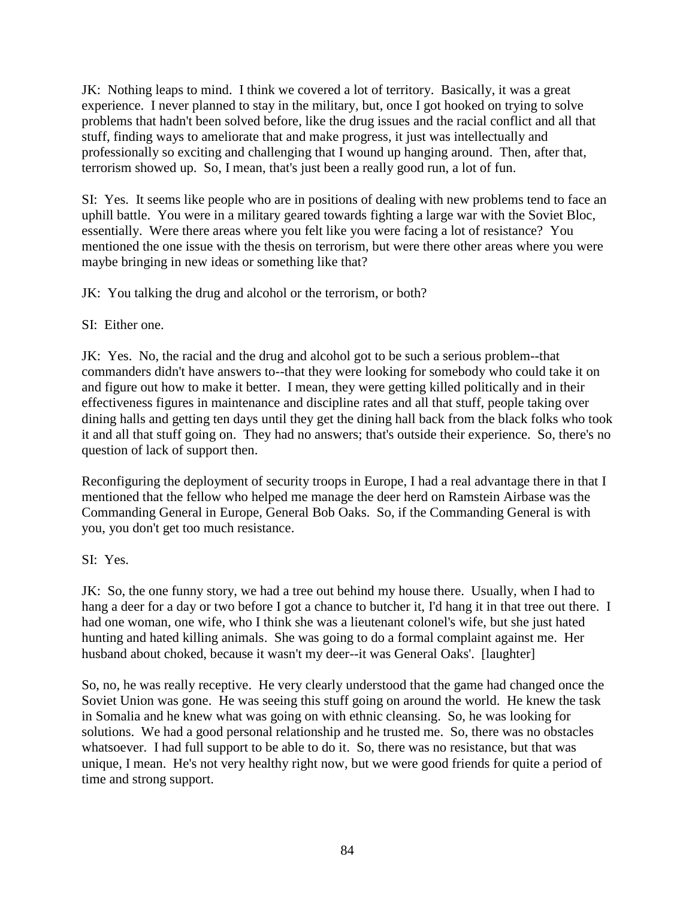JK: Nothing leaps to mind. I think we covered a lot of territory. Basically, it was a great experience. I never planned to stay in the military, but, once I got hooked on trying to solve problems that hadn't been solved before, like the drug issues and the racial conflict and all that stuff, finding ways to ameliorate that and make progress, it just was intellectually and professionally so exciting and challenging that I wound up hanging around. Then, after that, terrorism showed up. So, I mean, that's just been a really good run, a lot of fun.

SI: Yes. It seems like people who are in positions of dealing with new problems tend to face an uphill battle. You were in a military geared towards fighting a large war with the Soviet Bloc, essentially. Were there areas where you felt like you were facing a lot of resistance? You mentioned the one issue with the thesis on terrorism, but were there other areas where you were maybe bringing in new ideas or something like that?

JK: You talking the drug and alcohol or the terrorism, or both?

## SI: Either one.

JK: Yes. No, the racial and the drug and alcohol got to be such a serious problem--that commanders didn't have answers to--that they were looking for somebody who could take it on and figure out how to make it better. I mean, they were getting killed politically and in their effectiveness figures in maintenance and discipline rates and all that stuff, people taking over dining halls and getting ten days until they get the dining hall back from the black folks who took it and all that stuff going on. They had no answers; that's outside their experience. So, there's no question of lack of support then.

Reconfiguring the deployment of security troops in Europe, I had a real advantage there in that I mentioned that the fellow who helped me manage the deer herd on Ramstein Airbase was the Commanding General in Europe, General Bob Oaks. So, if the Commanding General is with you, you don't get too much resistance.

## SI: Yes.

JK: So, the one funny story, we had a tree out behind my house there. Usually, when I had to hang a deer for a day or two before I got a chance to butcher it, I'd hang it in that tree out there. I had one woman, one wife, who I think she was a lieutenant colonel's wife, but she just hated hunting and hated killing animals. She was going to do a formal complaint against me. Her husband about choked, because it wasn't my deer--it was General Oaks'. [laughter]

So, no, he was really receptive. He very clearly understood that the game had changed once the Soviet Union was gone. He was seeing this stuff going on around the world. He knew the task in Somalia and he knew what was going on with ethnic cleansing. So, he was looking for solutions. We had a good personal relationship and he trusted me. So, there was no obstacles whatsoever. I had full support to be able to do it. So, there was no resistance, but that was unique, I mean. He's not very healthy right now, but we were good friends for quite a period of time and strong support.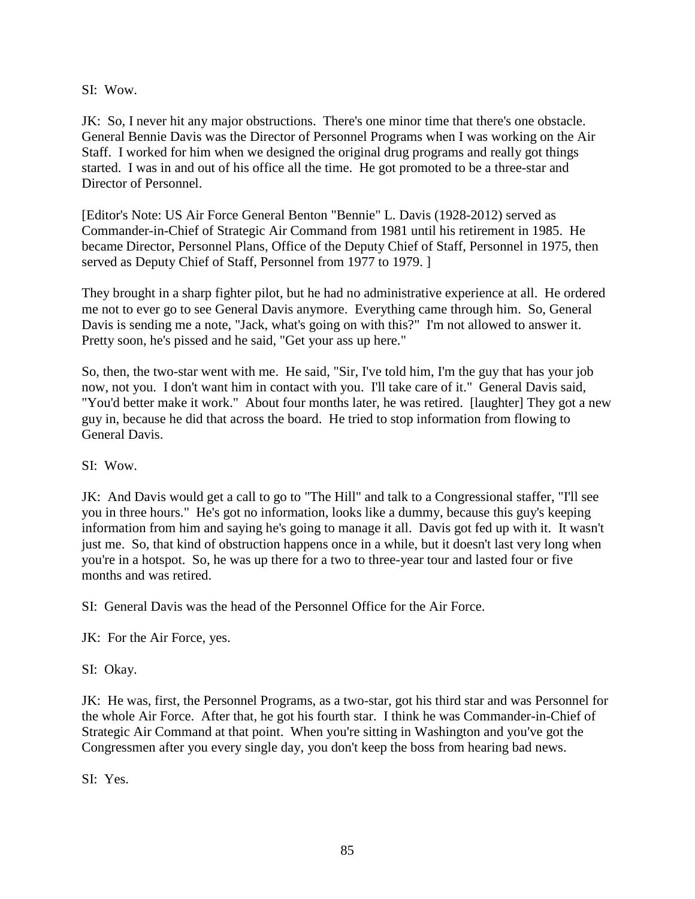SI: Wow.

JK: So, I never hit any major obstructions. There's one minor time that there's one obstacle. General Bennie Davis was the Director of Personnel Programs when I was working on the Air Staff. I worked for him when we designed the original drug programs and really got things started. I was in and out of his office all the time. He got promoted to be a three-star and Director of Personnel.

[Editor's Note: US Air Force General Benton "Bennie" L. Davis (1928-2012) served as Commander-in-Chief of Strategic Air Command from 1981 until his retirement in 1985. He became Director, Personnel Plans, Office of the Deputy Chief of Staff, Personnel in 1975, then served as Deputy Chief of Staff, Personnel from 1977 to 1979. ]

They brought in a sharp fighter pilot, but he had no administrative experience at all. He ordered me not to ever go to see General Davis anymore. Everything came through him. So, General Davis is sending me a note, "Jack, what's going on with this?" I'm not allowed to answer it. Pretty soon, he's pissed and he said, "Get your ass up here."

So, then, the two-star went with me. He said, "Sir, I've told him, I'm the guy that has your job now, not you. I don't want him in contact with you. I'll take care of it." General Davis said, "You'd better make it work." About four months later, he was retired. [laughter] They got a new guy in, because he did that across the board. He tried to stop information from flowing to General Davis.

SI: Wow.

JK: And Davis would get a call to go to "The Hill" and talk to a Congressional staffer, "I'll see you in three hours." He's got no information, looks like a dummy, because this guy's keeping information from him and saying he's going to manage it all. Davis got fed up with it. It wasn't just me. So, that kind of obstruction happens once in a while, but it doesn't last very long when you're in a hotspot. So, he was up there for a two to three-year tour and lasted four or five months and was retired.

SI: General Davis was the head of the Personnel Office for the Air Force.

JK: For the Air Force, yes.

SI: Okay.

JK: He was, first, the Personnel Programs, as a two-star, got his third star and was Personnel for the whole Air Force. After that, he got his fourth star. I think he was Commander-in-Chief of Strategic Air Command at that point. When you're sitting in Washington and you've got the Congressmen after you every single day, you don't keep the boss from hearing bad news.

SI: Yes.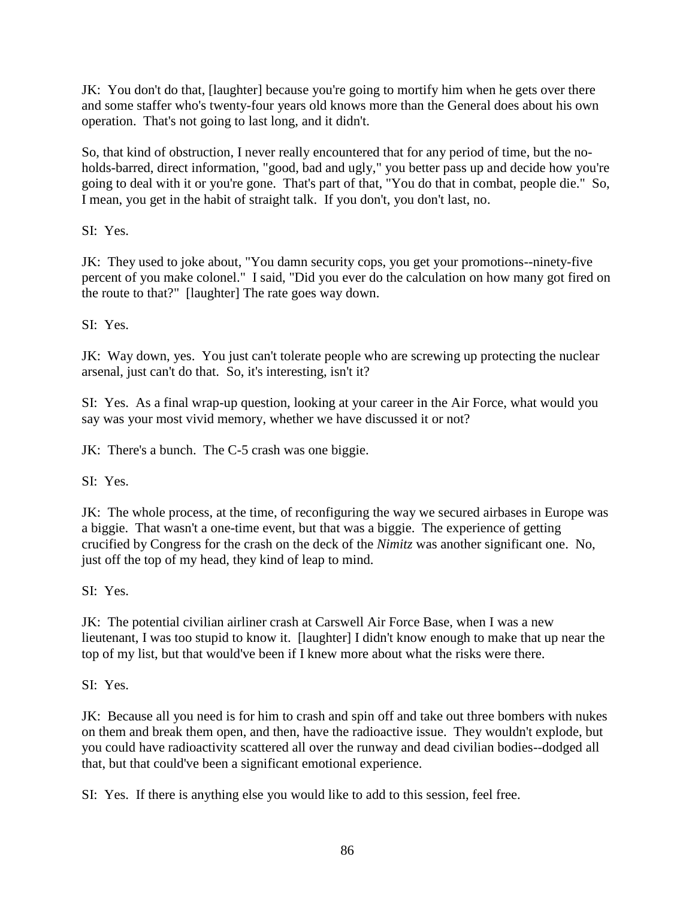JK: You don't do that, [laughter] because you're going to mortify him when he gets over there and some staffer who's twenty-four years old knows more than the General does about his own operation. That's not going to last long, and it didn't.

So, that kind of obstruction, I never really encountered that for any period of time, but the noholds-barred, direct information, "good, bad and ugly," you better pass up and decide how you're going to deal with it or you're gone. That's part of that, "You do that in combat, people die." So, I mean, you get in the habit of straight talk. If you don't, you don't last, no.

SI: Yes.

JK: They used to joke about, "You damn security cops, you get your promotions--ninety-five percent of you make colonel." I said, "Did you ever do the calculation on how many got fired on the route to that?" [laughter] The rate goes way down.

SI: Yes.

JK: Way down, yes. You just can't tolerate people who are screwing up protecting the nuclear arsenal, just can't do that. So, it's interesting, isn't it?

SI: Yes. As a final wrap-up question, looking at your career in the Air Force, what would you say was your most vivid memory, whether we have discussed it or not?

JK: There's a bunch. The C-5 crash was one biggie.

SI: Yes.

JK: The whole process, at the time, of reconfiguring the way we secured airbases in Europe was a biggie. That wasn't a one-time event, but that was a biggie. The experience of getting crucified by Congress for the crash on the deck of the *Nimitz* was another significant one. No, just off the top of my head, they kind of leap to mind.

SI: Yes.

JK: The potential civilian airliner crash at Carswell Air Force Base, when I was a new lieutenant, I was too stupid to know it. [laughter] I didn't know enough to make that up near the top of my list, but that would've been if I knew more about what the risks were there.

SI: Yes.

JK: Because all you need is for him to crash and spin off and take out three bombers with nukes on them and break them open, and then, have the radioactive issue. They wouldn't explode, but you could have radioactivity scattered all over the runway and dead civilian bodies--dodged all that, but that could've been a significant emotional experience.

SI: Yes. If there is anything else you would like to add to this session, feel free.